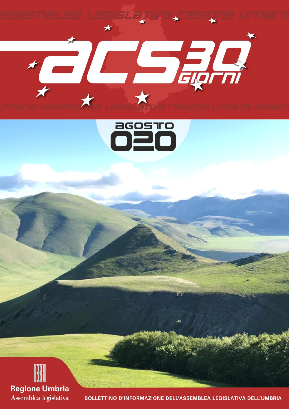





BOLLETTINO D'INFORMAZIONE DELL'ASSEMBLEA LEGISLATIVA DELL'UMBRIA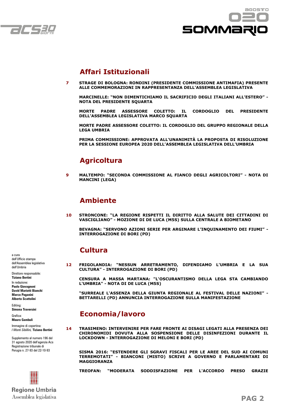



## **Affari Istituzionali**

**7 STRAGE DI BOLOGNA: RONDINI (PRESIDENTE COMMISSIONE ANTIMAFIA) PRESENTE ALLE COMMEMORAZIONI IN RAPPRESENTANZA DELL'ASSEMBLEA LEGISLATIVA**

 **MARCINELLE: "NON DIMENTICHIAMO IL SACRIFICIO DEGLI ITALIANI ALL'ESTERO" - NOTA DEL PRESIDENTE SQUARTA**

 **MORTE PADRE ASSESSORE COLETTO: IL CORDOGLIO DEL PRESIDENTE DELL'ASSEMBLEA LEGISLATIVA MARCO SQUARTA**

 **MORTE PADRE ASSESSORE COLETTO: IL CORDOGLIO DEL GRUPPO REGIONALE DELLA LEGA UMBRIA**

 **PRIMA COMMISSIONE: APPROVATA ALL'UNANIMITÀ LA PROPOSTA DI RISOLUZIONE PER LA SESSIONE EUROPEA 2020 DELL'ASSEMBLEA LEGISLATIVA DELL'UMBRIA**

## **Agricoltura**

**9 MALTEMPO: "SECONDA COMMISSIONE AL FIANCO DEGLI AGRICOLTORI" - NOTA DI MANCINI (LEGA)**

## **Ambiente**

**10 STRONCONE: "LA REGIONE RISPETTI IL DIRITTO ALLA SALUTE DEI CITTADINI DI VASCIGLIANO" - MOZIONE DI DE LUCA (M5S) SULLA CENTRALE A BIOMETANO**

 **BEVAGNA: "SERVONO AZIONI SERIE PER ARGINARE L'INQUINAMENTO DEI FIUMI" - INTERROGAZIONE DI BORI (PD)**

## **Cultura**

**12 FRIGOLANDIA: "NESSUN ARRETRAMENTO, DIFENDIAMO L'UMBRIA E LA SUA CULTURA" - INTERROGAZIONE DI BORI (PD)**

 **CENSURA A MASSA MARTANA: "L'OSCURANTISMO DELLA LEGA STA CAMBIANDO L'UMBRIA" - NOTA DI DE LUCA (M5S)**

 **"SURREALE L'ASSENZA DELLA GIUNTA REGIONALE AL FESTIVAL DELLE NAZIONI" - BETTARELLI (PD) ANNUNCIA INTERROGAZIONE SULLA MANIFESTAZIONE**

## **Economia/lavoro**

**14 TRASIMENO: INTERVENIRE PER FARE FRONTE AI DISAGI LEGATI ALLA PRESENZA DEI CHIRONOMIDI DOVUTA ALLA SOSPENSIONE DELLE DISINFEZIONI DURANTE IL LOCKDOWN - INTERROGAZIONE DI MELONI E BORI (PD)**

 **SISMA 2016: "ESTENDERE GLI SGRAVI FISCALI PER LE AREE DEL SUD AI COMUNI TERREMOTATI" - BIANCONI (MISTO) SCRIVE A GOVERNO E PARLAMENTARI DI MAGGIORANZA**

 **TREOFAN: "MODERATA SODDISFAZIONE PER L'ACCORDO PRESO GRAZIE** 

a cura dell'Ufficio stampa dell'Assemblea legislativa dell'Umbria

Direttore responsabile: **Tiziano Bertini** In redazione: **Paolo Giovagnoni David Mariotti Bianchi** 

**Marco Paganini Alberto Scattolini**

Editing: **Simona Traversini**

Grafica: **Mauro Gambuli**

Immagine di copertina: *I Monti Sibillini,* **Tiziano Bertini**

Supplemento al numero 196 del 31 agosto 2020 dell'agenzia Acs Registrazione tribunale di Perugia n. 27-93 del 22-10-93

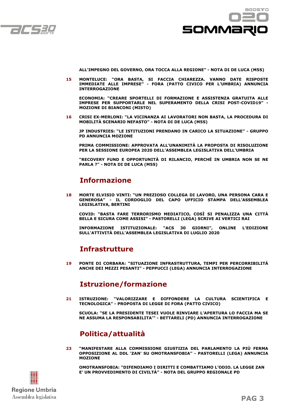



**ALL'IMPEGNO DEL GOVERNO, ORA TOCCA ALLA REGIONE" - NOTA DI DE LUCA (M5S)**

**15 MONTELUCE: "ORA BASTA, SI FACCIA CHIAREZZA. VANNO DATE RISPOSTE IMMEDIATE ALLE IMPRESE" - FORA (PATTO CIVICO PER L'UMBRIA) ANNUNCIA INTERROGAZIONE**

**ECONOMIA: "CREARE SPORTELLI DI FORMAZIONE E ASSISTENZA GRATUITA ALLE IMPRESE PER SUPPORTARLE NEL SUPERAMENTO DELLA CRISI POST-COVID19" - MOZIONE DI BIANCONI (MISTO)**

**16 CRISI EX-MERLONI: "LA VICINANZA AI LAVORATORI NON BASTA, LA PROCEDURA DI MOBILITÀ SCENARIO NEFASTO" - NOTA DI DE LUCA (M5S)**

**JP INDUSTRIES: "LE ISTITUZIONI PRENDANO IN CARICO LA SITUAZIONE" - GRUPPO PD ANNUNCIA MOZIONE**

**PRIMA COMMISSIONE: APPROVATA ALL'UNANIMITÀ LA PROPOSTA DI RISOLUZIONE PER LA SESSIONE EUROPEA 2020 DELL'ASSEMBLEA LEGISLATIVA DELL'UMBRIA**

**"RECOVERY FUND E OPPORTUNITÀ DI RILANCIO, PERCHÉ IN UMBRIA NON SE NE PARLA ?" - NOTA DI DE LUCA (M5S)**

## **Informazione**

**18 MORTE ELVISIO VINTI: "UN PREZIOSO COLLEGA DI LAVORO, UNA PERSONA CARA E GENEROSA" - IL CORDOGLIO DEL CAPO UFFICIO STAMPA DELL'ASSEMBLEA LEGISLATIVA, BERTINI**

**COVID: "BASTA FARE TERRORISMO MEDIATICO, COSÌ SI PENALIZZA UNA CITTÀ BELLA E SICURA COME ASSISI" - PASTORELLI (LEGA) SCRIVE AI VERTICI RAI**

**INFORMAZIONE ISTITUZIONALE: "ACS 30 GIORNI", ONLINE L'EDIZIONE SULL'ATTIVITÀ DELL'ASSEMBLEA LEGISLATIVA DI LUGLIO 2020**

## **Infrastrutture**

**19 PONTE DI CORBARA: "SITUAZIONE INFRASTRUTTURA, TEMPI PER PERCORRIBILITÀ ANCHE DEI MEZZI PESANTI" - PEPPUCCI (LEGA) ANNUNCIA INTERROGAZIONE**

## **Istruzione/formazione**

**21 ISTRUZIONE: "VALORIZZARE E DIFFONDERE LA CULTURA SCIENTIFICA E TECNOLOGICA" - PROPOSTA DI LEGGE DI FORA (PATTO CIVICO)**

**SCUOLA: "SE LA PRESIDENTE TESEI VUOLE RINVIARE L'APERTURA LO FACCIA MA SE NE ASSUMA LA RESPONSABILITA'" - BETTARELI (PD) ANNUNCIA INTERROGAZIONE**

## **Politica/attualità**

**23 "MANIFESTARE ALLA COMMISSIONE GIUSTIZIA DEL PARLAMENTO LA PIÙ FERMA OPPOSIZIONE AL DDL 'ZAN' SU OMOTRANSFOBIA" - PASTORELLI (LEGA) ANNUNCIA MOZIONE**



 **OMOTRANSFOBIA: "DIFENDIAMO I DIRITTI E COMBATTIAMO L'ODIO. LA LEGGE ZAN E' UN PROVVEDIMENTO DI CIVILTÀ" - NOTA DEL GRUPPO REGIONALE PD**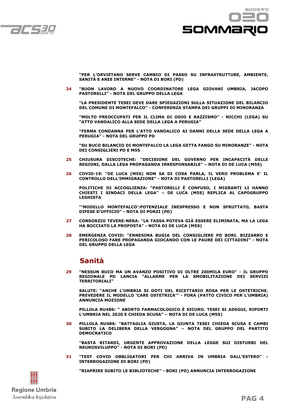



**"PER L'ORVIETANO SERVE CAMBIO DI PASSO SU INFRASTRUTTURE, AMBIENTE, SANITÀ E AREE INTERNE" - NOTA DI BORI (PD)**

**24 "BUON LAVORO A NUOVO COORDINATORE LEGA GIOVANI UMBRIA, JACOPO PASTORELLI" - NOTA DEL GRUPPO DELLA LEGA**

**"LA PRESIDENTE TESEI DEVE DARE SPIEGAZIONI SULLA SITUAZIONE DEL BILANCIO DEL COMUNE DI MONTEFALCO" - CONFERENZA STAMPA DEI GRUPPI DI MINORANZA**

**"MOLTO PREOCCUPATI PER IL CLIMA DI ODIO E RAZZISMO" - NICCHI (LEGA) SU "ATTO VANDALICO ALLA SEDE DELLA LEGA A PERUGIA"**

**"FERMA CONDANNA PER L'ATTO VANDALICO AI DANNI DELLA SEDE DELLA LEGA A PERUGIA" - NOTA DEL GRUPPO PD**

**"SU BUCO BILANCIO DI MONTEFALCO LA LEGA GETTA FANGO SU MINORANZE" - NOTA DEI CONSIGLIERI PD E M5S**

- **25 CHIUSURA DISCOTECHE: "DECISIONE DEL GOVERNO PER INCAPACITÀ DELLE REGIONI, DALLA LEGA PROPAGANDA IRRESPONSABILE" – NOTA DI DE LUCA (M5S)**
- **26 COVID-19: "DE LUCA (M5S) NON SA DI COSA PARLA, IL VERO PROBLEMA E' IL CONTROLLO DELL'IMMIGRAZIONE" - NOTA DI PASTORELLI (LEGA)**

**POLITICHE DI ACCOGLIENZA: "PASTORELLI È CONFUSO, I MIGRANTI LI HANNO CHIESTI I SINDACI DELLA LEGA" – DE LUCA (M5S) REPLICA AL CAPOGRUPPO LEGHISTA**

**"'MODELLO MONTEFALCO':POTENZIALE INESPRESSO E NON SFRUTTATO, BASTA DIFESE D'UFFICIO" - NOTA DI PORZI (PD)**

- **27 CONSORZIO TEVERE-NERA: "LA TASSA POTEVA GIÀ ESSERE ELIMINATA, MA LA LEGA HA BOCCIATO LA PROPOSTA" - NOTA DI DE LUCA (M5S)**
- **28 EMERGENZA COVID: "ENNESIMA BUGIA DEL CONSIGLIERE PD BORI. BIZZARRO E PERICOLOSO FARE PROPAGANDA GIOCANDO CON LE PAURE DEI CITTADINI" - NOTA DEL GRUPPO DELLA LEGA**

## **Sanità**

**29 "NESSUN BUCO MA UN AVANZO POSITIVO DI OLTRE 200MILA EURO" - IL GRUPPO REGIONALE PD LANCIA "ALLARME PER LA SMOBILITAZIONE DEI SERVIZI TERRITORIALI"**

**SALUTE: "ANCHE L'UMBRIA SI DOTI DEL RICETTARIO ROSA PER LE OSTETRICHE. PREVEDERE IL MODELLO 'CARE OSTETRICA'" - FORA (PATTO CIVICO PER L'UMBRIA) ANNUNCIA MOZIONE**

**PILLOLA RU486: " ABORTO FARMACOLOGICO È SICURO. TESEI SI ADEGUI, RIPORTI L'UMBRIA NEL 2020 E CHIEDA SCUSA" – NOTA DI DE LUCA (M5S)**

**30 PILLOLA RU486: "BATTAGLIA GIUSTA, LA GIUNTA TESEI CHIEDA SCUSA E CAMBI SUBITO LA DELIBERA DELLA VERGOGNA" – NOTA DEL GRUPPO DEL PARTITO DEMOCRATICO**

**"BASTA RITARDI, URGENTE APPROVAZIONE DELLA LEGGE SUI DISTURBI DEL NEUROSVILUPPO" - NOTA DI BORI (PD)**

**31 "TEST COVID OBBLIGATORI PER CHI ARRIVA IN UMBRIA DALL'ESTERO" - INTERROGAZIONE DI BORI (PD)**



 **"RIAPRIRE SUBITO LE BIBLIOTECHE" - BORI (PD) ANNUNCIA INTERROGAZIONE**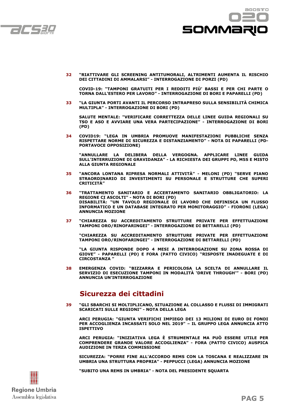



**32 "RIATTIVARE GLI SCREENING ANTITUMORALI, ALTRIMENTI AUMENTA IL RISCHIO DEI CITTADINI DI AMMALARSI" - INTERROGAZIONE DI PORZI (PD)**

 **COVID-19: "TAMPONI GRATUITI PER I REDDITI PIÙ' BASSI E PER CHI PARTE O TORNA DALL'ESTERO PER LAVORO" - INTERROGAZIONE DI BORI E PAPARELLI (PD)**

**33 "LA GIUNTA PORTI AVANTI IL PERCORSO INTRAPRESO SULLA SENSIBILITÀ CHIMICA MULTIPLA" - INTERROGAZIONE DI BORI (PD)**

 **SALUTE MENTALE: "VERIFICARE CORRETTEZZA DELLE LINEE GUIDA REGIONALI SU TSO E ASO E AVVIARE UNA VERA PARTECIPAZIONE" - INTERROGAZIONE DI BORI (PD)**

**34 COVID19: "LEGA IN UMBRIA PROMUOVE MANIFESTAZIONI PUBBLICHE SENZA RISPETTARE NORME DI SICUREZZA E DISTANZIAMENTO" - NOTA DI PAPARELLI (PD-PORTAVOCE OPPOSIZIONE)**

 **"ANNULLARE LA DELIBERA DELLA VERGOGNA. APPLICARE LINEE GUIDA SULL'INTERRUZIONE DI GRAVIDANZA" - LA RICHIESTA DEI GRUPPI PD, M5S E MISTO ALLA GIUNTA REGIONALE**

- **35 "ANCORA LONTANA RIPRESA NORMALI ATTIVITÀ" MELONI (PD) "SERVE PIANO STRAORDINARIO DI INVESTIMENTI SU PERSONALE E STRUTTURE CHE SUPERI CRITICITÀ"**
- **36 "TRATTAMENTO SANITARIO E ACCERTAMENTO SANITARIO OBBLIGATORIO: LA REGIONE CI ASCOLTI" - NOTA DI BORI (PD) DISABILITÀ: "UN TAVOLO REGIONALE DI LAVORO CHE DEFINISCA UN FLUSSO INFORMATICO E UN DATABASE INTEGRATO PER MONITORAGGIO" - FIORONI (LEGA) ANNUNCIA MOZIONE**
- **37 "CHIAREZZA SU ACCREDITAMENTO STRUTTURE PRIVATE PER EFFETTUAZIONE TAMPONI ORO/RINOFARINGEI" - INTERROGAZIONE DI BETTARELLI (PD)**

 **"CHIAREZZA SU ACCREDITAMENTO STRUTTURE PRIVATE PER EFFETTUAZIONE TAMPONI ORO/RINOFARINGEI" - INTERROGAZIONE DI BETTARELLI (PD)**

 **"LA GIUNTA RISPONDE DOPO 4 MESI A INTERROGAZIONE SU ZONA ROSSA DI GIOVE" - PAPARELLI (PD) E FORA (PATTO CIVICO) "RISPOSTE INADEGUATE E DI CIRCOSTANZA "**

**38 EMERGENZA COVID: "BIZZARRA E PERICOLOSA LA SCELTA DI ANNULLARE IL SERVIZIO DI ESECUZIONE TAMPONI IN MODALITÀ 'DRIVE THROUGH'" - BORI (PD) ANNUNCIA UN'INTERROGAZIONE**

## **Sicurezza dei cittadini**

**39 "GLI SBARCHI SI MOLTIPLICANO, SITUAZIONE AL COLLASSO E FLUSSI DI IMMIGRATI SCARICATI SULLE REGIONI" - NOTA DELLA LEGA**

 **ARCI PERUGIA: "GIUNTA VERIFICHI IMPIEGO DEI 13 MILIONI DI EURO DI FONDI PER ACCOGLIENZA INCASSATI SOLO NEL 2019" – IL GRUPPO LEGA ANNUNCIA ATTO ISPETTIVO**

 **ARCI PERUGIA: "INIZIATIVA LEGA È STRUMENTALE MA PUÒ ESSERE UTILE PER COMPRENDERE GRANDE VALORE ACCOGLIENZA" - FORA (PATTO CIVICO) AUSPICA AUDIZIONE IN TERZA COMMISSIONE**

 **SICUREZZA: "PORRE FINE ALL'ACCORDO REMS CON LA TOSCANA E REALIZZARE IN UMBRIA UNA STRUTTURA PROPRIA" - PEPPUCCI (LEGA) ANNUNCIA MOZIONE**



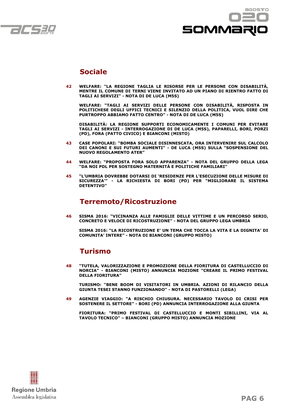



## **Sociale**

**42 WELFARE: "LA REGIONE TAGLIA LE RISORSE PER LE PERSONE CON DISABILITÀ, MENTRE IL COMUNE DI TERNI VIENE INVITATO AD UN PIANO DI RIENTRO FATTO DI TAGLI AI SERVIZI" - NOTA DI DE LUCA (M5S)**

 **WELFARE: "TAGLI AI SERVIZI DELLE PERSONE CON DISABILITÀ, RISPOSTA IN POLITICHESE DEGLI UFFICI TECNICI E SILENZIO DELLA POLITICA, VUOL DIRE CHE PURTROPPO ABBIAMO FATTO CENTRO" - NOTA DI DE LUCA (M5S)**

 **DISABILITÀ: LA REGIONE SUPPORTI ECONOMICAMENTE I COMUNI PER EVITARE TAGLI AI SERVIZI - INTERROGAZIONE DI DE LUCA (M5S), PAPARELLI, BORI, PORZI (PD), FORA (PATTO CIVICO) E BIANCONI (MISTO)**

- **43 CASE POPOLARI: "BOMBA SOCIALE DISINNESCATA, ORA INTERVENIRE SUL CALCOLO DEI CANONI E SUI FUTURI AUMENTI" - DE LUCA (M5S) SULLA "SOSPENSIONE DEL NUOVO REGOLAMENTO ATER"**
- **44 WELFARE: "PROPOSTA FORA SOLO APPARENZA" NOTA DEL GRUPPO DELLA LEGA "DA NOI PDL PER SOSTEGNO MATERNITÀ E POLITICHE FAMILIARI"**
- **45 "L'UMBRIA DOVREBBE DOTARSI DI 'RESIDENZE PER L'ESECUZIONE DELLE MISURE DI SICUREZZA'" - LA RICHIESTA DI BORI (PD) PER "MIGLIORARE IL SISTEMA DETENTIVO"**

## **Terremoto/Ricostruzione**

**46 SISMA 2016: "VICINANZA ALLE FAMIGLIE DELLE VITTIME E UN PERCORSO SERIO, CONCRETO E VELOCE DI RICOSTRUZIONE" - NOTA DEL GRUPPO LEGA UMBRIA**

 **SISMA 2016: "LA RICOSTRUZIONE E' UN TEMA CHE TOCCA LA VITA E LA DIGNITA' DI COMUNITA' INTERE" - NOTA DI BIANCONI (GRUPPO MISTO)**

## **Turismo**

**48 "TUTELA, VALORIZZAZIONE E PROMOZIONE DELLA FIORITURA DI CASTELLUCCIO DI NORCIA" - BIANCONI (MISTO) ANNUNCIA MOZIONE "CREARE IL PRIMO FESTIVAL DELLA FIORITURA"**

 **TURISMO: "BENE BOOM DI VISITATORI IN UMBRIA. AZIONI DI RILANCIO DELLA GIUNTA TESEI STANNO FUNZIONANDO" - NOTA DI PASTORELLI (LEGA)**

**49 AGENZIE VIAGGIO: "A RISCHIO CHIUSURA. NECESSARIO TAVOLO DI CRISI PER SOSTENERE IL SETTORE" - BORI (PD) ANNUNCIA INTERROGAZIONE ALLA GIUNTA**

 **FIORITURA: "PRIMO FESTIVAL DI CASTELLUCCIO E MONTI SIBILLINI, VIA AL TAVOLO TECNICO" – BIANCONI (GRUPPO MISTO) ANNUNCIA MOZIONE**

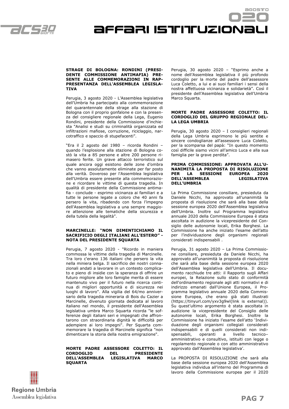

affari istituzionali

#### **STRAGE DI BOLOGNA: RONDINI (PRESI-DENTE COMMISSIONE ANTIMAFIA) PRE-SENTE ALLE COMMEMORAZIONI IN RAP-PRESENTANZA DELL'ASSEMBLEA LEGISLA-TIVA**

Perugia, 3 agosto 2020 - L'Assemblea legislativa dell'Umbria ha partecipato alla commemorazione del quarantennale della strage alla stazione di Bologna con il proprio gonfalone e con la presenza del consigliere regionale della Lega, Eugenio Rondini, presidente della Commissione d'inchiesta "Analisi e studi su criminalità organizzata ed infiltrazioni mafiose, corruzione, riciclaggio, narcotraffico e spaccio di stupefacenti".

"Era il 2 agosto del 1980 – ricorda Rondini – quando l'esplosione alla stazione di Bologna costò la vita a 85 persone e altre 200 persone rimasero ferite. Un grave attacco terroristico sul quale ancora oggi esistono delle zone d'ombra che vanno assolutamente eliminate per far posto alla verità. Doveroso per l'Assemblea legislativa dell'Umbria essere presente alla commemorazione e ricordare le vittime di questa tragedia. In qualità di presidente della Commissione antimafia - conclude - esprimo vicinanza ai familiari e a tutte le persone legate a coloro che 40 anni fa persero la vita, ribadendo con forza l'impegno dell'Assemblea legislativa a una sempre maggiore attenzione alle tematiche della sicurezza e della tutela della legalità".

#### **MARCINELLE: "NON DIMENTICHIAMO IL SACRIFICIO DEGLI ITALIANI ALL'ESTERO" - NOTA DEL PRESIDENTE SQUARTA**

Perugia, 7 agosto 2020 - "Ricordo in maniera commossa le vittime della tragedia di Marcinelle. Tra loro c'erano 136 italiani che persero la vita nella miniera belga. Il sacrificio dei nostri connazionali andati a lavorare in un contesto complicato e pieno di insidie con la speranza di offrire un futuro migliore alle loro famiglie merita di essere mantenuto vivo per il futuro nella ricerca continua di migliori opportunità e di sicurezza nei luoghi di lavoro". Alla vigilia del 64/mo anniversario della tragedia mineraria di Bois du Cazier a Marcinelle, divenuto giornata dedicata al lavoro italiano nel mondo, il presidente dell'Assemblea legislativa umbra Marco Squarta ricorda "le sofferenze degli italiani seri e impegnati che affrontarono con straordinaria dignità le difficoltà per adempiere ai loro impegni". Per Squarta commemorare la tragedia di Marcinelle significa "non dimenticare la storia della nostra emigrazione".

**MORTE PADRE ASSESSORE COLETTO: IL CORDOGLIO DEL PRESIDENTE DELL'ASSEMBLEA LEGISLATIVA MARCO SQUARTA**

Perugia, 30 agosto 2020 – "Esprimo anche a nome dell'Assemblea legislativa il più profondo cordoglio per la morte del padre dell'assessore Luca Coletto, a lui e ai suoi familiari i sensi della nostra affettuosa vicinanza e solidarietà". Così il presidente dell'Assemblea legislativa dell'Umbria Marco Squarta.

#### **MORTE PADRE ASSESSORE COLETTO: IL CORDOGLIO DEL GRUPPO REGIONALE DEL-LA LEGA UMBRIA**

Perugia, 30 agosto 2020 – I consiglieri regionali della Lega Umbria esprimono le più sentite e sincere condoglianze all'assessore Luca Coletto, per la scomparsa del papà: "In questo momento così difficile siamo vicini all'amico Luca e alla sua famiglia per la grave perdita".

#### **PRIMA COMMISSIONE: APPROVATA ALL'U-NANIMITÀ LA PROPOSTA DI RISOLUZIONE PER LA SESSIONE EUROPEA 2020 DELL'ASSEMBLEA DELL'UMBRIA**

La Prima Commissione consiliare, presieduta da Daniele Nicchi, ha approvato all'unanimità la proposta di risoluzione che sarà alla base della sessione europea 2020 dell'Assemblea legislativa dell'Umbria. Inoltre sul Programma legislativo annuale 2020 della Commissione Europea è stata ascoltata in audizione la vicepresidente del Consiglio delle autonomie locali, Erika Borghesi. La Commissione ha anche iniziato l'esame dell'atto per l'individuazione degli organismi regionali considerati indispensabili .

Perugia, 31 agosto 2020 – La Prima Commissione consiliare, presieduta da Daniele Nicchi, ha approvato all'unanimità la proposta di risoluzione che sarà alla base della sessione europea 2020 dell'Assemblea legislativa dell'Umbria. Il documento racchiude tre atti: il Rapporto sugli Affari europei, la Relazione sullo stato di conformità dell'ordinamento regionale agli atti normativi e di indirizzo emanati dall'Unione Europea, il Programma legislativo annuale 2020 della Commissione Europea, che erano già stati illustrati (https://tinyurl.com/yxv3g9wl(link is external)). Su quest'ultimo argomento è stata ascoltata in audizione la vicepresidente del Consiglio delle autonomie locali, Erika Borghesi. Inoltre la Commissione ha iniziato l'esame dell'atto 'Individuazione degli organismi collegiali considerati indispensabili e di quelli considerati non indispensabili, operanti a livello tecnico– amministrativo e consultivo, istituiti con legge o regolamento regionale o con atto amministrativo approvato dall'Assemblea legislativa'.

La PROPOSTA DI RISOLUZIONE che sarà alla base della sessione europea 2020 dell'Assemblea legislativa individua all'interno del Programma di lavoro della Commissione europea per il 2020

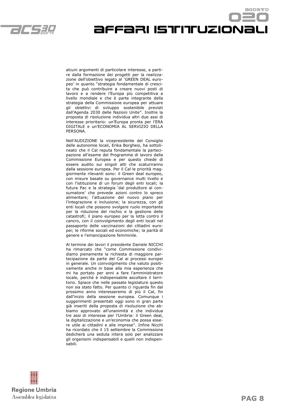

affari istituzionali

agostro

alcuni argomenti di particolare interesse, a partire dalla formazione dei progetti per la realizzazione dell'obiettivo legato al 'GREEN DEAL europeo' in quanto "strategia fondamentale di crescita che può contribuire a creare nuovi posti di lavoro e a rendere l'Europa più competitiva a livello mondiale e che è parte integrante della strategia della Commissione europea per attuare gli obiettivi di sviluppo sostenibile previsti dall'Agenda 2030 delle Nazioni Unite". Inoltre la proposta di risoluzione individua altri due assi di interesse prioritario: un'Europa pronta per l'ERA DIGITALE e un'ECONOMIA AL SERVIZIO DELLA PERSONA.

Nell'AUDIZIONE la vicepresidente del Consiglio delle autonomie locali, Erika Borghesi, ha sottolineato che il Cal reputa fondamentale la partecipazione all'esame del Programma di lavoro della Commissione Europea e per questo chiede di essere audito sui singoli atti che scaturiranno dalla sessione europea. Per il Cal le priorità maggiormente rilevanti sono: il Green deal europeo, con misure basate su governance multi livello e con l'istituzione di un forum degli enti locali; la futura Pac e la strategia 'dal produttore al consumatore' che prevede azioni contro lo spreco alimentare; l'attuazione del nuovo piano per l'integrazione e inclusione; la sicurezza, con gli enti locali che possono svolgere ruolo importante per la riduzione del rischio e la gestione delle catastrofi; il piano europeo per la lotta contro il cancro, con il coinvolgimento degli enti locali nel passaporto delle vaccinazioni dei cittadini europei; le riforme sociali ed economiche; la parità di genere e l'emancipazione femminile.

Al termine dei lavori il presidente Daniele NICCHI ha rimarcato che "come Commissione condividiamo pienamente la richiesta di maggiore partecipazione da parte del Cal ai processi europei in generale. Un coinvolgimento che valuto positivamente anche in base alla mia esperienza che mi ha portato per anni a fare l'amministratore locale, perché è indispensabile ascoltare il territorio. Spiace che nelle passate legislature questo non sia stato fatto. Per quanto ci riguarda fin dal prossimo anno interesseremo di più il Cal, fin dall'inizio della sessione europea. Comunque i suggerimenti presentati oggi sono in gran parte già inseriti della proposta di risoluzione che abbiamo approvato all'unanimità e che individua tre assi di interesse per l'Umbria: il Green deal, la digitalizzazione e un'economia che possa essere utile ai cittadini e alle imprese". Infine Nicchi ha ricordato che il 15 settembre la Commissione dedicherà una seduta intera solo per analizzare gli organismi indispensabili e quelli non indispensabili.

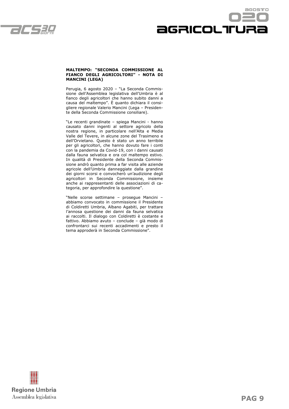



#### **MALTEMPO: "SECONDA COMMISSIONE AL FIANCO DEGLI AGRICOLTORI" - NOTA DI MANCINI (LEGA)**

Perugia, 6 agosto 2020 – "La Seconda Commissione dell'Assemblea legislativa dell'Umbria è al fianco degli agricoltori che hanno subito danni a causa del maltempo". È quanto dichiara il consigliere regionale Valerio Mancini (Lega – Presidente della Seconda Commissione consiliare).

"Le recenti grandinate – spiega Mancini - hanno causato danni ingenti al settore agricolo della nostra regione, in particolare nell'Alta e Media Valle del Tevere, in alcune zone del Trasimeno e dell'Orvietano. Questo è stato un anno terribile per gli agricoltori, che hanno dovuto fare i conti con la pandemia da Covid-19, con i danni causati dalla fauna selvatica e ora col maltempo estivo. In qualità di Presidente della Seconda Commissione andrò quanto prima a far visita alle aziende agricole dell'Umbria danneggiate dalla grandine dei giorni scorsi e convocherò un'audizione degli agricoltori in Seconda Commissione, insieme anche ai rappresentanti delle associazioni di categoria, per approfondire la questione".

"Nelle scorse settimane – prosegue Mancini – abbiamo convocato in commissione il Presidente di Coldiretti Umbria, Albano Agabiti, per trattare l'annosa questione dei danni da fauna selvatica ai raccolti. Il dialogo con Coldiretti è costante e fattivo. Abbiamo avuto – conclude – già modo di confrontarci sui recenti accadimenti e presto il tema approderà in Seconda Commissione".

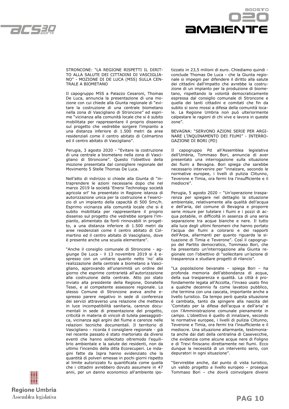



STRONCONE: "LA REGIONE RISPETTI IL DIRIT-TO ALLA SALUTE DEI CITTADINI DI VASCIGLIA-NO" - MOZIONE DI DE LUCA (M5S) SULLA CEN-TRALE A BIOMETANO

Il capogruppo M5S a Palazzo Cesaroni, Thomas De Luca, annuncia la presentazione di una mozione con cui chiede alla Giunta regionale di "evitare la costruzione di una centrale biometano nella zona di Vascigliano di Stroncone" ed esprime "vicinanza alla comunità locale che si è subito mobilitata per rappresentare il proprio dissenso sul progetto che vedrebbe sorgere l'impianto a una distanza inferiore di 1.500 metri da aree residenziali come il centro abitato di Colmartino ed il centro abitato di Vascigliano".

Perugia, 3 agosto 2020 - "Evitare la costruzione di una centrale a biometano nella zona di Vascigliano di Stroncone". Questo l'obiettivo della mozione presentata dal consigliere regionale del Movimento 5 Stelle Thomas De Luca.

Nell'atto di indirizzo si chiede alla Giunta di "intraprendere le azioni necessarie dopo che nel marzo 2019 la società 'Enersi Technology società agricola srl' ha presentato in Regione istanza di autorizzazione unica per la costruzione e l'esercizio di un impianto della capacità di 500 Smc/h. Esprimo vicinanza alla comunità locale che si è subito mobilitata per rappresentare il proprio dissenso sul progetto che vedrebbe sorgere l'impianto, alimentato da fonti rinnovabili in progetto, a una distanza inferiore di 1.500 metri da aree residenziali come il centro abitato di Colmartino ed il centro abitato di Vascigliano, dove è presente anche una scuola elementare".

"Anche il consiglio comunale di Stroncone - aggiunge De Luca - il 13 novembre 2019 si è espresso con un unitario quanto netto 'no' alla realizzazione della centrale a biometano a Vascigliano, approvando all'unanimità un ordine del giorno che esprime contrarietà all'autorizzazione alla costruzione della centrale. Atto poi stato inviato alla presidente della Regione, Donatella Tesei, e al competente assessore regionale. Lo stesso Comune di Stroncone aveva anche espresso parere negativo in sede di conferenza dei servizi attraverso una relazione che metteva in luce incompatibilità sanitaria, carenze documentali in sede di presentazione del progetto, criticità in materia di vincoli di tutela paesaggistica, vicinanza agli argini del fiume e carenze nelle relazioni tecniche documentali. Il territorio di Vascigliano - ricorda il consigliere regionale - già nel recente passato è stato martoriato da diversi eventi che hanno sollecitato oltremodo l'equilibrio ambientale e la salute dei residenti, non da ultimo l'incendio della ditta Ecorecuperi. Le indagini fatte da Ispra hanno evidenziato che la quantità di polveri emesse in pochi giorni rispetto al limite autorizzato fu quantificata come quella che i cittadini avrebbero dovuto assumere in 47 anni, per un danno economico all'ambiente ipotizzato in 23,5 milioni di euro. Chiediamo quindi conclude Thomas De Luca - che la Giunta regionale si impegni per difendere il diritto alla salute dei cittadini dall'impatto che avrebbe la costruzione di un impianto per la produzione di biometano, rispettando la volontà democraticamente espressa dal consiglio comunale di Stroncone e quella dei tanti cittadini e comitati che fin da subito si sono mossi a difesa della comunità locale. La Regione Umbria non può ulteriormente calpestare le ragioni di chi vive e lavora in queste zone".

BEVAGNA: "SERVONO AZIONI SERIE PER ARGI-NARE L'INQUINAMENTO DEI FIUMI" - INTERRO-GAZIONE DI BORI (PD)

Il capogruppo Pd all'Assemblea legislativa dell'Umbria, Tommaso Bori, annuncia di aver presentato una interrogazione sulla situazione dei fiumi a Bevagna. Bori spiega che sarebbe necessario intervenire per "innalzare, secondo le normative europee, i livelli di pulizia Clitunno, Teverone e Timia, ora fermi tra l'insufficiente e il mediocre".

Perugia, 5 agosto 2020 – "Un'operazione trasparenza per spiegare nel dettaglio la situazione ambientale, relativamente alla qualità dell'acqua e dell'aria, del comune di Bevagna e proporre serie misure per tutelare i fiumi e i pozzi di acqua potabile, in difficoltà in assenza di una seria separazione tra acque bianche e nere. Il tutto alla luce degli ultimi fenomeni che hanno portato l'acqua dei fiumi a colorarsi e dei rapporti dell'Arpa, allarmanti per quanto riguarda la situazione di Timia e Teverone". Così il capogruppo del Partito democratico, Tommaso Bori, che ha presentato un'interrogazione alla Giunta regionale con l'obiettivo di "sollecitare un'azione di trasparenza e studiare progetti di rilancio".

"La popolazione bevanate – spiega Bori – ha profonda memoria dell'abbondanza di acqua, della sua trasparenza e qualità. La città è profondamente legata all'Accolta, l'invaso usato fino a qualche decennio fa come lavatoio pubblico, che termina con una cascata, importante anche a livello turistico. Da tempo però questa situazione è cambiata, tanto da spingere alla nascita del 'Comitato per la difesa dell'acqua e dell'aria' e con l'Amministrazione comunale pienamente in campo. L'obiettivo è quello di innalzare, secondo le normative europee, i livelli di pulizia Clitunno, Teverone e Timia, ora fermi tra l'insufficiente e il mediocre. Una situazione allarmante, testimoniata anche dai dati della centralina di Casevecchie, che evidenzia come alcune acque nere di Foligno e di Trevi finiscano direttamente nei fiumi. Ecco dunque la necessità di un intervento serio, con depuratori in ogni situazione".

"Servirebbe anche, dal punto di vista turistico, un valido progetto a livello europeo – prosegue Tommaso Bori – che dovrà coinvolgere diversi

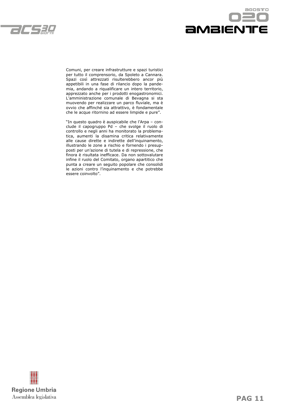



Comuni, per creare infrastrutture e spazi turistici per tutto il comprensorio, da Spoleto a Cannara. Spazi così attrezzati risulterebbero ancor più appetibili in una fase di rilancio dopo la pandemia, andando a riqualificare un intero territorio, apprezzato anche per i prodotti enogastronomici. L'amministrazione comunale di Bevagna si sta muovendo per realizzare un parco fluviale, ma è ovvio che affinché sia attrattivo, è fondamentale che le acque ritornino ad essere limpide e pure".

"In questo quadro è auspicabile che l'Arpa – conclude il capogruppo Pd – che svolge il ruolo di controllo e negli anni ha monitorato la problematica, aumenti la disamina critica relativamente alle cause dirette e indirette dell'inquinamento, illustrando le zone a rischio e fornendo i presupposti per un'azione di tutela e di repressione, che finora è risultata inefficace. Da non sottovalutare infine il ruolo del Comitato, organo apartitico che punta a creare un seguito popolare che consolidi le azioni contro l'inquinamento e che potrebbe essere coinvolto".

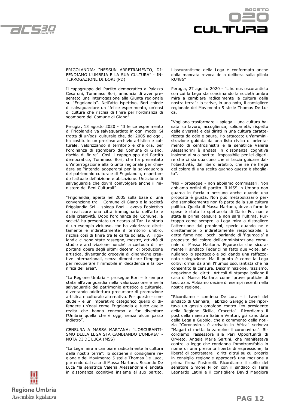



FRIGOLANDIA: "NESSUN ARRETRAMENTO, DI-FENDIAMO L'UMBRIA E LA SUA CULTURA" - IN-TERROGAZIONE DI BORI (PD)

Il capogruppo del Partito democratico a Palazzo Cesaroni, Tommaso Bori, annuncia di aver presentato una interrogazione alla Giunta regionale su "Frigolandia". Nell'atto ispettivo, Bori chiede di salvaguardare un "felice esperimento, un'oasi di cultura che rischia di finire per l'ordinanza di sgombero del Comune di Giano".

Perugia, 13 agosto 2020 - "Il felice esperimento di Frigolandia va salvaguardato in ogni modo. Si tratta di un'oasi culturale che, dal 2005 ad oggi, ha costituito un prezioso archivio artistico e culturale, valorizzando il territorio e che ora, per l'ordinanza di sgombero del Comune di Giano, rischia di finire". Così il capogruppo del Partito democratico, Tommaso Bori, che ha presentato un'interrogazione alla Giunta regionale per chiedere se "intenda adoperarsi per la salvaguardia del patrimonio culturale di Frigolandia, rispettando l'attuale definizione e ubicazione. Un'azione di salvaguardia che dovrà coinvolgere anche il ministero dei Beni Culturali".

"Frigolandia, aperta nel 2005 sulla base di una convenzione tra il Comune di Giano e la società Frigolandia Srl – spiega Bori – aveva l'obiettivo di realizzare una città immaginaria dell'arte e della creatività. Dopo l'ordinanza del Comune, la società ha presentato un ricorso al Tar. La storia di un esempio virtuoso, che ha valorizzato direttamente e indirettamente il territorio umbro, rischia così di finire tra le carte bollate. A Frigolandia ci sono state rassegne, mostre, attività di studio e archiviazione nonché la custodia di importanti opere degli ultimi decenni di produzione artistica, diventando crocevia di dinamiche creative internazionali, senza dimenticare l'impegno per recuperare l'immobile in decadenza e la bonifica dell'area".

"La Regione Umbria – prosegue Bori – è sempre stata all'avanguardia nella valorizzazione e nella salvaguardia del patrimonio artistico e culturale, diventando addirittura precursore di promozione artistica e culturale alternativa. Per questo - conclude - è un imperativo categorico quello di difendere un'oasi come Frigolandia e tutte quelle realtà che hanno concorso a far diventare l'Umbria quella che è oggi, senza alcun passo indietro".

CENSURA A MASSA MARTANA: "L'OSCURANTI-SMO DELLA LEGA STA CAMBIANDO L'UMBRIA" - NOTA DI DE LUCA (M5S)

"La Lega mira a cambiare radicalmente la cultura della nostra terra": lo sostiene il consigliere regionale del Movimento 5 stelle Thomas De Luca, partendo dal caso di Massa Martana. Secondo De Luca "la senatrice Valeria Alessandrini è andata in dissonanza cognitiva insieme al suo partito. L'oscurantismo della Lega è confermato anche dalla mancata revoca della delibera sulla pillola RU486" .

Perugia, 27 agosto 2020 - "L'humus oscurantista con cui la Lega sta concimando la società umbra mira a cambiare radicalmente la cultura della nostra terra": lo scrive, in una nota, il consigliere regionale del Movimento 5 stelle Thomas De Luca.

"Vogliono trasformare - spiega - una cultura basata su lavoro, accoglienza, solidarietà, rispetto delle diversità e dei diritti in una cultura caratterizzata da odio e paura. Ho attaccato un'amministrazione guidata da una lista civica di orientamento di centrosinistra e la senatrice Valeria Alessandrini è andata in dissonanza cognitiva insieme al suo partito. Impossibile per lei digerire che ci sia qualcuno che si lascia guidare dall'obiettività, dal libero arbitrio, che se ne frega del colore di una scelta quando questa è sbagliata".

"Noi - prosegue - non abbiamo commissari. Non abbiamo ordini di partito. Il M5S in Umbria non guarda in faccia a nessuno anche quando una proposta è giusta. Non può metabolizzarlo perché semplicemente non fa parte della sua cultura politica. Quella di Massa Martana, dove a farne le spese è stato lo spettacolo di Dario Fo, non è stata la prima censura e non sarà l'ultima. Purtroppo come sempre la Lega mira a distogliere l'attenzione dai problemi, specie quando ne è direttamente o indirettamente responsabile. E getta fumo negli occhi parlando di 'figuraccia' a proposito del colore dell'amministrazione comunale di Massa Martana. Figuraccia che sicuramente il sindaco Federici ha fatto due volte, annullando lo spettacolo e poi dando una raffazzonata spiegazione. Ma il punto è come la Lega coltivi ormai da anni l'humus oscurantista che ha consentito la censura. Discriminazione, razzismo, negazione dei diritti. Articoli di stampa bollano il caso di Massa Martana come 'prove pratiche di teocrazia. Abbiamo decine di esempi recenti nella nostra regione.

"Ricordiamo - continua De Luca - il tweet del sindaco di Cannara, Fabrizio Gareggia che riportava un gossip omofobo contro l'ex presidente della Regione Sicilia, Crocetta". Ricordiamo il post della maestra Sabina Venturi, già candidata della Lega a Gubbio, che a commento della notizia "Coronavirus è arrivato in Africa" scriveva "Magari ci metta lo zampino il coronavirus". Ricordiamo l'assessora alle Pari Opportunità di Orvieto, Angela Maria Sartini, che manifestava contro la legge che condanna l'omotransfobia in nome di una presunta libertà di espressione, la libertà di contrastare i diritti altrui su cui proprio in consiglio regionale approderà una mozione a prima firma Pastorelli. Ricordiamo il selfie del senatore Simone Pillon con il sindaco di Terni Leonardo Latini e il consigliere David Maggiora

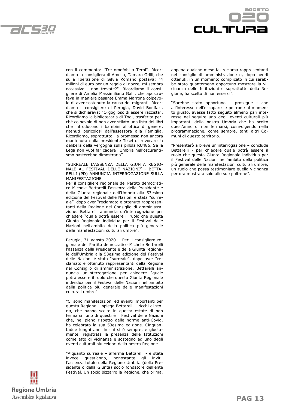



con il commento: "Tre omofobi a Terni". Ricordiamo la consigliera di Amelia, Tamara Grilli, che sulla liberazione di Silvia Romano postava: "4 milioni di euro per un regalo di nozze, mi sembra eccessivo... non trovate?". Ricordiamo il consigliere di Amelia Massimiliano Galli, che apostrofava in maniera pesante Emma Marrone colpevole di aver sostenuto la causa dei migranti. Ricordiamo il consigliere di Perugia, David Bonifazi, che si dichiarava: "Orgoglioso di essere razzista". Ricordiamo la bibliotecaria di Todi, trasferita perché colpevole di non aver stilato una lista dei libri che introducono i bambini all'ottica di genere, ritenuti pericolosi dall'assessora alla Famiglia. Ricordiamo, soprattutto, la promessa non ancora mantenuta dalla presidente Tesei di revocare la delibera della vergogna sulla pillola RU486. Se la Lega non vuol far cadere l'Umbria nell'oscurantismo basterebbe dimostrarlo".

"SURREALE L'ASSENZA DELLA GIUNTA REGIO-NALE AL FESTIVAL DELLE NAZIONI" - BETTA-RELLI (PD) ANNUNCIA INTERROGAZIONE SULLA MANIFESTAZIONE

Per il consigliere regionale del Partito democratico Michele Bettarelli l'assenza della Presidente e della Giunta regionale dell'Umbria alla 53esima edizione del Festival delle Nazioni è stata "surreale", dopo aver "reclamato e ottenuto rappresentanti della Regione nel Consiglio di amministrazione. Bettarelli annuncia un'interrogazione per chiedere "quale potrà essere il ruolo che questa Giunta Regionale individua per il Festival delle Nazioni nell'ambito della politica più generale delle manifestazioni culturali umbre".

Perugia, 31 agosto 2020 – Per il consigliere regionale del Partito democratico Michele Bettarelli l'assenza della Presidente e della Giunta regionale dell'Umbria alla 53esima edizione del Festival delle Nazioni è stata "surreale", dopo aver "reclamato e ottenuto rappresentanti della Regione nel Consiglio di amministrazione. Bettarelli annuncia un'interrogazione per chiedere "quale potrà essere il ruolo che questa Giunta Regionale individua per il Festival delle Nazioni nell'ambito della politica più generale delle manifestazioni culturali umbre".

"Ci sono manifestazioni ed eventi importanti per questa Regione – spiega Bettarelli - ricchi di storia, che hanno scelto in questa estate di non fermarsi: uno di questi è il Festival delle Nazioni che, nel pieno rispetto delle norme anti-Covid, ha celebrato la sua 53esima edizione. Cinquantadue lunghi anni in cui si è sempre, e giustamente, registrata la presenza delle Istituzioni come atto di vicinanza e sostegno ad uno degli eventi culturali più celebri della nostra Regione.

"Alquanto surreale – afferma Bettarelli - è stata invece quest'anno, nonostante gli inviti, l'assenza totale della Regione Umbria (della Presidente o della Giunta) socio fondatore dell'ente Festival. Un socio bizzarro la Regione, che prima,



"Sarebbe stato opportuno – prosegue - che all'interesse nell'occupare le poltrone al momento giusto, avesse fatto seguito almeno pari interesse nel seguire uno degli eventi culturali più importanti della nostra Umbria che ha scelto quest'anno di non fermarsi, coinvolgendo nella programmazione, come sempre, tanti altri Comuni di questo territorio.

"Presenterò a breve un'interrogazione – conclude Bettarelli - per chiedere quale potrà essere il ruolo che questa Giunta Regionale individua per il Festival delle Nazioni nell'ambito della politica più generale delle manifestazioni culturali umbre, un ruolo che possa testimoniare quella vicinanza per ora mostrata solo alle sue poltrone".

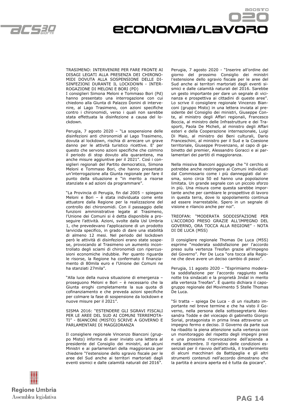

## Economia/lavoro

TRASIMENO: INTERVENIRE PER FARE FRONTE AI DISAGI LEGATI ALLA PRESENZA DEI CHIRONO-MIDI DOVUTA ALLA SOSPENSIONE DELLE DI-SINFEZIONI DURANTE IL LOCKDOWN - INTER-ROGAZIONE DI MELONI E BORI (PD)

I consiglieri Simona Meloni e Tommaso Bori (Pd) hanno presentato una interrogazione con cui chiedono alla Giunta di Palazzo Donini di intervenire, al Lago Trasimeno, con azioni specifiche contro i chironomidi, verso i quali non sarebbe stata effettuata la disinfezione a causa del lockdown.

Perugia, 7 agosto 2020 – "La sospensione delle disinfezioni anti chironomidi al Lago Trasimeno, dovuta al lockdown, rischia di arrecare un grave danno per le attività turistico ricettive. E' per questo che servono azioni specifiche che colmino il periodo di stop dovuto alla quarantena, ma anche misure aggiuntive per il 2021". Così i consiglieri regionali del Partito democratico, Simona Meloni e Tommaso Bori, che hanno presentato un'interrogazione alla Giunta regionale per fare il punto della situazione e "in merito a risorse stanziate e ad azioni da programmare".

"La Provincia di Perugia, fin dal 2005 – spiegano Meloni e Bori – è stata individuata come ente attuatore dalla Regione per la realizzazione del controllo dei chironomidi. Con il passaggio delle funzioni amministrative legate al Trasimeno, l'Unione dei Comuni si è detta disponibile a proseguire l'attività. Azioni, svolte dalla Usl Umbria 1, che prevedevano l'applicazione di un prodotto larvicida specifico, in grado di dare una stabilità di almeno 12 mesi. Nel periodo del lockdown però le attività di disinfezioni erano state sospese, provocando al Trasimeno un aumento incontrollato degli sciami di chironomidi con ripercussioni economiche indubbie. Per quanto riguarda le risorse, la Regione ha confermato il finanziamento di 80mila euro e l'Unione dei Comuni ne ha stanziati 27mila".

"Alla luce della nuova situazione di emergenza – proseguono Meloni e Bori – è necessario che la Giunta eroghi completamente la sua quota di cofinanziamento e che preveda azioni specifiche per colmare la fase di sospensione da lockdown e nuove misure per il 2021".

SISMA 2016: "ESTENDERE GLI SGRAVI FISCALI PER LE AREE DEL SUD AI COMUNI TERREMOTA-TI" - BIANCONI (MISTO) SCRIVE A GOVERNO E PARLAMENTARI DI MAGGIORANZA

Il consigliere regionale Vincenzo Bianconi (gruppo Misto) informa di aver inviato una lettera al presidente del Consiglio dei ministri, ad alcuni Ministri e ai parlamentari della maggioranza per chiedere "l'estensione dello sgravio fiscale per le aree del Sud anche ai territori martoriati dagli eventi sismici e dalle calamità naturali del 2016".

Perugia, 7 agosto 2020 - "Inserire all'ordine del giorno del prossimo Consiglio dei ministri l'estensione dello sgravio fiscale per le aree del Sud anche ai territori martoriati dagli eventi sismici e dalle calamità naturali del 2016. Sarebbe un gesto importante per dare un segnale di vicinanza e prospettiva ai cittadini di queste aree". Lo scrive il consigliere regionale Vincenzo Bianconi (gruppo Misto) in una lettera inviata al presidente del Consiglio dei ministri, Giuseppe Conte, al ministro degli Affari regionali, Francesco Boccia, al ministro delle Infrastrutture e dei Trasporti, Paola De Micheli, al ministro degli Affari esteri e della Cooperazione internazionale, Luigi Di Maio, al ministro dei Beni culturali, Dario Franceschini, al ministro per il Sud e la Coesione territoriale, Giuseppe Provenzano, al capo di gabinetto del premier, Alessandro Goracci e ai parlamentari dei partiti di maggioranza.

Nella missiva Bianconi aggiunge che "il cerchio si potrebbe anche restringere ai Comuni individuati dal Commissario come i più danneggiati dal sisma, sono circa 50 ed hanno una popolazione limitata. Un grande segnale con un piccolo sforzo in più. Una misura come questa sarebbe importante anche per cambiare le prospettive di lavoro in questa terra, dove lo spopolamento continua ad essere inarrestabile. Spero in un segnale di visione e rilancio anche per noi".

TREOFAN: "MODERATA SODDISFAZIONE PER L'ACCORDO PRESO GRAZIE ALL'IMPEGNO DEL GOVERNO, ORA TOCCA ALLA REGIONE" - NOTA DI DE LUCA (M5S)

Il consigliere regionale Thomas De Luca (M5S) esprime "moderata soddisfazione per l'accordo preso sulla vertenza Treofan grazie all'impegno del Governo". Per De Luca "ora tocca alla Regione che deve avere un deciso cambio di passo".

Perugia, 11 agosto 2020 – "Esprimiamo moderata soddisfazione per l'accordo raggiunto nella notte tra sindacati e la proprietà Jindal in merito alla vertenza Treofan". È quanto dichiara il capogruppo regionale del Movimento 5 Stelle Thomas De Luca.

"Si tratta – spiega De Luca - di un risultato importante nel breve termine e che ha visto il Governo, nella persona della sottosegretario Alessandra Todde e del vicecapo di gabinetto Giorgio Sorial, protagonista in prima linea attraverso un impegno fermo e deciso. Il Governo da parte sua ha ribadito la piena attenzione sulla vertenza con un monitoraggio del rispetto degli impegni presi e una prossima riconvocazione dell'azienda a metà settembre. Il ripristino delle condizioni essenziali per il riavvio dell'attività, il trasferimento di alcuni macchinari da Battipaglia e gli altri strumenti contenuti nell'accordo dimostrano che la partita è ancora aperta ed è tutta da giocare".

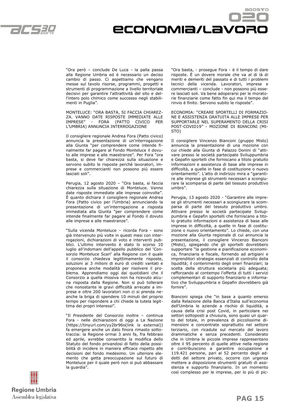



"Ora però – conclude De Luca - la palla passa alla Regione Umbria ed è necessario un deciso cambio di passo. Ci aspettiamo che vengano messe sul tavolo risorse, programmi, progetti e strumenti di programmazione a livello territoriale decisivi per garantire l'attrattività del sito e dell'intero polo chimico come successo negli stabilimenti in Puglia".

MONTELUCE: "ORA BASTA, SI FACCIA CHIAREZ-ZA. VANNO DATE RISPOSTE IMMEDIATE ALLE IMPRESE" - FORA (PATTO CIVICO PER L'UMBRIA) ANNUNCIA INTERROGAZIONE

Il consigliere regionale Andrea Fora (Patto civico) annuncia la presentazione di un'interrogazione alla Giunta "per comprendere come intende finalmente far pagare al Fondo Monteluce il dovuto alle imprese e alle maestranze". Per Fora "ora basta, si deve far chiarezza sulla situazione e servono subito le risposte perché lavoratori, imprese e commercianti non possono più essere lasciati soli".

Perugia, 12 agosto 2020 – "Ora basta, si faccia chiarezza sulla situazione di Monteluce. Vanno date risposte immediate alle imprese coinvolte". È quanto dichiara il consigliere regionale Andrea Fora (Patto civico per l'Umbria) annunciando la presentazione di un'interrogazione a risposta immediata alla Giunta "per comprendere come intende finalmente far pagare al Fondo il dovuto alle imprese e alle maestranze".

"Sulla vicenda Monteluce – ricorda Fora - sono già intervenuto più volte in questi mesi con interrogazioni, dichiarazioni di voto e interventi pubblici. L'ultimo intervento è stato lo scorso 10 luglio all'indomani dell'appello pubblico del 'Consorzio Monteluce Scarl' alla Regione con il quale il consorzio chiedeva legittimamente risposte, soluzioni ai 3 milioni di euro di crediti vantati e proponeva anche modalità per risolvere il problema. Apprendiamo oggi dai quotidiani che il Consorzio a quella missiva non ha ricevuto alcuna risposta dalla Regione. Non si può tollerare che nonostante le gravi difficoltà arrecate a imprese e oltre 200 lavoratori non ci si prenda neanche la briga di spendere 10 minuti del proprio tempo per rispondere a chi chiede la tutela legittima dei propri interessi".

"Il Presidente del Consorzio inoltre – continua Fora - nelle dichiarazioni di oggi a La Nazione (https://tinyurl.com/yy2br96o(link is external)) fa emergere anche un dato finora rimasto sottotraccia: la Regione ormai 3 anni fa, fra febbraio ed aprile, avrebbe consentito la modifica dello Statuto del fondo privandosi di fatto della possibilità di incidere in maniera efficace rispetto alle decisioni del fondo medesimo. Un ulteriore elemento che getta preoccupazione sul futuro di Monteluce per il quale però non si può abbassare la guardia".

"Ora basta, - prosegue Fora - è il tempo di dare risposte. È un dovere morale che va al di là di meriti e demeriti del passato e di tutti i problemi tecnici della vicenda. Lavoratori, imprese e commercianti – conclude - non possono più essere lasciati soli. Va bene adoperarsi per le moratorie finanziarie come fatto fin qui ma il tempo del rinvio è finito. Servono subito le risposte".

ECONOMIA: "CREARE SPORTELLI DI FORMAZIO-NE E ASSISTENZA GRATUITA ALLE IMPRESE PER SUPPORTARLE NEL SUPERAMENTO DELLA CRISI POST-COVID19" - MOZIONE DI BIANCONI (MI-STO)

Il consigliere Vincenzo Bianconi (gruppo Misto) annuncia la presentazione di una mozione con cui chiede alla Giunta di Palazzo Donini di "attivare presso le società partecipate Sviluppumbria e Gepafin sportelli che forniscano a titolo gratuito informazioni e assistenza di base alle imprese in difficoltà, a quelle in fase di costituzione o nuovo orientamento". L'atto di indirizzo mira a "garantire alle imprese gli strumenti necessari a scongiurare la scomparsa di parte del tessuto produttivo umbro".

Perugia, 13 agosto 2020 - "Garantire alle imprese gli strumenti necessari a scongiurare la scomparsa di parte del tessuto produttivo umbro. .<br>Attivare presso le società partecipate Sviluppumbria e Gepafin sportelli che forniscano a titolo gratuito informazioni e assistenza di base alle imprese in difficoltà, a quelle in fase di costituzione o nuovo orientamento". Lo chiede, con una mozione alla Giunta regionale di cui annuncia la presentazione, il consigliere Vincenzo Bianconi (Misto), spiegando che gli sportelli dovrebbero supportare "la gestione e pianificazione economica, finanziaria e fiscale, fornendo ad artigiani e imprenditori strategie essenziali di controllo della liquidità; il contenimento degli oneri finanziari; la scelta della struttura societaria più adeguata; rafforzando al contempo l'offerta di tutti i servizi complementari di supporto finanziario e informativo che Sviluppumbria e Gepafin dovrebbero già fornire".

Bianconi spiega che "in base a quanto emerso dalla Relazione della Banca d'Italia sull'economia dell'Umbria le aziende a rischio di liquidità, a causa della crisi post Covid, in particolare nei settori sottoposti a chiusura, sono quasi un quarto del totale, in prevalenza di piccolissime dimensioni e concentrate soprattutto nel settore terziario, con ricadute sul mercato del lavoro drammatiche e senza precedenti. Considerato che in Umbria le piccole imprese rappresentano oltre il 95 percento di quelle attive nella regione e contribuiscono a garantire occupazione a 119.421 persone, pari al 52 percento degli addetti del settore privato, occorre con urgenza mettere a disposizione strumenti gratuiti di assistenza e supporto finanziario. In un momento così complesso per le imprese, per lo più di pic-

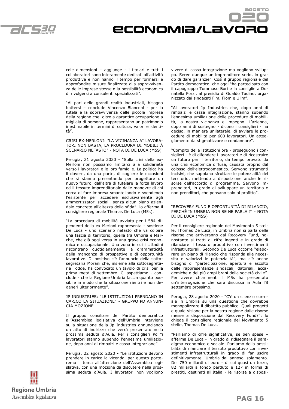



cole dimensioni – aggiunge - i titolari e tutti i collaboratori sono interamente dedicati all'attività produttiva e non hanno il tempo per formarsi e approfondire misure finalizzate alla sopravvivenza delle imprese stesse o la possibilità economica di rivolgersi a consulenti specializzati".

"Al pari delle grandi realtà industriali, bisogna battersi – conclude Vincenzo Bianconi - per la tutela e la sopravvivenza delle piccole imprese della regione che, oltre a garantire occupazione a migliaia di persone, rappresentano un patrimonio inestimabile in termini di cultura, valori e identità".

CRISI EX-MERLONI: "LA VICINANZA AI LAVORA-TORI NON BASTA, LA PROCEDURA DI MOBILITÀ SCENARIO NEFASTO" - NOTA DI DE LUCA (M5S)

Perugia, 21 agosto 2020 - "Sulla crisi della ex-Merloni non possiamo limitarci alla solidarietà verso i lavoratori e le loro famiglie. La politica ha il dovere, da una parte, di cogliere le occasioni che si stanno presentando per progettare un nuovo futuro, dall'altra di tutelare la forza lavoro ed il tessuto imprenditoriale dalle manovre di chi cerca di fare impresa smantellando e svendendo l'esistente per accedere esclusivamente agli ammortizzatori sociali, senza alcun piano aziendale concreto all'altezza della sfida": lo afferma il consigliere regionale Thomas De Luca (M5s).

"La procedura di mobilità avviata per i 584 dipendenti della ex Merloni rappresenta - sostiene De Luca - uno scenario nefasto che va colpire una fascia di territorio, quella tra Umbria e Marche, che già oggi versa in una grave crisi economica e occupazionale. Una zona in cui i cittadini riscontrano quotidianamente la drammaticità della mancanza di prospettive e di opportunità lavorative. Di positivo c'è l'annuncio della sottosegretaria Morani che, insieme alla sottosegretaria Todde, ha convocato un tavolo di crisi per la prima metà di settembre. Ci aspettiamo - conclude - che la Regione Umbria faccia quanto possibile in modo che la situazione rientri e non degeneri ulteriormente".

JP INDUSTRIES: "LE ISTITUZIONI PRENDANO IN CARICO LA SITUAZIONE" - GRUPPO PD ANNUN-CIA MOZIONE

Il gruppo consiliare del Partito democratico all'Assemblea legislativa dell'Umbria interviene sulla situazione della Jp Industries annunciando un atto di indirizzo che verrà presentato nella prossima seduta d'Aula. Per i consiglieri Pd "i lavoratori stanno subendo l'ennesima umiliazione, dopo anni di rimbalzi e cassa integrazione".

Perugia, 22 agosto 2020 - "Le istituzioni devono prendere in carico la vicenda, per questo porteremo il tema all'attenzione dell'Assemblea legislativa, con una mozione da discutere nella prossima seduta d'Aula. I lavoratori non vogliono vivere di cassa integrazione ma vogliono sviluppo. Serve dunque un imprenditore serio, in grado di dare garanzie". Così il gruppo regionale del Partito democratico, che oggi "ha partecipato con il capogruppo Tommaso Bori e la consigliera Donatella Porzi, al presidio di Gualdo Tadino, organizzato dai sindacati Fim, Fiom e Uilm".

"Ai lavoratori Jp Industries che, dopo anni di rimbalzi e cassa integrazione, stanno subendo l'ennesima umiliazione delle procedure di mobilità, la nostra vicinanza e impegno. L'azienda, dopo anni di sostegno - dicono i consiglieri - ha deciso, in maniera unilaterale, di avviare le procedure di mobilità per 600 lavoratori. Un atteggiamento da stigmatizzare e condannare".

"Compito delle istituzioni ora - proseguono i consiglieri - è di difendere i lavoratori e di ricostruire un futuro per il territorio, da tempo provato da una crisi economica diffusa, causata proprio dal colosso dell'elettrodomestico. Servono strumenti incisivi, che sappiano sfruttare le potenzialità del territorio, mettendo a disposizione anche le risorse dell'accordo di programma. Servono imprenditori, in grado di sviluppare un territorio e non prenditori, che pensano solo al profitto".

#### "RECOVERY FUND E OPPORTUNITÀ DI RILANCIO, PERCHÉ IN UMBRIA NON SE NE PARLA ?" - NOTA DI DE LUCA (M5S)

Per il consigliere regionale del Movimento 5 stelle, Thomas De Luca, in Umbria non si parla delle risorse che arriveranno dal Recovery Fund, nonostante si tratti di cifre ingenti e in grado di rilanciare il tessuto produttivo con investimenti infrastrutturali. Secondo De Luca occorre "elaborare un piano di rilancio che risponda alle necessità e valorizzi le potenzialità", ma c'è anche bisogno di "partecipazione, apertura e ascolto delle rappresentanze sindacali, datoriali, accademiche e dei più ampi brani della società civile". Per avere chiarimenti il M5s ha presentato un'interrogazione che sarà discussa in Aula l'8 settembre prossimo.

Perugia, 28 agosto 2020 - "C'è un silenzio surreale in Umbria su una questione che dovrebbe monopolizzare il dibattito pubblico. Quali progetti e quale visione per la nostra regione dalle risorse messe a disposizione dal Recovery Fund?": lo chiede il consigliere regionale del Movimento 5 stelle, Thomas De Luca.

"Parliamo di cifre significative, se ben spese – afferma De Luca - in grado di ridisegnare il paradigma economico e sociale. Parliamo della possibilità di rilanciare il tessuto produttivo con investimenti infrastrutturali in grado di far uscire definitivamente l'Umbria dall'annoso isolamento. Dei 750 miliardi di euro - di cui quasi un terzo, 82 miliardi a fondo perduto e 127 in forma di prestiti, destinati all'Italia - le risorse a disposi-

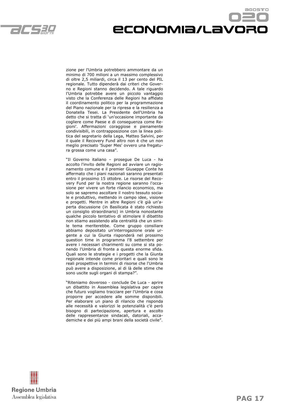

# Economia/lavoro

zione per l'Umbria potrebbero ammontare da un minimo di 700 milioni a un massimo complessivo di oltre 2,5 miliardi, circa il 13 per cento del PIL regionale. Tutto dipenderà dai criteri che Governo e Regioni stanno decidendo. A tale riguardo l'Umbria potrebbe avere un piccolo vantaggio visto che la Conferenza delle Regioni ha affidato il coordinamento politico per la programmazione del Piano nazionale per la ripresa e la resilienza a Donatella Tesei. La Presidente dell'Umbria ha detto che si tratta di 'un'occasione importante da cogliere come Paese e di conseguenza come Regioni'. Affermazioni coraggiose e pienamente condivisibili, in contrapposizione con la linea politica del segretario della Lega, Matteo Salvini, per il quale il Recovery Fund altro non è che un non meglio precisato 'Super Mes' ovvero una fregatura grossa come una casa".

"Il Governo italiano – prosegue De Luca - ha accolto l'invito delle Regioni ad avviare un ragionamento comune e il premier Giuseppe Conte ha affermato che i piani nazionali saranno presentati entro il prossimo 15 ottobre. Le risorse del Recovery Fund per la nostra regione saranno l'occasione per vivere un forte rilancio economico, ma solo se sapremo ascoltare il nostro tessuto sociale e produttivo, mettendo in campo idee, visione e progetti. Mentre in altre Regioni c'è già un'aperta discussione (in Basilicata è stato richiesto un consiglio straordinario) in Umbria nonostante qualche piccolo tentativo di stimolare il dibattito non stiamo assistendo alla centralità che un simile tema meriterebbe. Come gruppo consiliare abbiamo depositato un'interrogazione orale urgente a cui la Giunta risponderà nel prossimo question time in programma l'8 settembre per avere i necessari chiarimenti su come si sta ponendo l'Umbria di fronte a questa enorme sfida. Quali sono le strategie e i progetti che la Giunta regionale intende come prioritari e quali sono le reali prospettive in termini di risorse che l'Umbria può avere a disposizione, al di là delle stime che sono uscite sugli organi di stampa?".

"Riteniamo doveroso - conclude De Luca - aprire un dibattito in Assemblea legislativa per capire che futuro vogliamo tracciare per l'Umbria e cosa proporre per accedere alle somme disponibili. Per elaborare un piano di rilancio che risponda alle necessità e valorizzi le potenzialità c'è però bisogno di partecipazione, apertura e ascolto delle rappresentanze sindacali, datoriali, accademiche e dei più ampi brani della società civile".

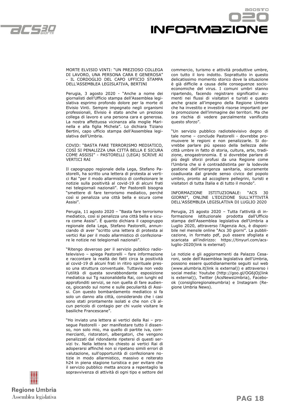



#### MORTE ELVISIO VINTI: "UN PREZIOSO COLLEGA DI LAVORO, UNA PERSONA CARA E GENEROSA" - IL CORDOGLIO DEL CAPO UFFICIO STAMPA DELL'ASSEMBLEA LEGISLATIVA, BERTINI

Perugia, 3 agosto 2020 - "Anche a nome dei giornalisti dell'Ufficio stampa dell'Assemblea legislativa esprimo profondo dolore per la morte di Elvisio Vinti. Sempre impegnato negli organismi professionali, Elvisio è stato anche un prezioso collega di lavoro e una persona cara e generosa. La nostra affettuosa vicinanza alla moglie Marinella e alla figlia Michela". Lo dichiara Tiziano Bertini, capo ufficio stampa dell'Assemblea legislativa dell'Umbria.

COVID: "BASTA FARE TERRORISMO MEDIATICO, COSÌ SI PENALIZZA UNA CITTÀ BELLA E SICURA COME ASSISI" - PASTORELLI (LEGA) SCRIVE AI VERTICI RAI

Il capogruppo regionale della Lega, Stefano Pastorelli, ha scritto una lettera di protesta ai vertici Rai "per il modo allarmistico di confezionare le notizie sulla positività al covid-19 di alcuni frati nei telegiornali nazionali". Per Pastorelli bisogna "smettere di fare terrorismo mediatico, perché così si penalizza una città bella e sicura come Assisi".

Perugia, 11 agosto 2020 – "Basta fare terrorismo mediatico, così si penalizza una città bella e sicura come Assisi". È quanto dichiara il capogruppo regionale della Lega, Stefano Pastorelli, annunciando di aver "scritto una lettera di protesta ai vertici Rai per il modo allarmistico di confezionare le notizie nei telegiornali nazionali".

"Ritengo doveroso per il servizio pubblico radiotelevisivo – spiega Pastorelli – fare informazione e raccontare la realtà dei fatti circa la positività al covid-19 di alcuni frati in ritiro spirituale presso una struttura conventuale. Tuttavia non vedo l'utilità di questa sovrabbondante esposizione mediatica sui Tg nazionalidella Rai, con lunghi ed approfonditi servizi, se non quella di fare audience, giocando sul nome e sulle peculiarità di Assisi. Con questo bombardamento mediatico si fa solo un danno alla città, considerando che i casi sono stati prontamente isolati e che non c'è alcun pericolo di contagio per chi vuole visitare le basiliche Francescane".

"Ho inviato una lettera ai vertici della Rai – prosegue Pastorelli - per manifestare tutto il dissenso, non solo mio, ma quello di partite iva, commercianti, ristoratori, albergatori, che vengono penalizzati dal ridondante ripetersi di questi servizi tv. Nella lettera ho chiesto ai vertici Rai di adoperarsi affinché non si ripetano simili errori di valutazione, sull'opportunità di confezionare notizie in modo allarmistico, massivo e reiterato h24 in piena stagione turistica e per evitare che il servizio pubblico metta ancora a repentaglio la sopravvivenza di attività di ogni tipo e settore del commercio, turismo e attività produttive umbre, con tutto il loro indotto. Soprattutto in questo delicatissimo momento storico dove la situazione è già difficile a causa delle conseguenze socioeconomiche del virus. I comuni umbri stanno ripartendo, facendo registrare significativi aumenti nei flussi di visitatori e turisti e questo anche grazie all'impegno della Regione Umbria che ha investito e investirà risorse importanti per la promozione dell'immagine dei territori. Ma che ora rischia di vedere parzialmente vanificato questo sforzo".

"Un servizio pubblico radiotelevisivo degno di tale nome – conclude Pastorelli - dovrebbe promuovere le regioni e non penalizzarle. Si dovrebbe parlare più spesso della bellezza delle città umbre in fatto di storia, cultura, arte, tradizione, enogastronomia. E si dovrebbe parlare di più degli sforzi profusi da una Regione come l'Umbria che si è contraddistinta per la lodevole gestione dell'emergenza sanitaria, sicuramente coadiuvata dal grande senso civico del popolo umbro, pronto ad accogliere pellegrini, turisti e visitatori di tutta Italia e di tutto il mondo".

INFORMAZIONE ISTITUZIONALE: "ACS 30 GIORNI", ONLINE L'EDIZIONE SULL'ATTIVITÀ DELL'ASSEMBLEA LEGISLATIVA DI LUGLIO 2020

Perugia, 25 agosto 2020 – Tutta l'attività di informazione istituzionale prodotta dall'Ufficio stampa dell'Assemblea legislativa dell'Umbria a Luglio 2020, attraverso l'Agenzia Acs, è disponibile nel mensile online "Acs 30 giorni". La pubblicazione, in formato pdf, può essere sfogliata e scaricata all'indirizzo: https://tinyurl.com/acsluglio-2020(link is external)

Le notizie e gli aggiornamenti da Palazzo Cesaroni, sede dell'Assemblea legislativa dell'Umbria, possono essere quotidianamente seguiti sul web (www.alumbria.it(link is external)) e attraverso i social media: Youtube (http://goo.gl/OG6jOj(link is external)), Twitter (AcsNewsUmbria), Facebook (consiglioregionaleumbria) e Instagram (Regione Umbria News).

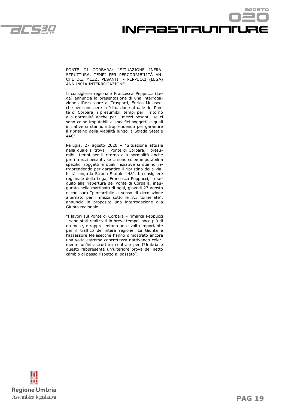

## agostro **INFRaSTRUTTTURE**

PONTE DI CORBARA: "SITUAZIONE INFRA-STRUTTURA, TEMPI PER PERCORRIBILITÀ AN-CHE DEI MEZZI PESANTI" - PEPPUCCI (LEGA) ANNUNCIA INTERROGAZIONE

Il consigliere regionale Francesca Peppucci (Lega) annuncia la presentazione di una interrogazione all'assessore ai Trasporti, Enrico Melasecche per conoscere la "situazione attuale del Ponte di Corbara, i presumibili tempi per il ritorno alla normalità anche per i mezzi pesanti, se ci sono colpe imputabili a specifici soggetti e quali iniziative si stanno intraprendendo per garantire il ripristino della viabilità lungo la Strada Statale 448".

Perugia, 27 agosto 2020 – "Situazione attuale nella quale si trova il Ponte di Corbara, i presumibili tempi per il ritorno alla normalità anche per i mezzi pesanti, se ci sono colpe imputabili a specifici soggetti e quali iniziative si stanno intraprendendo per garantire il ripristino della viabilità lungo la Strada Statale 448". Il consigliere regionale della Lega, Francesca Peppucci, in seguito alla riapertura del Ponte di Corbara, inaugurato nella mattinata di oggi, giovedì 27 agosto e che sarà "percorribile a senso di circolazione alternato per i mezzi sotto le 3,5 tonnellate", annuncia in proposito una interrogazione alla Giunta regionale.

"I lavori sul Ponte di Corbara – rimarca Peppucci - sono stati realizzati in breve tempo, poco più di un mese, e rappresentano una svolta importante per il traffico dell'intera regione. La Giunta e l'assessore Melasecche hanno dimostrato ancora una volta estrema concretezza riattivando celermente un'infrastruttura centrale per l'Umbria e questo rappresenta un'ulteriore prova del netto cambio di passo rispetto al passato".

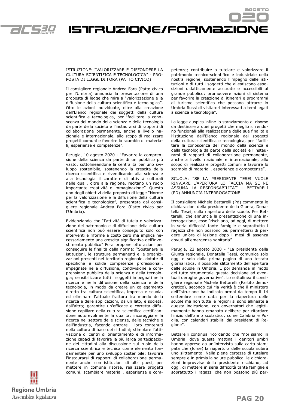

Istruzione/formazione

#### ISTRUZIONE: "VALORIZZARE E DIFFONDERE LA CULTURA SCIENTIFICA E TECNOLOGICA" - PRO-POSTA DI LEGGE DI FORA (PATTO CIVICO)

Il consigliere regionale Andrea Fora (Patto civico per l'Umbria) annuncia la presentazione di una proposta di legge che mira a "valorizzazione e la diffusione della cultura scientifica e tecnologica". Otto le azioni individuate, oltre alla creazione dell'Elenco regionale dei soggetti della cultura scientifica e tecnologica, per "facilitare la conoscenza del mondo della scienza e della tecnologia da parte della società e l'instaurarsi di rapporti di collaborazione permanente, anche a livello nazionale e internazionale, allo scopo di realizzare progetti comuni e favorire lo scambio di materiali, esperienze e competenze".

Perugia, 10 agosto 2020 - "Favorire la comprensione della scienza da parte di un pubblico più vasto, sottolineandone la centralità per uno sviluppo sostenibile, sostenendo la crescita della ricerca scientifica e rivendicando alla scienza e alla tecnologia il carattere di attività culturali nelle quali, oltre alla ragione, recitano un ruolo importante creatività e immaginazione". Questo uno degli obiettivi della proposta di legge "Norme per la valorizzazione e la diffusione della cultura scientifica e tecnologica", presentata dal consigliere regionale Andrea Fora (Patto civico per l'Umbria).

Evidenziando che "l'attività di tutela e valorizzazione del patrimonio e di diffusione della cultura scientifica non può essere conseguito solo con interventi e riforme a costo zero ma implica necessariamente una crescita significativa dell'investimento pubblico" Fora propone otto azioni per conseguire le finalità della norma: "Sostenere le istituzioni, le strutture permanenti e le organizzazioni presenti nel territorio regionale, dotate di specifiche e solide competenze professionali, impegnate nella diffusione, condivisione e comprensione pubblica della scienza e della tecnologia; sensibilizzare tutti i soggetti impegnati nella ricerca e nella diffusione della scienza e della tecnologia, in modo da creare un collegamento diretto tra cultura scientifica, impresa e scuola, ed eliminare l'attuale frattura tra mondo della ricerca e delle applicazioni, da un lato, e società, dall'altro; garantire un'efficace e corretta diffusione capillare della cultura scientifica certificandone autorevolmente la qualità; incoraggiare la ricerca nel settore delle scienze, delle tecniche e dell'industria, facendo entrare i loro contenuti nella cultura di base dei cittadini; stimolare l'attivazione di centri di orientamento e di informazione capaci di favorire la più larga partecipazione dei cittadini alla discussione sul ruolo della ricerca scientifica e tecnica come elemento fondamentale per uno sviluppo sostenibile; favorire l'instaurarsi di rapporti di collaborazione permanente anche con istituzioni di altri paesi, per mettere in comune risorse, realizzare progetti comuni, scambiare materiali, esperienze e competenze; contribuire a tutelare e valorizzare il patrimonio tecnico-scientifico e industriale della nostra regione, sostenendo l'impegno delle istituzioni e di tutti i soggetti che allestiscono esposizioni didatticamente accurate e accessibili al grande pubblico; promuovere azioni di sistema per favorire la creazione di itinerari e programmi di turismo scientifico che possano attrarre in Umbria flussi di visitatori interessati a temi legati a scienza e tecnologia".

La legge auspica infine lo stanziamento di risorse da destinare a quei progetti che meglio si rendono funzionali alla realizzazione delle sue finalità e l'istituzione dell'Elenco regionale dei soggetti della cultura scientifica e tecnologica, per "facilitare la conoscenza del mondo della scienza e della tecnologia da parte della società e l'instaurarsi di rapporti di collaborazione permanente, anche a livello nazionale e internazionale, allo scopo di realizzare progetti comuni e favorire lo scambio di materiali, esperienze e competenze".

SCUOLA: "SE LA PRESIDENTE TESEI VUOLE RINVIARE L'APERTURA LO FACCIA MA SE NE ASSUMA LA RESPONSABILITA'" - BETTARELI (PD) ANNUNCIA INTERROGAZIONE

Il consigliere Michele Bettarelli (Pd) commenta le dichiarazioni della presidente della Giunta, Donatella Tesei, sulla riapertura delle scuole. Per Bettarelli, che annuncia la presentazione di una interrogazione, esse "rischiano, ad oggi, di mettere in seria difficoltà tante famiglie e soprattutto i ragazzi che non possono più permettersi di perdere un'ora di lezione dopo i mesi di assenza dovuti all'emergenza sanitaria".

Perugia, 22 agosto 2020 - "La presidente della Giunta regionale, Donatella Tesei, comunica solo oggi e solo dalla prima pagina di una testata giornalistica, il possibile slittamento dell'apertura delle scuole in Umbria. E poi demanda in modo del tutto strumentale questa decisione ad eventuali deroghe governative". Lo sottolinea il consigliere regionale Michele Bettarelli (Partito democratico), secondo cui "la verità è che il ministero dell'Istruzione ha indicato ormai da tempo il 14 settembre come data per la riapertura delle scuole ma non tutte le regioni si sono allineate a questa indicazione, con governatori che legittimamente hanno emanato delibere per ritardare l'inizio dell'anno scolastico, come Calabria e Puglia, con calendari stabiliti dai presidenti di Regione".

Bettarelli continua ricordando che "noi siamo in Umbria, dove questa mattina i genitori umbri hanno appreso da un'intervista sulla carta stampata che (forse) la riapertura delle scuola subirà uno slittamento. Nella piena certezza di tutelare sempre e in primis la salute pubblica, le dichiarazioni improvvise della presidente rischiano, ad oggi, di mettere in seria difficoltà tante famiglie e soprattutto i ragazzi che non possono più per-

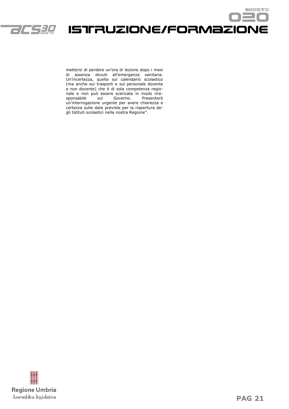

Istruzione/formazione

mettersi di perdere un'ora di lezione dopo i mesi di assenza dovuti all'emergenza sanitaria. Un'incertezza, quella sul calendario scolastico (ma anche sui trasporti e sul personale docente e non docente) che è di sola competenza regionale e non può essere scaricata in modo irre-.<br>Isul Governo. un'interrogazione urgente per avere chiarezza e certezza sulle date previste per la riapertura degli Istituti scolastici nella nostra Regione".



acostro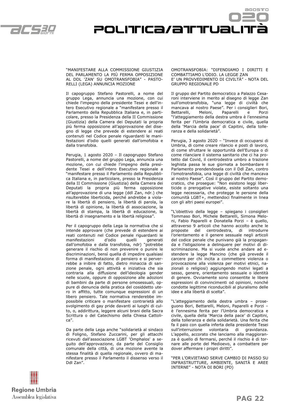



#### "MANIFESTARE ALLA COMMISSIONE GIUSTIZIA DEL PARLAMENTO LA PIÙ FERMA OPPOSIZIONE AL DDL 'ZAN' SU OMOTRANSFOBIA" - PASTO-RELLI (LEGA) ANNUNCIA MOZIONE

Il capogruppo Stefano Pastorelli, a nome del gruppo Lega, annuncia una mozione, con cui chiede l'impegno della presidente Tesei e dell'intero Esecutivo regionale a "manifestare presso il Parlamento della Repubblica Italiana e, in particolare, presso la Presidenza della II Commissione (Giustizia) della Camera dei Deputati la propria più ferma opposizione all'approvazione del disegno di legge che prevede di estendere ai reati contenuti nel Codice penale riguardanti le manifestazioni d'odio quelli generati dall'omofobia e dalla transfobia.

Perugia, 1 agosto 2020 – Il capogruppo Stefano Pastorelli, a nome del gruppo Lega, annuncia una mozione, con cui chiede l'impegno della presidente Tesei e dell'intero Esecutivo regionale a "manifestare presso il Parlamento della Repubblica Italiana e, in particolare, presso la Presidenza della II Commissione (Giustizia) della Camera dei Deputati la propria più ferma opposizione all'approvazione di una legge (ddl Zan, ndr.) che risulterebbe liberticida, perché andrebbe a violare la libertà di pensiero, la libertà di parola, la libertà di opinione, la libertà di associazione, la libertà di stampa, la libertà di educazione, la libertà di insegnamento e la libertà religiosa".

Per il capogruppo della Lega la normativa che si intende approvare (che prevede di estendere ai reati contenuti nel Codice penale riguardanti le manifestazioni d'odio quelli generati dall'omofobia e dalla transfobia, ndr) "potrebbe generare il rischio di non prevenire o punire le discriminazioni, bensì quella di impedire qualsiasi forma di manifestazione di pensiero e si perverrebbe a inibire di fatto, dietro minaccia di sanzione penale, ogni attività e iniziativa che sia contraria alla diffusione dell'ideologia gender nelle scuole, oppure di opposizione alle adozioni di bambini da parte di persone omosessuali, oppure di denuncia della pratica del cosiddetto utero in affitto, tutte comunque espressioni di un libero pensiero. Tale normativa renderebbe impossibile criticare o manifestare contrarietà allo svolgimento di gay pride davanti ai luoghi di culto, o, addirittura, leggere alcuni brani della Sacra Scrittura o del Catechismo della Chiesa Cattolica".

Da parte della Lega anche "solidarietà al sindaco di Foligno, Stefano Zuccarini, per gli attacchi ricevuti dall'associazione LGBT 'Omphalos' a seguito dell'approvazione, da parte del Consiglio comunale della città, di una mozione avente la stessa finalità di quella regionale, ovvero di manifestare presso il Parlamento il dissenso verso il Ddl Zan".

#### OMOTRANSFOBIA: "DIFENDIAMO I DIRITTI E COMBATTIAMO L'ODIO. LA LEGGE ZAN E' UN PROVVEDIMENTO DI CIVILTÀ" - NOTA DEL GRUPPO REGIONALE PD

Il gruppo del Partito democratico a Palazzo Cesaroni interviene in merito al disegno di legge Zan sull'omotransfobia, "una legge di civiltà che mancava al nostro Paese". Per i consiglieri Bori, Bettarelli, Meloni, Paparelli e Porzi "l'atteggiamento della destra umbra è l'ennesima ferita per l'Umbria democratica e civile, quella della 'Marcia della pace' di Capitini, della tolleranza e della solidarietà".

Perugia, 3 agosto 2020 – "Invece di occuparsi di Umbria, di come creare rilancio e posti di lavoro, di come sfruttare le opportunità dell'Europa o di come rilanciare il sistema sanitario che ci ha protetto dal Covid, il centrodestra umbro a trazione leghista passa le sue giornata a bombardare il Parlamento prendendosela con il Ddl Zan, contro l'omotransfobia, una legge di civiltà che mancava al nostro Paese". Così il gruppo del Partito democratico, che prosegue: "Non esistono leggi liberticide o prerogative violate, esiste soltanto una legge necessaria, che protegge le persone della comunità LGBT+, mettendoci finalmente in linea con gli altri paesi europei".

"L'obiettivo della legge – spiegano i consiglieri Tommaso Bori, Michele Bettarelli, Simona Meloni, Fabio Paparelli e Donatella Porzi – è quello, attraverso 9 articoli che hanno accolto anche le proposte del centrodestra, di introdurre l'orientamento e il genere sessuale negli articoli del codice penale che punivano già la propaganda e l'istigazione a delinquere per motivi di discriminazione. Ma si vuole anche andare ad estendere la legge Mancino (che già prevede il carcere per chi incita a commettere violenza o provocazione alla violenza per motivi etnici, nazionali o religiosi) aggiungendo motivi legati a sesso, genere, orientamento sessuale o identità di genere. Ovviamente sono consentite le libere espressioni di convincimenti od opinioni, nonché condotte legittime riconducibili al pluralismo delle idee e alla libertà di scelta".

"L'atteggiamento della destra umbra – proseguono Bori, Bettarelli, Meloni, Paparelli e Porzi – è l'ennesima ferita per l'Umbria democratica e civile, quella della 'Marcia della pace' di Capitini, della tolleranza e della solidarietà. Una ferita che fa il paio con quella inferta della presidente Tesei sull'interruzione volontaria di gravidanza. L'appello, accorato che lanciamo alla maggioranza è quello di fermarsi, perché il rischio è di tornare alle porte del Medioevo, a combattere per dover affermare i propri diritti".

"PER L'ORVIETANO SERVE CAMBIO DI PASSO SU INFRASTRUTTURE, AMBIENTE, SANITÀ E AREE INTERNE" - NOTA DI BORI (PD)

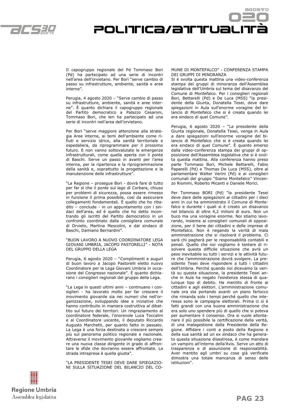



Il capogruppo regionale del Pd Tommaso Bori (Pd) ha partecipato ad una serie di incontri nell'area dell'orvietano. Per Bori "serve cambio di passo su infrastrutture, ambiente, sanità e aree interne".

Perugia, 4 agosto 2020 – "Serve cambio di passo su infrastrutture, ambiente, sanità e aree interne". È quanto dichiara il capogruppo regionale del Partito democratico a Palazzo Cesaroni, Tommaso Bori, che ieri ha partecipato ad una serie di incontri nell'area dell'orvietano.

Per Bori "serve maggiore attenzione alla strategia Aree interne, ai temi dell'ambiente come rifiuti e servizio idrico, alla sanità territoriale e ospedaliera, da riprogrammare per il prossimo futuro. E non vanno sottovalutate le emergenze infrastrutturali, come quella aperta con il ponte di Baschi. Serve un passo in avanti per l'area interna, per la ripartenza e la riprogrammazione della sanità e, soprattutto la progettazione e la manutenzione delle infrastrutture".

"La Regione – prosegue Bori - dovrà fare di tutto per far sì che il ponte sul lago di Corbara, chiuso per problemi di sicurezza, possa essere rimesso in funzione il prima possibile, così da assicurare collegamenti fondamentali. È quello che ho ribadito – conclude - in un appuntamento con i sindaci dell'area, ed è quello che ho detto incontrando gli iscritti del Partito democratico in un confronto coordinato dalla consigliera comunale di Orvieto, Martina Mescolini, e dal sindaco di Baschi, Damiano Bernardini".

"BUON LAVORO A NUOVO COORDINATORE LEGA GIOVANI UMBRIA, JACOPO PASTORELLI" - NOTA DEL GRUPPO DELLA LEGA

Perugia, 6 agosto 2020 – "Complimenti e auguri di buon lavoro a Jacopo Pastorelli eletto nuovo Coordinatore per la Lega Giovani Umbria in occasione del Congresso nazionale". È quanto dichiarano i consiglieri regionali del gruppo della Lega.

"La Lega in questi ultimi anni – continuano i consiglieri - ha lavorato molto per far crescere il movimento giovanile sia nei numeri che nell'organizzazione, sviluppando idee e iniziative che hanno contribuito in maniera costruttiva al dibattito sul futuro dei territori. Un ringraziamento al coordinatore federale, l'onorevole Luca Toccalini e al Coordinatore uscente, il deputato Riccardo Augusto Marchetti, per quanto fatto in passato. La Lega è una forza destinata a crescere sempre più sul panorama politico regionale e nazionale. Attraverso il movimento giovanile vogliamo creare una nuova classe dirigente in grado di affrontare le sfide che dovranno essere affrontate. La strada intrapresa è quella giusta".

"LA PRESIDENTE TESEI DEVE DARE SPIEGAZIO-NI SULLA SITUAZIONE DEL BILANCIO DEL CO-

#### MUNE DI MONTEFALCO" - CONFERENZA STAMPA DEI GRUPPI DI MINORANZA

Si è svolta questa mattina una video-conferenza stampa dei gruppi di minoranza dell'Assemblea legislativa dell'Umbria sul tema del disavanzo del Comune di Montefalco. Per i consiglieri regionali Bori, Bettarelli (Pd) e De Luca (M5S) "la presidente della Giunta, Donatella Tesei, deve dare spiegazioni in Aula sull'enorme voragine del bilancio di Montefalco che si è creata quando lei era sindaco di quel Comune".

Perugia, 6 agosto 2020 – "La presidente della Giunta regionale, Donatella Tesei, venga in Aula a dare spiegazioni sull'enorme voragine del bilancio di Montefalco che si è creata quando lei era sindaco di quel Comune". È quanto emerso dalla video-conferenza stampa dei gruppi di opposizione dell'Assemblea legislativa che si è svolta questa mattina. Alla conferenza hanno preso parte Tommaso Bori, Michele Bettarelli, Fabio Paparelli (Pd) e Thomas De Luca (M5S), oltre al parlamentare Walter Verini (Pd) e ai consiglieri comunali del gruppo "Siamo Montefalco" Vincenzo Riommi, Roberto Micanti e Daniele Morici.

Per Tommaso BORI (Pd) "la presidente Tesei deve dare delle spiegazioni ai cittadini per i dieci anni in cui ha amministrato il Comune di Montefalco e durante i quali si è creato un disavanzo nel bilancio di oltre 4,2 milioni di euro. Non un buco ma una voragine enorme. Noi stiamo lavorando, insieme ai consiglieri comunali di opposizione, per il bene dei cittadini e delle imprese di Montefalco. Non è negando la verità di mala amministrazione che si risolverà il problema. Ci sarà chi pagherà per le responsabilità contabili e penali. Quello che noi vogliamo è tentare di risolvere questa difficile situazione che avrà un peso inevitabile su tutti i servizi e le attività future che l'amministrazione dovrà svolgere. La presidente Tesei deve rispondere a tutti i cittadini dell'Umbria. Perché quando noi dicevamo la verità su questa situazione, la presidente Tesei anche in Aula ha negato l'esistenza stessa di qualunque tipo di debito. Ha mentito di fronte ai cittadini e agli elettori. L'amministrazione comunale ora sta portando avanti un piano farlocco che rimanda solo i tempi perché quello che interessa sono le campagne elettorali. Prima ci si è fatti grandi con una buona amministrazione che era solo uno spendere più di quello che si poteva per aumentare il consenso. Ora si vuole allontanare il più possibile la certificazione della verità, di una malagestione dalla Presidente della Regione. Affidare i conti a posto della Regione e della sua sanità ad un ex sindaco che ha generato questa situazione disastrosa, è come mandare un vampiro all'interno della'Avis. Serve un atto di trasparenza e di assunzione di responsabilità. Aver mentito agli umbri su cose già verificate dimostra una totale mancanza di senso delle istituzioni".

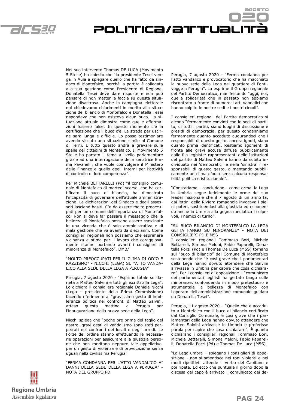

Nel suo intervento Thomas DE LUCA (Movimento 5 Stelle) ha chiesto che "la presidente Tesei venga in Aula a spiegare quello che ha fatto da sindaco di Montefalco, perché la partita è collegata alla sua gestione come Presidente di Regione. Donatella Tesei deve dare risposte e non può pensare di non metter la faccia su questa situazione disastrosa. Anche in campagna elettorale noi chiedevamo chiarimenti in merito alla situazione del bilancio di Montefalco e Donatella Tesei rispondeva che non esisteva alcun buco. La situazione attuale dimostra come quelle affermazioni fossero false. In questo momento c'è la certificazione che il buco c'è. La strada per uscirne sarà lunga e difficile. Lo posso testimoniare avendo vissuto una situazione simile al Comune di Terni. E tutto questo andrà a gravare sulle spalle dei cittadini di Montefalco. Il Movimento 5 Stelle ha portato il tema a livello parlamentare grazie ad una interrogazione della senatrice Emma Pavanelli, che vuole coinvolgere il Ministero delle Finanze e quello degli Interni per l'attività di controllo di loro competenza".

Per Michele BETTARELLI (Pd) "il consiglio comunale di Montefalco di martedì scorso, che ha certificato il buco di bilancio, ha dimostrato l'incapacità di governare dell'attuale amministrazione. Le dichiarazioni del Sindaco e degli assessori lasciano basiti. C'è da essere molto preoccupati per un comune dell'importanza di Montefalco. Non si deve far passare il messaggio che la bellezza di Montefalco possano essere trascinate in una vicenda che è solo amministrativa e di mala gestione che va avanti da dieci anni. Come consiglieri regionali non possiamo che esprimere vicinanza e stima per il lavoro che coraggiosamente stanno portando avanti i consiglieri di minoranza di Montefalco". DMB/

#### "MOLTO PREOCCUPATI PER IL CLIMA DI ODIO E RAZZISMO" - NICCHI (LEGA) SU "ATTO VANDA-LICO ALLA SEDE DELLA LEGA A PERUGIA"

Perugia, 7 agosto 2020 - "Esprimo totale solidarietà a Matteo Salvini e tutti gli iscritti alla Lega". Lo dichiara il consigliere regionale Daniele Nicchi (Lega - presidente della Prima Commissione) facendo riferimento al "gravissimo gesto di intolleranza politica nei confronti di Matteo Salvini, atteso questa mattina a Perugia per l'inaugurazione della nuova sede della Lega".

Nicchi spiega che "poche ore prima del taglio del nastro, gravi gesti di vandalismo sono stati perpetrati nei confronti dei locali e degli arredi. Le Forze dell'ordine stanno effettuando le necessarie operazioni per assicurare alla giustizia persone che non meritano neppure tale appellativo, per un gesto di violenza e di provocazione senza uguali nella civilissima Perugia".

"FERMA CONDANNA PER L'ATTO VANDALICO AI DANNI DELLA SEDE DELLA LEGA A PERUGIA" - NOTA DEL GRUPPO PD

Perugia, 7 agosto 2020 - "Ferma condanna per l'atto vandalico e provocatorio che ha macchiato la nuova sede della Lega nel quartiere di Fontivegge a Perugia". La esprime il Gruppo regionale del Partito Democratico, manifestando "oggi, noi, quella solidarietà che in passato non abbiamo riscontrato a fronte di numerosi atti vandalici che hanno colpito le nostre sedi e i nostri circoli".

POLITICa/aTTTUaLIT

I consiglieri regionali del Partito democratico si dicono "fermamente convinti che le sedi di partito, di tutti i partiti, siano luoghi di discussione e presidi di democrazia, per questo condanniamo fermamente quanto accaduto augurandoci che i responsabili di questo gesto, ancora ignoti, siano quanto prima identificati. Restiamo sgomenti di fronte alle gravi accuse diffuse pubblicamente dalle fila leghiste: rappresentanti delle Istituzioni del partito di Matteo Salvini hanno da subito individuato nei 'democratici' e nella 'sinistra' i responsabili di questo gesto, alimentando pubblicamente un clima d'odio senza alcuna responsabilità politica e istituzionale".

"Constatiamo - concludono - come ormai la Lega in Umbria segue fedelmente le orme del suo leader nazionale che il 7 agosto di un anno fa, dai lettini della Riviera romagnola invocava i pieni poteri, sostituendosi alla giustizia ed esponendo anche in Umbria alla gogna mediatica i colpevoli, i nemici di turno".

#### "SU BUCO BILANCIO DI MONTEFALCO LA LEGA GETTA FANGO SU MINORANZE" - NOTA DEI CONSIGLIERI PD E M5S

I consiglieri regionali Tommaso Bori, Michele Bettarelli, Simona Meloni, Fabio Paparelli, Donatella Porzi (Pd) e Thomas De Luca (M5S) tornano sul "buco di bilancio" del Comune di Montefalco sostenendo che "è così grave che i parlamentari della Lega hanno dovuto attendere che Salvini arrivasse in Umbria per capire che cosa dichiarare". Per i consiglieri di opposizione il "comunicato dei parlamentari leghisti ha gettato fango sulle minoranze, confondendo in modo pretestuoso e strumentale la bellezza di Montefalco con l'operato dell'amministrazione comunale guidata da Donatella Tesei".

Perugia, 11 agosto 2020 – "Quello che è accaduto a Montefalco con il buco di bilancio certificato dal Consiglio Comunale, è così grave che i parlamentari della Lega hanno dovuto attendere che Matteo Salvini arrivasse in Umbria e proferisse parola per capire che cosa dichiarare". È quanto dichiarano i consiglieri regionali Tommaso Bori, Michele Bettarelli, Simona Meloni, Fabio Paparelli, Donatella Porzi (Pd) e Thomas De Luca (M5S).

"La Lega umbra – spiegano i consiglieri di opposizione - non si smentisce nei toni violenti e nei modi ripetitivi: attende il verbo del Capitano e poi ripete. Ed ecco che puntuale il giorno dopo la discesa del capo è arrivato il comunicato dei de-

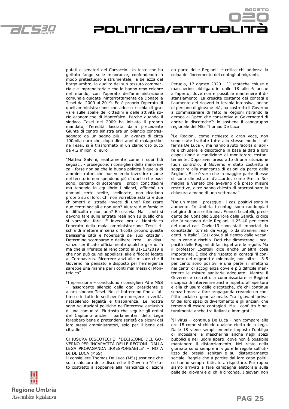

putati e senatori del Carroccio. Un testo che ha gettato fango sulle minoranze, confondendo in modo pretestuoso e strumentale, la bellezza del borgo umbro, la qualità del suo tessuto commerciale e imprenditoriale che lo hanno reso celebre nel mondo, con l'operato dell'amministrazione comunale guidata ininterrottamente da Donatella Tesei dal 2009 al 2019. Ed è proprio l'operato di quell'amministrazione che adesso rischia di gravare sulle spalle dei cittadini e delle attività socio-economiche di Montefalco. Perché quando il sindaco Tesei nel 2009 ha iniziato il proprio mandato, l'eredità lasciata dalla precedente Giunta di centro sinistra era un bilancio contrassegnato da un segno più. Un avanzo di circa 100mila euro che, dopo dieci anni di malagestione Tesei, si è trasformato in un clamoroso buco da 4,2 milioni di euro".

"Matteo Salvini, esattamente come i suoi fidi seguaci, - proseguono i consiglieri della minoranza - forse non sa che la buona politica è quella di amministratori che pur volendo investire risorse nel territorio non spendono più di quello che possono, cercano di sostenere i propri concittadini ma tenendo in equilibrio i bilanci, affinché un domani certe scelte, scellerate, non ricadano proprio su di loro. Chi non vorrebbe asfaltare due chilometri di strade invece di uno? Realizzare due centri sociali e non uno? Aiutare due famiglie in difficoltà e non una? E così via. Ma i conti si devono fare sulle entrate reali non su quello che si vorrebbe fare. E invece ora a Montefalco l'operato della mala amministrazione Tesei rischia di mettere in seria difficoltà proprio questa bellissima città e l'operosità dei suoi cittadini. Determine scomparse e delibere irreali, un disavanzo certificato ufficialmente qualche giorno fa ma che si riferisce al rendiconto al 31/12/2019 e che non può quindi appellarsi alle difficoltà legate al Coronavirus. Ricorrere anzi alle misure che il Governo ha pensato e disposto per l'emergenza sarebbe una manna per i conti mal messi di Montefalco".

"Impressiona – concludono i consiglieri Pd e M5S - l'assordante silenzio della oggi presidente e allora sindaco Tesei. Noi ci batteremo fino all'ultimo e in tutte le sedi per far emergere la verità, ristabilendo legalità e trasparenza. Le nostre sono valutazioni politiche nell'interesse esclusivo di una comunità. Piuttosto che seguire gli ordini del Capitano anche i parlamentari della Lega farebbero bene a pretendere serietà da alcuni dei loro stessi amministratori, solo per il bene dei cittadini".

CHIUSURA DISCOTECHE: "DECISIONE DEL GO-VERNO PER INCAPACITÀ DELLE REGIONI, DALLA LEGA PROPAGANDA IRRESPONSABILE" – NOTA DI DE LUCA (M5S)

Il consigliere Thomas De Luca (M5s) sostiene che sulla chiusura delle discoteche il Governo "è stato costretto a sopperire alla mancanza di azioni



POLITICa/aTTTUaLIT

Perugia, 17 agosto 2020 - "Discoteche chiuse e mascherine obbligatorie dalle 18 alle 6 anche all'aperto, dove non è possibile mantenere il distanziamento. La crescita costante dei contagi e l'aumento dei ricoveri in terapia intensiva, anche di persone di giovane età, ha costretto il Governo a commissariare di fatto le Regioni ritirando la deroga al Dpcm che consentiva ai Governatori di aprire le discoteche": lo sostiene il capogruppo regionale del M5s Thomas De Luca.

"Le Regioni, come richiesto a gran voce, non sono state trattate tutte allo stesso modo – afferma De Luca -, ma hanno avuto facoltà di aprire e chiudere le discoteche in base ai dati a loro disposizione a condizione di monitorare costantemente. Dopo aver preso atto di una situazione fuori controllo, il Governo è stato costretto a sopperire alla mancanza di azioni da parte delle Regioni. E se è vero che la maggior parte di esse si sono dimostrate d'accordo, come Emilia Romagna e Veneto che avevano già preso misure restrittive, altre hanno chiesto di procrastinare la chiusura almeno di una settimana".

"Da un mese – prosegue - i casi positivi sono in aumento. In Umbria i contagi sono raddoppiati nel giro di una settimana. Franco Locatelli, presidente del Consiglio Superiore della Sanità, ci dice che 'a seconda delle Regioni, il 25-40 per cento dei nuovi casi Covid-19 sono stati importati da concittadini tornati da viaggi o da stranieri residenti in Italia'. Casi dovuti al rientro dalle vacanze in zone a rischio. Dati che dimostrano l'incapacità delle Regioni di far rispettare le regole. Ma il professor Locatelli dice anche un'altra cosa importante. E cioè che rispetto ai contagi 'il contributo dei migranti è minimale, non oltre il 3-5 per cento sono positivi e una parte si infettano nei centri di accoglienza dove è più difficile mantenere le misure sanitarie adeguate'. Mentre il Governo è costretto a commissariare le Regioni incapaci di intervenire anche rispetto all'apertura e alla chiusura delle discoteche, c'è chi continua senza timore a fare propaganda creando un conflitto sociale e generazionale. Tra i giovani 'privati' dei loro spazi di divertimento e gli anziani che temono di essere contagiati. Ma il conflitto è naturalmente anche tra italiani e immigrati".

"Il virus – continua De Luca - non compare alle ore 18 come si chiede qualche eletto della Lega. Dalle 18 viene semplicemente imposto l'obbligo di indossare la mascherina anche negli spazi pubblici e nei luoghi aperti, dove non è possibile mantenere il distanziamento. Nel resto della giornata sono sempre in vigore le regole sull'utilizzo dei presidi sanitari e sul distanziamento sociale. Regole che a partire dal loro capo politico hanno sempre faticato a rispettare. Purtroppo siamo arrivati a fare campagna elettorale sulla pelle dei giovani e di chi li circonda. I giovani non

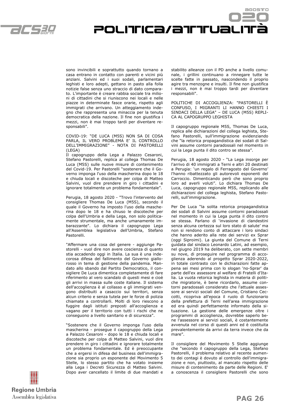

sono invincibili e soprattutto quando tornano a casa entrano in contatto con parenti e vicini più anziani. Salvini ed i suoi sodali, parlamentari leghisti e loro adepti, gettano in pasto alla folla notizie false senza uno straccio di dato comparato. L'importante è creare rabbia sociale tra milioni di cittadini che si riuniscono nei locali e nelle piazze in determinate fasce orarie, rispetto agli immigrati che arrivano. Un atteggiamento indegno che rappresenta una minaccia per la tenuta democratica della nazione. Il fine non giustifica i mezzi, non è mai troppo tardi per diventare responsabili".

COVID-19: "DE LUCA (M5S) NON SA DI COSA PARLA, IL VERO PROBLEMA E' IL CONTROLLO DELL'IMMIGRAZIONE" - NOTA DI PASTORELLI  $(IFGA)$ 

Il capogruppo della Lega a Palazzo Cesaroni, Stefano Pastorelli, replica al collega Thomas De Luca (M5S) sulle nuove misure di contenimento del Covid-19. Per Pastorelli "sostenere che il Governo imponga l'uso della mascherina dopo le 18 e chiuda locali e discoteche per colpa di Matteo Salvini, vuol dire prendere in giro i cittadini e ignorare totalmente un problema fondamentale".

Perugia, 18 agosto 2020 - "Trovo l'intervento del consigliere Thomas De Luca (M5S), secondo il quale il Governo ha imposto l'uso della mascherina dopo le 18 e ha chiuso le discoteche per colpa dell'Umbria e della Lega, non solo politicamente strumentale, ma anche umanamente imbarazzante". Lo dichiara il capogruppo Lega all'Assemblea legislativa dell'Umbria, Stefano Pastorelli.

"Affermare una cosa del genere - aggiunge Pastorelli - vuol dire non avere coscienza di quanto stia accadendo oggi in Italia. La sua è una indecorosa difesa del fallimento del Governo giallorosso in tema di gestione della pandemia. Mandato allo sbando dal Partito Democratico, il consigliere De Luca dimentica completamente di fare riferimento al vero scandalo di questi mesi e cioè gli arrivi in massa sulle coste italiane. Il sistema dell'accoglienza è al collasso e gli immigrati vengono distribuiti a casaccio sui territori, senza alcun criterio e senza tutela per le forze di polizia chiamate a controllarli. Molti di loro riescono a fuggire dagli istituti preposti all'accoglienza e vagano per il territorio con tutti i rischi che ne conseguono a livello sanitario e di sicurezza".

"Sostenere che il Governo imponga l'uso della mascherina - prosegue il capogruppo della Lega a Palazzo Cesaroni - dopo le 18 e chiuda locali e discoteche per colpa di Matteo Salvini, vuol dire prendere in giro i cittadini e ignorare totalmente un problema fondamentale. Ed è preoccupante che a ergersi in difesa del business dell'immigrazione sia proprio un esponente del Movimento 5 Stelle, lo stesso partito che ha votato insieme alla Lega i Decreti Sicurezza di Matteo Salvini. Dopo aver cancellato il limite di due mandati e stabilito alleanze con il PD anche a livello comunale, i grillini continuano a rinnegare tutte le scelte fatte in passato, nascondendo il proprio agire tra menzogne e insulti. Il fine non giustifica i mezzi, non è mai troppo tardi per diventare responsabili".

POLITICa/aTTTUaLIT

POLITICHE DI ACCOGLIENZA: "PASTORELLI È CONFUSO, I MIGRANTI LI HANNO CHIESTI I SINDACI DELLA LEGA" – DE LUCA (M5S) REPLI-CA AL CAPOGRUPPO LEGHISTA

Il capogruppo regionale M5S, Thomas De Luca, replica alle dichiarazioni del collega leghista, Stefano Pastorelli, sull'immigrazione evidenziando che "la retorica propagandistica dei sodali di Salvini assume contorni paradossali nel momento in cui la Lega punta il dito contro se stessa".

Perugia, 18 agosto 2020 - "La Lega insorge per l'arrivo di 40 immigrati a Terni e altri 20 destinati a Perugia: 'un regalo di Ferragosto del Governo' l'hanno ribattezzato gli autorevoli esponenti del Carroccio. Dimenticando però che sono proprio loro ad averli voluti". Lo dichiara Thomas De Luca, capogruppo regionale M5S, replicando alle dichiarazioni del collega leghista, Stefano Pastorelli, sull'immigrazione.

Per De Luca "la solita retorica propagandistica dei sodali di Salvini assume contorni paradossali nel momento in cui la Lega punta il dito contro se stessa. Parlano di 'invasione di clandestini senza alcuna certezza sul loro stato di salute' ma non si rendono conto di attaccare i loro sindaci che hanno aderito alla rete dei servizi ex Sprar (oggi Siproimi). La giunta del Comune di Terni guidata dal sindaco Leonardo Latini, ad esempio, nel giugno 2019 ha deliberato, con sette membri su nove, di proseguire nel programma di accoglienza aderendo al progetto Sprar 2020-2022, in totale contrasto con le dichiarazioni fatte appena sei mesi prima con lo slogan 'no-Sprar' da parte dell'ex assessore al welfare di Fratelli d'Italia. La vuota retorica leghista in materia di politiche migratorie, è bene ricordarlo, assume contorni paradossali considerato che l'attuale assessore ai servizi sociali del Comune, Cristiano Ceccotti, ricopriva all'epoca il ruolo di funzionario della prefettura di Terni nell'area immigrazione ed era quindi perfettamente informato della situazione. La gestione delle emergenze oltre i programmi di accoglienza, dovrebbe saperlo bene l'assessore ai servizi sociali, è costantemente avvenuta nel corso di questi anni ed è costituita prevalentemente da arrivi da terra invece che da mare".

Il consigliere del Movimento 5 Stelle aggiunge che "secondo il capogruppo della Lega, Stefano Pastorelli, il problema relativo al recente aumento dei contagi è dovuto al controllo dell'immigrazione e non, piuttosto, al mancato rispetto delle misure di contenimento da parte delle Regioni. E' a conoscenza il consigliere Pastorelli che sono

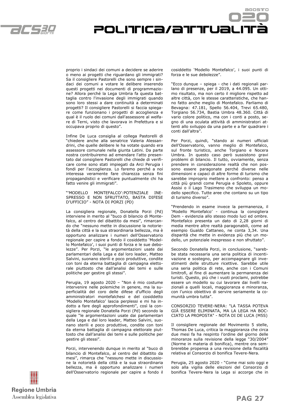

proprio i sindaci dei comuni a decidere se aderire o meno ai progetti che riguardano gli immigrati? Sa il consigliere Pastorelli che sono sempre i sindaci dei comuni a votare le delibere inserendo questi progetti nei documenti di programmazione? Allora perché la Lega Umbria fa questa battaglia contro l'invasione degli immigrati quando sono loro stessi a dare continuità a determinati progetti? Il consigliere Pastorelli si faccia spiegare come funzionano i progetti di accoglienza e qual è il ruolo dei comuni dall'assessore al welfare di Terni, visto che lavorava in Prefettura e si occupava proprio di questo".

Infine De Luca consiglia al collega Pastorelli di "chiedere anche alla senatrice Valeria Alessandrini, che quelle delibere le ha votate quando era assessore comunale nella giunta Latini. Da parte nostra contribuiremo ad emendare l'atto presentato dal consigliere Pastorelli che chiede di verificare come sono stati impiegati da Arci Perugia i fondi per l'accoglienza. Lo faremo perché a noi interessa veramente fare chiarezza senza fini propagandistici e verificare puntualmente chi ha fatto venire gli immigrati".

"'MODELLO MONTEFALCO':POTENZIALE INE-SPRESSO E NON SFRUTTATO, BASTA DIFESE D'UFFICIO" - NOTA DI PORZI (PD)

La consigliera regionale, Donatella Porzi (Pd) interviene in merito al "buco di bilancio di Montefalco, al centro del dibattito da mesi", rimarcando che "nessuno mette in discussione la notorietà della città e la sua straordinaria bellezza, ma è opportuno analizzare i numeri dell'Osservatorio regionale per capire a fondo il cosiddetto 'Modello Montefalco', i suoi punti di forza e le sue debolezze". Per Porzi, "le argomentazioni usate dai parlamentari della Lega e dal loro leader, Matteo Salvini, suonano sterili e poco produttive, condite con toni da eterna battaglia di campagna elettorale piuttosto che dall'analisi dei temi e sulle politiche per gestire gli stessi".

Perugia, 19 agosto 2020 – "Non è mio costume intervenire nelle polemiche in genere, ma la superficialità del coro delle difese d'ufficio degli amministratori montefalchesi e del cosiddetto 'Modello Montefalco' lascia perplessi e mi ha indotto a fare degli approfondimenti", così la consigliera regionale Donatella Porzi (Pd) secondo la quale "le argomentazioni usate dai parlamentari della Lega e dal loro leader, Matteo Salvini, suonano sterili e poco produttive, condite con toni da eterna battaglia di campagna elettorale piuttosto che dall'analisi dei temi e sulle politiche per gestire gli stessi".

Porzi, intervenendo dunque in merito al "buco di bilancio di Montefalco, al centro del dibattito da mesi", rimarca che "nessuno mette in discussione la notorietà della città e la sua straordinaria bellezza, ma è opportuno analizzare i numeri dell'Osservatorio regionale per capire a fondo il



POLITICa/aTTTUaLIT

"Ecco dunque – spiega - che i dati regionali parlano di presenze, per il 2019, a 44.095. Un ottimo risultato, ma non certo il migliore rispetto ad altre città, con le stesse caratteristiche, che hanno fatto anche meglio di Montefalco. Parliamo di Bevagna: 47.181, Spello 56.404, Trevi 65.480, Torgiano 56.734, Bastia Umbra 48.360. Città di vario colore politico, ma con i conti a posto, segno di una oculata attività di amministratori attenti allo sviluppo da una parte e a far quadrare i conti dall'altra".

Per Porzi, quindi, "stando ai numeri ufficiali dell'Osservatorio, vanno meglio di Montefalco, sul fronte turistico, anche Torgiano e Nocera Umbra. In questo caso però sussistono gravi problemi di bilancio. Il tutto, ovviamente, senza prendere in considerazione realtà che non possono essere paragonate perché diverse nelle dimensioni e capaci di altre forme di turismo che sarebbe improprio mettere a confronto: penso a città più grandi come Perugia e Spoleto, oppure Assisi o il Lago Trasimeno che sviluppa un modello specifico. Tutte aree che contano su un tipo di turismo diverso".

"Prendendo in esame invece la permanenza, il 'Modello Montefalco' - continua la consigliera Dem - evidenzia allo stesso modo luci ed ombre. Montefalco presenta un dato di 2,28 giorni di media mentre altre realtà paragonabili, come ad esempio Gualdo Cattaneo, ne conta 3,34. Una disparità che mette in evidenza più che un modello, un potenziale inespresso e non sfruttato".

Secondo Donatella Porzi, in conclusione, "sarebbe stata necessaria una seria politica di incentivazione e sostegno, per accompagnare gli investimenti delle strutture ricettive. Sarebbe utile una seria politica di rete, anche con i Comuni limitrofi, al fine di aumentare la permanenza dei turisti. Questo, più che i vuoti proclami, potrebbe essere un modello su cui lavorare dai livelli nazionali a quelli locali, maggioranza e minoranza, con l'unico obiettivo di servire seriamente la comunità umbra tutta".

CONSORZIO TEVERE-NERA: "LA TASSA POTEVA GIÀ ESSERE ELIMINATA, MA LA LEGA HA BOC-CIATO LA PROPOSTA" - NOTA DI DE LUCA (M5S)

Il consigliere regionale del Movimento 5 stelle, Thomas De Luca, critica la maggioranza che circa due mesi fa ha respinto l'ordine del giorno delle minoranze sulla revisione della legge "30/2004" (Norme in materia di bonifica), mentre ora sembrerebbe propensa a una revisione della fiscalità relativa al Consorzio di bonifica Tevere-Nera.

Perugia, 25 agosto 2020 - "Come mai solo oggi e solo alla vigilia delle elezioni del Consorzio di bonifica Tevere-Nera la Lega si accorge che in

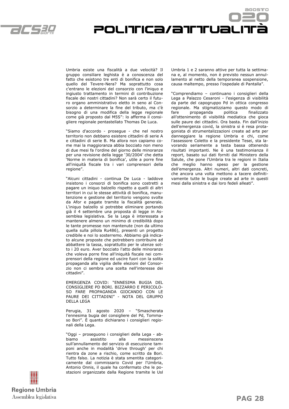

Umbria esiste una fiscalità a due velocità? Il gruppo consiliare leghista è a conoscenza del fatto che esistono tre enti di bonifica e non solo quello del Tevere-Nera? Ma soprattutto cosa c'entrano le elezioni del consorzio con l'iniquo e ingiusto trattamento in termini di contribuzione fiscale dei nostri cittadini? Non sarà certo il futuro organo amministrativo eletto in seno al Consorzio a determinare la fine del tributo, ma c'è bisogno di una modifica della legge regionale come già proposto dal M5S": lo afferma il consigliere regionale pentastellato Thomas De Luca.

"Siamo d'accordo - prosegue - che nel nostro territorio non debbano esistere cittadini di serie A e cittadini di serie B. Ma allora non capiamo come mai la maggioranza abbia bocciato non meno di due mesi fa l'ordine del giorno delle minoranze per una revisione della legge '30/2004' che detta 'Norme in materia di bonifica', utile a porre fine all'iniquità fiscale tra i vari comprensori della regione".

"Alcuni cittadini - continua De Luca - laddove insistono i consorzi di bonifica sono costretti a pagare un iniquo balzello rispetto a quelli di altri territori in cui le stesse attività di bonifica, manutenzione e gestione del territorio vengono svolte da Afor e pagate tramite la fiscalità generale. L'iniquo balzello si potrebbe eliminare portando già il 4 settembre una proposta di legge in Assemblea legislativa. Se la Lega è interessata a mantenere almeno un minimo di credibilità dopo le tante promesse non mantenute (non da ultimo quella sulla pillola Ru486), presenti un progetto credibile e noi lo sosterremo. Abbiamo già indicato alcune proposte che potrebbero contribuire ad abbattere la tassa, soprattutto per le utenze sotto i 20 euro. Aver bocciato l'atto delle minoranze che voleva porre fine all'iniquità fiscale nei comprensori della regione ed uscire fuori con la solita propaganda alla vigilia delle elezioni del Consorzio non ci sembra una scelta nell'interesse dei cittadini".

EMERGENZA COVID: "ENNESIMA BUGIA DEL CONSIGLIERE PD BORI. BIZZARRO E PERICOLO-SO FARE PROPAGANDA GIOCANDO CON LE PAURE DEI CITTADINI" - NOTA DEL GRUPPO DELLA LEGA

Perugia, 31 agosto 2020 – "Smascherata l'ennesima bugia del consigliere del Pd, Tommaso Bori". È quanto dichiarano i consiglieri regionali della Lega.

"Oggi – proseguono i consiglieri della Lega - abbiamo assistito alla messinscena sull'annullamento del servizio di esecuzione tamponi anche in modalità 'drive through' per chi rientra da zone a rischio, come scritto da Bori. Tutto falso. La notizia è stata smentita categoricamente dal commissario Covid per l'Umbria, Antonio Onnis, il quale ha confermato che le postazioni organizzate dalla Regione tramite le Usl Umbria 1 e 2 saranno attive per tutta la settimana e, al momento, non è previsto nessun annullamento al netto della temporanea sospensione, causa maltempo, presso l'ospedale di Pantalla".

POLITICa/attual

"Comprendiamo – continuano i consiglieri della Lega a Palazzo Cesaroni - l'esigenza di visibilità da parte del capogruppo Pd in ottica congresso regionale. Ma stigmatizziamo questo modo di fare propaganda politica finalizzato all'ottenimento di visibilità mediatica che gioca sulle paure dei cittadini. Ora basta. Fin dall'inizio dell'emergenza covid, la sinistra si è resa protagonista di strumentalizzazioni create ad arte per danneggiare la regione Umbria e chi, come l'assessore Coletto e la presidente Tesei, sta lavorando seriamente a testa bassa ottenendo risultati importanti. Ne è una testimonianza il report, basato sui dati forniti dal Ministero della Salute, che pone l'Umbria tra le regioni in Italia che meglio hanno speso per la gestione dell'emergenza. Altri numeri, altri dati concreti, che ancora una volta mettono a tacere definitivamente tutte le bugie create ad arte in questi mesi dalla sinistra e dai loro fedeli alleati".

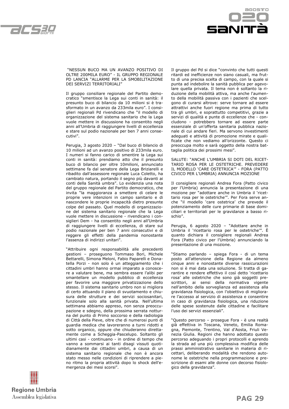



 "NESSUN BUCO MA UN AVANZO POSITIVO DI OLTRE 200MILA EURO" - IL GRUPPO REGIONALE PD LANCIA "ALLARME PER LA SMOBILITAZIONE DEI SERVIZI TERRITORIALI"

Il gruppo consiliare regionale del Partito democratico "smentisce la Lega sui conti in sanità: il presunto buco di bilancio da 10 milioni si è trasformato in un avanzo da 233mila euro". I consiglieri regionali Pd rivendicano che "il modello di organizzazione del sistema sanitario che la Lega vuole mettere in discussione ha consentito negli anni all'Umbria di raggiungere livelli di eccellenza e stare sul podio nazionale per ben 7 anni consecutivi".

Perugia, 3 agosto 2020 – "Dal buco di bilancio di 10 milioni ad un avanzo positivo di 233mila euro. I numeri si fanno carico di smentire la Lega sui conti in sanità: prendiamo atto che il presunto buco di bilancio per oltre 10milioni, annunciato settimane fa dal senatore della Lega Briziarelli e ribadito dall'assessore regionale Luca Coletto, ha cambiato natura, portando il segno più davanti ai conti della Sanità umbra". Lo evidenzia una nota del gruppo regionale del Partito democratico, che invita "la maggioranza a smettere di celare le proprie vere intenzioni in campo sanitario e di nascondere le proprie incapacità dietro presunte colpe del passato. Quel modello di organizzazione del sistema sanitario regionale che la Lega vuole mettere in discussione - rivendicano i consiglieri Dem - ha consentito negli anni all'Umbria di raggiungere livelli di eccellenza, di stare sul podio nazionale per ben 7 anni consecutivi e di reggere gli effetti della pandemia nonostante l'assenza di indirizzi unitari".

"Attribuire ogni responsabilità alle precedenti gestioni – proseguono Tommaso Bori, Michele Bettarelli, Simona Meloni, Fabio Paparelli e Donatella Porzi - non solo è un atteggiamento che i cittadini umbri hanno ormai imparato a conoscere a valutare bene, ma sembra essere l'alibi per smantellare un modello pubblico di eccellenza per favorire una maggiore privatizzazione dello stesso. Il sistema sanitario umbro non si migliora di certo attuando il piano di svuotamento e chiusura delle strutture e dei servizi sociosanitari, funzionale solo alla sanità privata. Nell'ultima settimana abbiamo appreso, non senza preoccupazione e sdegno, della prossima serrata notturna del punto di Primo soccorso e della radiologia di Città della Pieve, oltre che di numerosi punti di guardia medica che lavoreranno a turni ridotti e sotto organico, oppure che chiuderanno direttamente come a Scheggia-Pascelupo. Soltanto gli ultimi casi - continuano - in ordine di tempo che vanno a sommarsi ai tanti disagi vissuti quotidianamente dai cittadini umbri, a causa di un sistema sanitario regionale che non è ancora stato messo nelle condizioni di riprendere a pieno ritmo la propria attività dopo lo shock dell'emergenza dei mesi scorsi".

Il gruppo del Pd si dice "convinto che tutti questi ritardi ed inefficienze non siano casuali, ma frutto di una precisa scelta di campo, con la quale si punta ad indebolire la sanità pubblica per agevolare quella privata. Il tema non è soltanto la riduzione della mobilità attiva, ma anche l'aumento della mobilità passiva con i pazienti che scelgono di curarsi altrove: serve tornare ad essere attrattivi anche fuori regione ma prima di tutto tra gli umbri, e soprattutto competitivi, grazie a servizi di qualità e punte di eccellenze che - concludono - potrebbero tornare ad essere parte essenziale di un'offerta sanitaria pubblica nazionale di cui andare fieri. Ma servono investimenti adeguati e attività di promozione mirate e qualificate che non vediamo all'orizzonte. Questo ci preoccupa molto e sarà oggetto della nostra battaglia politica dei prossimi mesi".

SALUTE: "ANCHE L'UMBRIA SI DOTI DEL RICET-TARIO ROSA PER LE OSTETRICHE. PREVEDERE IL MODELLO 'CARE OSTETRICA'" - FORA (PATTO CIVICO PER L'UMBRIA) ANNUNCIA MOZIONE

Il consigliere regionali Andrea Fora (Patto civico per l'Umbria) annuncia la presentazione di una mozione per "adottare anche in Umbria il 'ricettario rosa per le ostetriche'". Per Fora serve anche "il modello 'care ostetrica' che prevede il potenziamento delle cure primarie di base domiciliari e territoriali per le gravidanze a basso rischio".

Perugia, 6 agosto 2020 – "Adottare anche in Umbria il 'ricettario rosa per le ostetriche'". È quanto dichiara il consigliere regionali Andrea Fora (Patto civico per l'Umbria) annunciando la presentazione di una mozione.

"Stiamo parlando – spiega Fora - di un tema posto all'attenzione della Regione da almeno cinque anni e nonostante diverse rassicurazioni non si è mai data una soluzione. Si tratta di garantire e rendere effettivo il così detto 'ricettario rosa' alle ostetriche che sono già soggetti prescrittori, ai sensi della normativa vigente nell'ambito della sorveglianza ed assistenza alla gravidanza fisiologica, con l'obiettivo di migliorare l'accesso al servizio di assistenza e consentire in caso di gravidanza fisiologica, una riduzione delle spese sostenute dalle cittadine e facilitare l'uso dei servizi essenziali".

"Questo percorso – prosegue Fora - è una realtà già effettiva in Toscana, Veneto, Emilia Romagna, Piemonte, Trentino, Val d'Aosta, Friuli Venezia Giulia. Regioni che hanno adottato questo percorso adeguando i propri protocolli e aprendo la strada ad una più complessiva modifica delle prassi amministrativo sanitarie in materia di ricettari, deliberando modalità che rendono autonome le ostetriche nella programmazione e prescrizione di esami alle donne con decorso fisiologico della gravidanza".

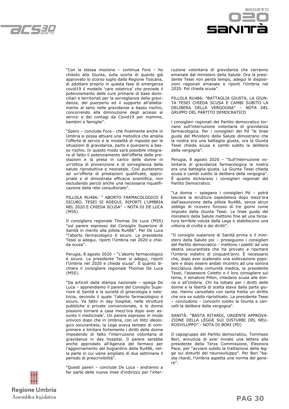



"Con la stessa mozione – continua Fora – ho chiesto alla Giunta, sulla scorta di quanto già approvato lo scorso luglio dalla Regione Toscana, di adottare proprio in questa fase di emergenza covid19 il modello 'care ostetrica' che prevede il potenziamento delle cure primarie di base domiciliari e territoriali per la sorveglianza della gravidanza, del puerperio ed il supporto all'allattamento al seno nelle gravidanze a basso rischio, concorrendo alla diminuzione degli accessi ai servizi e dei contagi da Covid19 per mamme, bambini e famiglie".

"Spero – conclude Fora - che finalmente anche in Umbria si possa attuare una metodica che amplia l'offerta di servizi e le modalità di risposte per le situazioni di gravidanza, parto e puerperio a basso rischio. In questo modo sarà possibile integrare di fatto il potenziamento dell'offerta delle prestazioni e la presa in carico delle donne in un'ottica di prevenzione e di sorveglianza della salute riproduttiva e neonatale. Così punteremo ad un'offerta di prestazioni qualificate, appropriate e di dimostrata efficacia scientifica, non escludendo perciò anche una necessaria riqualificazione della rete consultoriale".

PILLOLA RU486: " ABORTO FARMACOLOGICO È SICURO. TESEI SI ADEGUI, RIPORTI L'UMBRIA NEL 2020 E CHIEDA SCUSA" – NOTA DI DE LUCA (M5S)

Il consigliere regionale Thomas De Luca (M5S) "sul parere espresso dal Consiglio Superiore di Sanità in merito alla pillola Ru486". Per De Luca "l'aborto farmacologico è sicuro. La presidente Tesei si adegui, riporti l'Umbria nel 2020 e chieda scusa".

Perugia, 8 agosto 2020 – "L'aborto farmacologico è sicuro. La presidente Tesei si adegui, riporti l'Umbria nel 2020 e chieda scusa". È quanto dichiara il consigliere regionale Thomas De Luca (M5S).

"Da articoli dalla stampa nazionale – spiega De Luca – apprendiamo il parere del Consiglio Superiore di Sanità e la società di ginecologia e ostetricia, secondo il quale 'l'aborto farmacologico è sicuro. Va fatto in day hospital, nelle strutture pubbliche e private convenzionate, e le donne possono tornare a casa mezz'ora dopo aver assunto il medicinale'. Un parere espresso in modo univoco dopo che in Umbria, con un blitz ideologico oscurantista, la Lega aveva tentato di comprimere e limitare fortemente i diritti delle donne impedendo di fatto l'interruzione volontaria di gravidanza in day hospital. Il parere sarebbe anche approdato all'Agenzia del farmaco per l'aggiornamento del bugiardino della Ru486, nella parte in cui viene ampliato di due settimane il periodo di prescrivibilità".

"Questi pareri – conclude De Luca - andranno a far parte delle nuove linee d'indirizzo per l'interruzione volontaria di gravidanza che verranno emanate dal ministero della Salute. Ora la presidente Tesei non perda tempo, adegui le disposizioni regionali emanate e riporti l'Umbria nel 2020. Poi chieda scusa".

PILLOLA RU486: "BATTAGLIA GIUSTA, LA GIUN-TA TESEI CHIEDA SCUSA E CAMBI SUBITO LA DELIBERA DELLA VERGOGNA" – NOTA DEL GRUPPO DEL PARTITO DEMOCRATICO

l consiglieri regionali del Partito democratico tornano sull'interruzione volontaria di gravidanza farmacologica. Per i consiglieri del Pd "le linee guida del Ministero della Salute dimostrano che la nostra era una battaglia giusta, ora la Giunta Tesei chieda scusa e cambi subito la delibera della vergogna".

Perugia, 8 agosto 2020 – "Sull'interruzione volontaria di gravidanza farmacologica la nostra era una battaglia giusta. La Giunta Tesei chieda scusa e cambi subito la delibera della vergogna". È quanto dichiarano i consiglieri regionali del Partito Democratico.

"La donna – spiegano i consiglieri Pd – potrà lasciare la struttura ospedaliera dopo mezz'ora dall'assunzione della pillola Ru486, senza alcun obbligo di ricovero forzoso di tre giorni come imposto dalla Giunta Tesei. Le linee guida del ministero della Salute mettono fine ad una forzatura terribile voluta dalla Lega e stabiliscono una vittoria di civiltà e dei diritti".

"Il consiglio superiore di Sanità prima e il ministero della Salute poi – proseguono i consiglieri del Partito democratico - mettono i paletti ad una destra oscurantista che ha provato a riportare l'Umbria indietro di cinquant'anni. È necessario che, dopo aver scatenato una sollevazione popolare e dopo essere andati incontro ad una sonora bocciatura della comunità medica, la presidente Tesei, l'assessore Coletto e il loro consigliere sul tema, il senatore Pillon, chiedano scusa alle donne e all'Umbria. Chi ha lottato per i diritti delle donne e la libertà di scelta stava dalla parte giusta. Hanno cancellato con tanta fretta un diritto che ora va subito ripristinato. La presidente Tesei – concludono - convochi subito la Giunta e cancelli la delibera della vergogna".

SANITÀ: "BASTA RITARDI, URGENTE APPROVA-ZIONE DELLA LEGGE SUI DISTURBI DEL NEU-ROSVILUPPO" - NOTA DI BORI (PD)

Il capogruppo del Partito democratico, Tommaso Bori, annuncia di aver inviato una lettera alla presidente della Terza Commissione, Eleonora Pace, per "avviare subito la trattazione della legge sui disturbi del neurosviluppo". Per Bori "basta ritardi, l'Umbria aspetta una norma del genere".

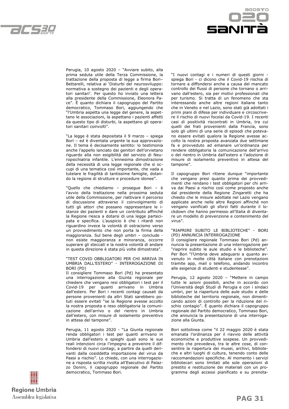



Perugia, 10 agosto 2020 – "Avviare subito, alla prima seduta utile della Terza Commissione, la trattazione della proposta di legge a firma Bori– Bettarelli, relativa ai 'Disturbi del neurosviluppo: normativa a sostegno dei pazienti e degli operatori sanitari'. Per questo ho inviato una lettera alla presidente della Commissione, Eleonora Pace". È quanto dichiara il capogruppo del Partito democratico, Tommaso Bori, aggiungendo che "l'Umbria aspetta una legge del genere, la aspettano le associazioni, la aspettano i pazienti affetti da questo tipo di disturbi, la aspettano gli operatori sanitari coinvolti".

"La legge è stata depositata il 9 marzo – spiega Bori – ed è diventata urgente la sua approvazione. Il tema è decisamente sentito: lo testimonia anche l'appello lanciato dai genitori dell'orvietano riguardo alla non esigibilità del servizio di Neuropsichiatria infantile. L'ennesima dimostrazione della necessità di una legge regionale che si occupi di una tematica così importante, che vada a tutelare le fragilità di tantissime famiglie, dotando la regione di strutture e procedure idonee".

"Quello che chiediamo – prosegue Bori – è l'avvio della trattazione nella prossima seduta utile della Commissione, per riattivare il percorso di discussione attraverso il coinvolgimento di tutti gli attori che possano rappresentare le istanze dei pazienti e dare un contributo affinché la Regione riesca a dotarsi di una legge partecipata e specifica. L'auspicio è che i ritardi non riguardino invece la volontà di ostracismo verso un provvedimento che non porta la firma della maggioranza. Sul bene degli umbri – conclude non esiste maggioranza e minoranza, occorre superare gli steccati e la nostra volontà di andare in questa direzione è stata più volte dimostrata".

#### "TEST COVID OBBLIGATORI PER CHI ARRIVA IN UMBRIA DALL'ESTERO" - INTERROGAZIONE DI BORI (PD)

Il consigliere Tommaso Bori (Pd) ha presentato una interrogazione alla Giunta regionale per chiedere che vengano resi obbligatori i test per il Covid-19 per quanti arrivano in Umbria dall'estero. Per Bori i recenti contagi causati da persone provenienti da altri Stati sarebbero potuti essere evitati "se la Regione avesse accolto la nostra proposta e reso obbligatoria la comunicazione dell'arrivo o del rientro in Umbria dall'estero, con misure di isolamento preventivo in attesa del tampone".

Perugia, 11 agosto 2020 - "La Giunta regionale renda obbligatori i test per quanti arrivano in Umbria dall'estero e spieghi quali sono le sue reali intenzioni circa l'impegno a prevenire il diffondersi di nuovi contagi, a partire da quelli derivanti dalla cosiddetta importazione del virus da Paesi a rischio". Lo chiede, con una interrogazione a risposta scritta rivolta all'Esecutivo di Palazzo Donini, il capogruppo regionale del Partito democratico, Tommaso Bori.

"I nuovi contagi e i numeri di questi giorni spiega Bori - ci dicono che il Covid-19 rischia di tornare a diffondersi anche a causa del mancato controllo dei flussi di persone che tornano o arrivano dall'estero, sia per motivi professionali che per turismo. Si tratta di un fenomeno che sta interessando anche altre regioni italiane tanto che in Veneto e nel Lazio, sono stati già adottati i primi piani di difesa per individuare e circoscrivere il rischio di nuovi focolai da Covid-19. I recenti casi di positività riscontrati in Umbria, tra cui quelli dei frati provenienti dalla Francia, sono solo gli ultimi di una serie di episodi che potevano essere evitati qualora la Regione avesse accolto la nostra proposta avanzata due settimane fa e provveduto ad emanare un'ordinanza per rendere obbligatoria la comunicazione dell'arrivo o del rientro in Umbria dall'estero e l'adozione di misure di isolamento preventivo in attesa del tampone".

Il capogruppo Bori ritiene dunque "importante che vengano presi quanto prima dei provvedimenti che rendano i test obbligatori per chi arriva dai Paesi a rischio così come proposto anche dal presidente della Regione Zingaretti che ha chiesto che le misure adottate nel Lazio vengano applicate anche nelle altre Regioni affinché non vengano vanificati gli sforzi fatti durante il lockdown che hanno permesso all'Italia di diventare un modello di prevenzione e contenimento del virus".

#### "RIAPRIRE SUBITO LE BIBLIOTECHE" - BORI (PD) ANNUNCIA INTERROGAZIONE

Il consigliere regionale Tommaso Bori (Pd) annuncia la presentazione di una interrogazione per "riaprire subito le aule studio e le biblioteche". Per Bori "l'Umbria deve adeguarsi a quanto avvenuto in molte città italiane con prenotazioni tramite app, mail o telefono, andando incontro alle esigenze di studenti e studentesse".

Perugia, 12 agosto 2020 – "Mettere in campo tutte le azioni possibili, anche in accordo con l'Università degli Studi di Perugia e con i sindaci umbri, per la riapertura delle aule studio e delle biblioteche del territorio regionale, non dimenticando azioni di controllo per la riduzione del rischio contagio". È quanto dichiara il capogruppo regionale del Partito democratico, Tommaso Bori, che annuncia la presentazione di una interrogazione alla Giunta.

Bori sottolinea come "il 22 maggio 2020 è stata emanata l'ordinanza per il riavvio delle attività economiche e produttive sospese. Un provvedimento che prevedeva, tra le altre cose, di consentire la riapertura dei musei, archivi, biblioteche e altri luoghi di cultura, tenendo conto delle raccomandazioni specifiche. Al momento i servizi bibliotecari sono limitati alle sole operazioni di prestito e restituzione dei materiali con un programma degli accessi pianificato e su prenota-

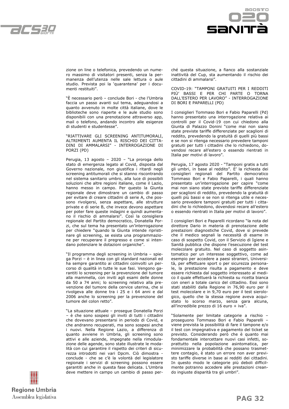



zione on line o telefonica, prevedendo un numero massimo di visitatori presenti, senza la permanenza dell'utenza nelle sale lettura o aule studio. Prevista poi la 'quarantena' per i documenti restituiti".

"È necessario però – conclude Bori - che l'Umbria faccia un passo avanti sul tema, adeguandosi a quanto avvenuto in molte città italiane, dove le biblioteche sono riaperte e le aule studio sono disponibili con una prenotazione attraverso app, mail o telefono, andando incontro alle esigenze di studenti e studentesse".

"RIATTIVARE GLI SCREENING ANTITUMORALI, ALTRIMENTI AUMENTA IL RISCHIO DEI CITTA-DINI DI AMMALARSI" - INTERROGAZIONE DI PORZI (PD)

Perugia, 13 agosto – 2020 – "La proroga dello stato di emergenza legato al Covid, disposta dal Governo nazionale, non giustifica i ritardi negli screening antitumorali che si stanno riscontrando nel sistema sanitario umbro, alla luce di possibili soluzioni che altre regioni italiane, come il Lazio, hanno messo in campo. Per questo la Giunta regionale deve dimostrare un cambio di passo per evitare di creare cittadini di serie A, che possono rivolgersi, senza aspettare, alle strutture private e di serie B, che invece devono aspettare per poter fare queste indagini e quindi aumentano il rischio di ammalarsi". Così la consigliera regionale del Partito democratico, Donatella Porzi, che sul tema ha presentato un'interrogazione per chiedere "quando la Giunta intende ripristinare gli screening, se esista una programmazione per recuperare il pregresso e come si intendano potenziare le dotazioni organiche".

"Il programma degli screening in Umbria – spiega Porzi – è in linea con gli standard nazionali ed ha sempre garantito ai cittadini coinvolti un percorso di qualità in tutte le sue fasi. Vengono garantiti lo screening per la prevenzione del tumore alla mammella, con inviti agli esami delle donne da 50 a 74 anni; lo screening relativo alla prevenzione del tumore della cervice uterina, che si rivolgeva alle donne tra i 25 e i 64 anni e dal 2006 anche lo screening per la prevenzione del tumore del colon retto".

"La situazione attuale – prosegue Donatella Porzi – è che sono sospesi gli inviti di tutti i cittadini che dovevano presentarsi in periodo di Covid, e che andranno recuperati, ma sono sospesi anche i nuovi. Nella Regione Lazio, a differenza di quanto avviene in Umbria, gli screening sono attivi e alle aziende, impegnate nella rimodulazione delle agende, sono state illustrate le modalità con cui garantire il rispetto dei criteri di sicurezza introdotti nei vari Dpcm. Ciò dimostra conclude - che se c'è la volontà del legislatore regionale i servizi di screening possono essere garantiti anche in questa fase delicata. L'Umbria deve mettere in campo un cambio di passo perché questa situazione, a fianco alla sostanziale inattività del Cup, sta aumentando il rischio dei cittadini di ammalarsi".

COVID-19: "TAMPONI GRATUITI PER I REDDITI PIÙ' BASSI E PER CHI PARTE O TORNA DALL'ESTERO PER LAVORO" - INTERROGAZIONE DI BORI E PAPARELLI (PD)

I consiglieri Tommaso Bori e Fabio Paparelli (Pd) hanno presentato una interrogazione relativa ai controlli per il Covid-19 con cui chiedono alla Giunta di Palazzo Donini "come mai non siano state previste tariffe differenziate per scaglioni di reddito, prevedendo la gratuità di quelli più bassi e se non si ritenga necessario prevedere tamponi gratuiti per tutti i cittadini che lo richiedono, dovendosi recare all'estero o essendo rientrati in Italia per motivi di lavoro".

Perugia, 17 agosto 2020 - "Tamponi gratis a tutti gli umbri, in base al reddito". E' la richiesta dei consiglieri regionali del Partito democratico Tommaso Bori e Fabio Paparelli, i quali hanno presentato un'interrogazione per capire "come mai non siano state previste tariffe differenziate per scaglioni di reddito, prevedendo la gratuità di quelli più bassi e se non si ritenga utile e necessario prevedere tamponi gratuiti per tutti i cittadini che lo richiedono, dovendosi recare all'estero o essendo rientrati in Italia per motivi di lavoro".

I consiglieri Bori e Paparelli ricordano "la nota del direttore Dario in materia di prenotazione delle prestazioni diagnostiche Covid, dove si prevede che il medico segnali la necessità di esame in caso di sospetto Covid, con il Servizio di Igiene e Sanità pubblica che dispone l'esecuzione del test molecolare gratuito. Nel caso di soggetto asintomatico per un interesse soggettivo, come ad esempio per accedere a paesi stranieri, Università, per effettuare sport o per sicurezza personale, la prestazione risulta a pagamento e deve essere richiesta dal soggetto interessato al medico il quale effettuerà la richiesta su ricetta bianca con oneri a totale carico del cittadino. Essi sono stati stabiliti dalla Regione in 76,90 euro per il test molecolare e in 9,70 euro per il test sierologico, quello che la stessa regione aveva acquistato lo scorso marzo, senza gara alcuna, all'incredibile prezzo di 16 euro + iva".

"Solamente per limitate categorie a rischio – proseguono Tommaso Bori e Fabio Paparelli – viene prevista la possibilità di fare il tampone e/o il test con impegnativa e pagamento del ticket se previsto. Considerando però che è quanto mai fondamentale intercettare nuovi casi infetti, soprattutto nella popolazione asintomatica, per minimizzare la probabilità che possano trasmettere contagio, è stato un errore non aver previsto tariffe diverse in base ai redditi dei cittadini. In questo modo le categorie più deboli difficilmente potranno accedere alle prestazioni creando ingiuste disparità tra gli umbri".

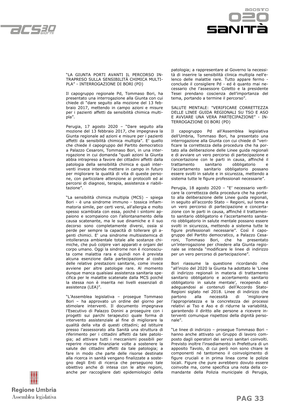



"LA GIUNTA PORTI AVANTI IL PERCORSO IN-TRAPRESO SULLA SENSIBILITÀ CHIMICA MULTI-PLA" - INTERROGAZIONE DI BORI (PD)

Il capogruppo regionale Pd, Tommaso Bori, ha presentato una interrogazione alla Giunta con cui chiede di "dare seguito alla mozione del 13 febbraio 2017, mettendo in campo azioni e misure per i pazienti affetti da sensibilità chimica multipla".

Perugia, 17 agosto 2020 – "Dare seguito alla mozione del 13 febbraio 2017, che impegnava la Giunta regionale ad azioni e misure per i pazienti affetti da sensibilità chimica multipla". E' quello che chiede il capogruppo del Partito democratico a Palazzo Cesaroni, Tommaso Bori, in una interrogazione in cui domanda "quali azioni la Giunta abbia intrapreso a favore dei cittadini affetti dalla patologia della sensibilità chimica e quali interventi invece intende mettere in campo in futuro per migliorare la qualità di vita di queste persone, con particolare attenzione ai protocolli ed ai percorsi di diagnosi, terapia, assistenza e riabilitazione".

"La sensibilità chimica multipla (MCS) – spiega Bori - è una sindrome immuno - tossica infiammatoria simile, per certi versi, all'allergia e molto spesso scambiata con essa, poiché i sintomi appaiono e scompaiono con l'allontanamento della causa scatenante, ma le sue dinamiche e il suo decorso sono completamente diversi, ossia si perde per sempre la capacità di tollerare gli agenti chimici. E' una sindrome multisistemica di intolleranza ambientale totale alle sostanze chimiche, che può colpire vari apparati e organi del corpo umano. Oggi la sindrome non è riconosciuta come malattia rara e quindi non è prevista alcuna esenzione dalla partecipazione al costo delle relative prestazioni sanitarie, come invece avviene per altre patologie rare. Al momento dunque manca qualsiasi assistenza sanitaria specifica per le malattie scatenate dalla MCS poiché la stessa non è inserita nei livelli essenziali di assistenza (LEA)".

"L'Assemblea legislativa – prosegue Tommaso Bori – ha approvato un ordine del giorno per stimolare interventi. Il documento impegnava l'Esecutivo di Palazzo Donini a proseguire con i progetti sui parchi terapeutici quale forma di intervento assistenziale al fine di migliorare la qualità della vita di questi cittadini; ad istituire presso l'assessorato alla Sanità una struttura di riferimento per i cittadini affetti da tale patologia; ad attivare tutti i meccanismi possibili per reperire risorse finanziarie volte a sostenere la salute dei cittadini affetti da tale patologia; a fare in modo che parte delle risorse destinate alla ricerca in sanità vengano finalizzate a sostegno degli Enti di ricerca che perseguono tale obiettivo anche di intesa con le altre regioni, anche per raccogliere dati epidemiologici della patologia; a rappresentare al Governo la necessità di inserire la sensibilità clinica multipla nell'elenco delle malattie rare. Tutto appare fermo conclude il consigliere Pd - ed è quanto mai necessario che l'assessore Coletto e la presidente Tesei prendano coscienza dell'importanza del tema, portando a termine il percorso".

SALUTE MENTALE: "VERIFICARE CORRETTEZZA DELLE LINEE GUIDA REGIONALI SU TSO E ASO E AVVIARE UNA VERA PARTECIPAZIONE" - IN-TERROGAZIONE DI BORI (PD)

Il capogruppo Pd all'Assemblea legislativa dell'Umbria, Tommaso Bori, ha presentato una interrogazione alla Giunta con cui chiede di "verificare la correttezza della procedura che ha portato alla deliberazione delle Linee guida regionali e di avviare un vero percorso di partecipazione e concertazione con le parti in causa, affinché il trattamento sanitario obbligatorio e l'accertamento sanitario obbligatorio possano essere svolti in salute e in sicurezza, mettendo a sistema tutte le figure professionali necessarie".

Perugia, 18 agosto 2020 – "E' necessario verificare la correttezza della procedura che ha portato alla deliberazione delle Linee guida regionali, in seguito all'accordo Stato – Regioni, sul tema e un vero percorso di partecipazione e concertazione con le parti in causa, affinché il trattamento sanitario obbligatorio e l'accertamento sanitario obbligatorio in salute mentale possano essere svolti in sicurezza, mettendo a sistema tutte le figure professionali necessarie". Così il capogruppo del Partito democratico, a Palazzo Cesaroni, Tommaso Bori, che ha presentato un'interrogazione per chiedere alla Giunta regionale se intenda "modificare le linee di indirizzo per un vero percorso di partecipazione".

Bori riassume la questione ricordando che "all'inizio del 2020 la Giunta ha adottato le 'Linee di indirizzo regionali in materia di trattamento sanitario obbligatorio e accertamento sanitario obbligatorio in salute mentale', recependo ed adeguandosi ai contenuti dell'Accordo Stato-Regioni siglato nel 2018. Linee di indirizzo che<br>partono alla necessità di `migliorare partono alla necessità di 'migliorare l'appropriatezza e la concretezza dei processi relativi ai Tso e Aso e di ridurne la variabilità, garantendo il diritto alle persone a ricevere interventi comunque rispettosi della dignità personale".

"Le linee di indirizzo – prosegue Tommaso Bori – hanno anche attivato un Gruppo di lavoro composto dagli operatori dei servizi sanitari coinvolti. Previsto inoltre l'insediamento in Prefettura di un apposito Tavolo, di cui però non sono chiare le componenti né tantomeno il coinvolgimento di figure cruciali e in prima linea come le polizie locali. Figure che pure avrebbero dovuto essere coinvolte ma, come specifica una nota della comandante della Polizia municipale di Perugia,

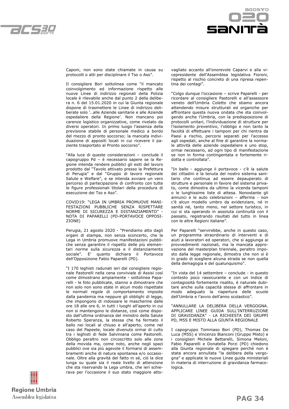



Caponi, non sono state chiamate in causa su protocolli o atti per disciplinare il Tso o Aso".

Il consigliere Bori sottolinea come "il mancato coinvolgimento ed informazione rispetto alle nuove Linee di indirizzo regionali della Polizia locale è rilevabile anche dal punto 2 della delibera n. 6 del 15.01.2020 in cui la Giunta regionale dispone di trasmettere le Linee di indirizzo deliberate solo '..alle Aziende sanitarie e alle Aziende ospedaliere della Regione'. Non mancano poi carenze logistico organizzative, come rivelato da diversi operatori. In primo luogo l'assenza della previsione stabile di personale medico a bordo del mezzo di pronto soccorso; la mancata individuazione di appositi locali in cui ricevere il paziente trasportato al Pronto soccorso".

"Alla luce di queste considerazioni – conclude il capogruppo Pd – è necessario sapere se la Regione intenda rendere pubblici gli esiti del lavoro prodotto dal "Tavolo attivato presso la Prefettura di Perugia" e dal "Gruppo di lavoro regionale Salute e Welfare", e se intenda avviare un vero percorso di partecipazione di confronto con tutte le figure professionali titolari della procedura di esecuzione dei Tso e Aso".

COVID19: "LEGA IN UMBRIA PROMUOVE MANI-FESTAZIONI PUBBLICHE SENZA RISPETTARE NORME DI SICUREZZA E DISTANZIAMENTO" - NOTA DI PAPARELLI (PD-PORTAVOCE OPPOSI-ZIONE)

Perugia, 21 agosto 2020 - "Prendiamo atto dagli organi di stampa, non senza sconcerto, che la Lega in Umbria promuove manifestazioni pubbliche senza garantire il rispetto delle più elementari norme sulla sicurezza e il distanziamento sociale". E' quanto dichiara il Portavoce dell'Opposizione Fabio Paparelli (PD).

"I 170 leghisti radunati ieri dal consigliere regionale Pastorelli nella cena conviviale di Assisi così come dimostrano ampiamente - sottolinea Paparelli - le foto pubblicate, stanno a dimostrare che non solo non sono state in alcun modo rispettate le normali regole di comportamento imposte dalla pandemia ma neppure gli obblighi di legge, che impongono di indossare le mascherine dalle ore 18 alle ore 6, in tutti i luoghi all'aperto in cui non si mantengono le distanze, così come disposto dall'ultima ordinanza del ministro della Salute Roberto Speranza, la stessa che ha fermato il ballo nei locali al chiuso e all'aperto, come nel caso del Papeete, locale divenuto ormai di culto tra i leghisti di fede Salviniana come Pastorelli. Obbligo peraltro non circoscritto solo alle zone della movida ma, come noto, anche negli spazi pubblici ove sia più agevole il formarsi di assembramenti anche di natura spontanea e/o occasionale. Oltre alla gravità del fatto in sé, ciò la dice lunga su quale sia il reale livello di attenzione che sta riservando la Lega umbra, che ieri schierava per l'occasione il suo stato maggiore attovagliato accanto all'onorevole Caparvi e alla vicepresidente dell'Assemblea legislativa Fioroni, rispetto al rischio concreto di una ripresa repentina dei contagi".

"Colgo dunque l'occasione – scrive Paparelli - per ricordare al consigliere Pastorelli e all'assessore veneto dell'Umbria Coletto che stiamo ancora attendendo misure strutturali ed organiche per affrontare questa nuova ondata che sta coinvolgendo anche l'Umbria, con la predisposizione di protocolli unitari, l'individuazione di strutture per l'isolamento preventivo, l'obbligo e non tanto la facoltà di effettuare i tamponi per chi rientra da Paesi a rischio, percorsi separati per l'accesso agli ospedali, anche al fine di garantire la normale attività delle aziende ospedaliere e uno stop, ormai necessario, ad ogni tipo di manifestazione se non in forma contingentata e fortemente ridotta e controllata".

"In ballo - aggiunge il portavoce - c'è la salute dei cittadini e la tenuta del nostro sistema sanitario che continua ad essere depauperato di strutture e personale in favore del sistema privato, come dimostra da ultimo la vicenda tamponi o le lunghissime liste di attesa. Nonostante gli annunci e le auto celebrazioni – afferma - non c'è alcun modello umbro da evidenziare, né in sanità né, tanto meno, nel settore turistico, in cui si sta operando in assoluta continuità con il passato, registrando risultati del tutto in linea con le altre Regioni italiane".

Per Paparelli "servirebbe, anche in questo caso, un programma straordinario di interventi e di aiuti a lavoratori ed operatori, che si aggiunga ai provvedimenti nazionali, ma la mancata approvazione del masterplan triennale, peraltro imposto dalla legge regionale, dimostra che non si è in grado di scegliere alcuna strada se non quella della demagogia e del qualunquismo".

"In vista del 14 settembre – conclude - in questo contesto poco rassicurante e con un indice di contagiosità fortemente risalito, è naturale dubitare anche sulla capacità stessa di affrontare in modo adeguato la riapertura delle scuole dell'Umbria e l'avvio dell'anno scolastico".

"ANNULLARE LA DELIBERA DELLA VERGOGNA. APPLICARE LINEE GUIDA SULL'INTERRUZIONE DI GRAVIDANZA" - LA RICHIESTA DEI GRUPPI PD, M5S E MISTO ALLA GIUNTA REGIONALE

I capogruppo Tommaso Bori (PD), Thomas De Luca (M5S) e Vincenzo Bianconi (Gruppo Misto) e i consiglieri Michele Bettarelli, Simona Meloni, Fabio Paparelli e Donatella Porzi (PD) chiedono alla Giunta regionale di spiegare perché non è stata ancora annullata "la delibera della vergogna" e applicate le nuove Linee guida ministeriali in materia di interruzione di gravidanza farmacologica.

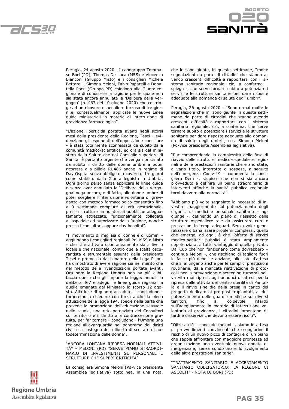



Perugia, 24 agosto 2020 - I capogruppo Tommaso Bori (PD), Thomas De Luca (M5S) e Vincenzo Bianconi (Gruppo Misto) e i consiglieri Michele Bettarelli, Simona Meloni, Fabio Paparelli e Donatella Porzi (Gruppo PD) chiedono alla Giunta regionale di conoscere la ragione per le quale non sia stata ancora annullata la 'Delibera della vergogna' (n. 467 del 10 giugno 2020) che costringe ad un ricovero ospedaliero forzoso di tre giorni,e, contestualmente, applicate le nuove Linee guida ministeriali in materia di interruzione di gravidanza farmacologica".

"L'azione liberticida portata avanti negli scorsi mesi dalla presidente della Regione, Tesei - evidenziano gli esponenti dell'opposizione consiliare - è stata totalmente sconfessata da subito dalla comunità medico-scientifica, ed ora sia dal ministero della Salute che dal Consiglio superiore di Sanità. È pertanto urgente che venga ripristinato da subito il diritto delle donne umbre a poter ricorrere alla pillola RU486 anche in regime di Day Ospital senza obbligo di ricovero di tre giorni come stabilito dalla Giunta leghista in Umbria. Ogni giorno perso senza applicare le linee guida e senza aver annullato la 'Delibera della Vergogna' nega ancora, e di fatto, alle donne umbre di poter scegliere l'interruzione volontaria di gravidanza con metodo farmacologico consentito fino a 9 settimane compiute di età gestazionale, presso strutture ambulatoriali pubbliche adeguatamente attrezzate, funzionalmente collegate all'ospedale ed autorizzate dalla Regione, nonché presso i consultori, oppure day hospital".

"Il movimento di migliaia di donne e di uomini aggiungono i consiglieri regionali Pd, M5S e Misto - che si è attivato spontaneamente sia a livello locale e che nazionale, contro quella scelta oscurantista e strumentale assunta della presidente Tesei e promossa dal senatore della Lega Pillon, ha dimostrato di avere ragione sia nel merito che nel metodo delle rivendicazioni portate avanti. Ora però la Regione Umbria non ha più alibi: faccia quello che gli impone la legge: annulli la delibera 467 e adegui le linee guida regionali a quelle emanate dal Ministero lo scorso 12 agosto. Alla luce di quanto accaduto – concludono torneremo a chiedere con forza anche la piena attuazione della legge 194, specie nella parte che prevede la promozione dell'educazione sessuale nelle scuole, una rete potenziata dei Consultori sul territorio e il diritto alla contraccezione gratuita, per far tornare - concludono - l'Umbria una regione all'avanguardia nel panorama dei diritti civili e a sostegno della libertà di scelta e di autodeterminazione delle donne".

"ANCORA LONTANA RIPRESA NORMALI ATTIVI-TÀ" - MELONI (PD) "SERVE PIANO STRAORDI-NARIO DI INVESTIMENTI SU PERSONALE E STRUTTURE CHE SUPERI CRITICITÀ"

La consigliera Simona Meloni (Pd-vice presidente Assemblea legislativa) sottolinea, in una nota, che le sono giunte, in queste settimane, "molte segnalazioni da parte di cittadini che stanno avendo crescenti difficoltà a rapportarsi con il sistema sanitario regionale, ciò, a conferma – spiega -, che serve tornare subito a potenziare i servizi e le strutture sanitarie per dare risposte adeguate alla domanda di salute degli umbri".

Perugia, 26 agosto 2020 - "Sono ormai molte le segnalazioni che mi sono giunte in queste settimane da parte di cittadini che stanno avendo crescenti difficoltà a rapportarsi con il sistema sanitario regionale, ciò, a conferma, che serve tornare subito a potenziare i servizi e le strutture sanitarie per dare risposte adeguate alla domanda di salute degli umbri", così Simona Meloni (Pd-vice presidente Assemblea legislativa).

"Pur comprendendo la complessità della fase di riavvio delle strutture medico-ospedaliere regionali e delle prestazioni sanitarie che erano state, a vario titolo, interrotte o sospese, a seguito dell'emergenza Codiv-19 – commenta la consigliera Dem -, stupisce che non si sia ancora provveduto a definire un piano straordinario di interventi affinché la sanità pubblica regionale torni davvero alla normalità".

"Abbiamo più volte segnalato la necessità di investire maggiormente sul potenziamento degli organici di medici e personale sanitario – aggiunge -, definendo un piano di riassetto delle strutture ospedaliere tale da assicurare cure e prestazioni in tempi adeguati. Senza voler generalizzare o banalizzare problemi complessi, quello che emerge, ad oggi, è che l'offerta di servizi medico-sanitari pubblici è stata ampiamente depotenziata, a tutto vantaggio di quella privata. Dai Cup che non funzionano come dovrebbero – continua Meloni -, che rischiano di tagliare fuori le fasce più deboli e anziane, alle liste d'attesa che si allungano anche per le semplici prestazioni routinarie, dalla mancata riattivazione di protocolli per la prevenzione e screening tumorali salva vita mai ripresi, agli annunci disattesi per la ripresa delle attività del centro sterilità di Pantalla e il rinvio sine die della presa in carico del progetto dedicato ai pre-post trapiantati, al depotenziamento delle guardie mediche sui diversi territori, fino al colpevole ritardo sull'adeguamento in materia di interruzione volontaria di gravidanza, i cittadini lamentano ritardi e disservizi che devono essere risolti".

"Oltre a ciò – conclude meloni -, siamo in attesa di provvedimenti convincenti che scongiurino il rischio di un nuovo picco di contagi e di un piano che sappia affrontare con maggiore prontezza ed organizzazione una eventuale nuova ondata emergenziale, senza condizionare lo svolgimento delle altre prestazioni sanitarie".

"TRATTAMENTO SANITARIO E ACCERTAMENTO SANITARIO OBBLIGATORIO: LA REGIONE CI ASCOLTI" - NOTA DI BORI (PD)

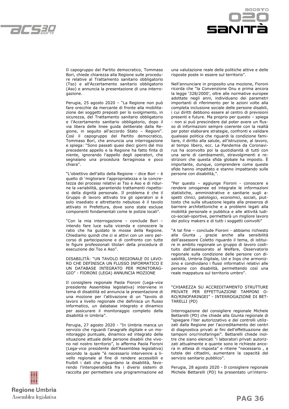



Il capogruppo del Partito democratico, Tommaso Bori, chiede chiarezza alla Regione sulle procedure relative al Trattamento sanitario obbligatorio (Tso) e all'Accertamento sanitario obbligatorio (Aso) e annuncia la presentazione di una interrogazione.

Perugia, 25 agosto 2020 – "La Regione non può fare orecchie da mercante di fronte alla mobilitazione dei soggetti preposti per lo svolgimento, in sicurezza, del Trattamento sanitario obbligatorio e l'Accertamento sanitario obbligatorio, dopo il via libera delle linee guida deliberate dalla Regione, in seguito all'accordo Stato – Regioni". Così il capogruppo del Partito democratico, Tommaso Bori, che annuncia una interrogazione e spiega: "Sono passati quasi dieci giorni dal mio precedente appello e la Regione ha fatto finta di niente, ignorando l'appello degli operatori, che segnalano una procedura farraginosa e poco chiara".

"L'obiettivo dell'atto della Regione – dice Bori – è quello di 'migliorare l'appropriatezza e la concretezza dei processi relativi ai Tso e Aso e di ridurne la variabilità, garantendo trattamenti rispettosi della dignità personale. Il problema è che il Gruppo di lavoro attivato tra gli operatori si è solo insediato e altrettanto nebuloso è il tavolo attivato in Prefettura, dove sono state escluse componenti fondamentali come le polizie locali".

"Con la mia interrogazione – conclude Bori – intendo fare luce sulla vicenda e conoscere la ratio che ha guidato le mosse della Regione. Chiediamo quindi che ci si attivi con un vero percorso di partecipazione e di confronto con tutte le figure professionali titolari della procedura di esecuzione dei Tso e Aso".

DISABILITÀ: "UN TAVOLO REGIONALE DI LAVO-RO CHE DEFINISCA UN FLUSSO INFORMATICO E UN DATABASE INTEGRATO PER MONITORAG-GIO" - FIORONI (LEGA) ANNUNCIA MOZIONE

Il consigliere regionale Paola Fioroni (Lega-vice presidente Assemblea legislativa) interviene in tema di disabilità ed annuncia la presentazione di una mozione per l'attivazione di un "tavolo di lavoro a livello regionale che definisca un flusso informatico, un database integrato e dinamico per assicurare il monitoraggio completo della disabilità in Umbria".

Perugia, 27 agosto 2020 - "In Umbria manca un servizio che riguardi l'anagrafe digitale e un monitoraggio puntuale, dinamico ed integrato della situazione attuale delle persone disabili che vivono nel nostro territorio", lo afferma Paola Fioroni (Lega-vice presidente dell'Assemblea legislativa) secondo la quale "è necessario intervenire a livello regionale al fine di rendere accessibili e fruibili i dati che riguardano la disabilità, favorendo l'interoperabilità fra i diversi sistemi di raccolta per permettere una programmazione ed



Nell'annunciare in proposito una mozione, Fioroni ricorda che "la Convenzione Onu e prima ancora la legge '328/2000', oltre alle normative europee adottate negli anni, individuano dei parametri importanti di riferimento per le azioni volte alla completa inclusione sociale delle persone disabili, i cui diritti debbono essere al centro di previsioni presenti e future. Ma proprio per questo – spiega - non si può prescindere dal poter avere un flusso di informazioni sempre coerente con la realtà per poter elaborare strategie, confronti e validare qualsiasi politica che riguardi la condizione familiare, il diritto alla salute, all'istruzione, al lavoro, al tempo libero, ecc. La Pandemia da Coronavirus ha sconvolto poi la quotidianità di tutti con una serie di cambiamenti, stravolgimenti e restrizioni che questa sfida globale ha imposto. È importante, dunque, comprendere come queste sfide hanno impattato e stanno impattando sulle persone con disabilità,".

"Per questo – aggiunge Fioroni - conoscere e rendere omogenee ed integrate le informazioni statistiche, amministrative e sanitarie sugli aspetti clinici, patologici, economici, sociali, piuttosto che sulla situazione legata alla presenza di barriere architettoniche e a problemi legati alla mobilità personale e pubblica e alle attività ludico-sociali-sportive, permetterà un migliore lavoro dei policy makers e di tutti i soggetti coinvolti"

"A tal fine – conclude Fioroni - abbiamo richiesto alla Giunta , grazie anche alla sensibilità dell'assessore Coletto riguardo il tema, di istituire in ambito regionale un gruppo di lavoro costituito dall'assessorato al Welfare, Osservatorio regionale sulla condizione delle persone con disabilità, Umbria Digitale, Usl e Inps che armonizzino e condividano i flussi informativi relativi alle persone con disabilità, permettendo così una reale mappatura sul territorio umbro".

"CHIAREZZA SU ACCREDITAMENTO STRUTTURE PRIVATE PER EFFETTUAZIONE TAMPONI O-RO/RINOFARINGEI" - INTERROGAZIONE DI BET-TARELLI (PD)

Interrogazione del consigliere regionale Michele Bettarelli (PD) che chiede alla Giunta regionale di "spiegare l'iter autorizzativo e dei controlli utilizzati dalla Regione per l'accreditamento dei centri di diagnostica privati ai fini dell'effettuazione dei tamponi oro/rinofaringei". Bettarelli chiede inoltre che siano elencati "i laboratori privati autorizzati attualmente e quante sono le richieste ancora in attesa di risposta" e ritiene "necessario , a tutela dei cittadini, aumentare la capacità del servizio sanitario pubblico".

Perugia, 28 agosto 2020 - Il consigliere regionale Michele Bettarelli (PD) ha presentato un'interro-

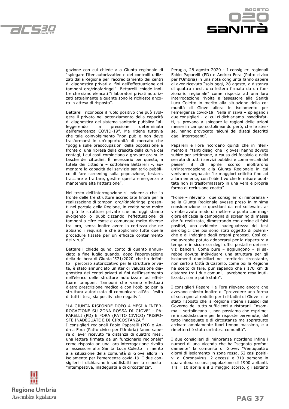



gazione con cui chiede alla Giunta regionale di "spiegare l'iter autorizzativo e dei controlli utilizzati dalla Regione per l'accreditamento dei centri di diagnostica privati ai fini dell'effettuazione dei tamponi oro/rinofaringei". Bettarelli chiede inoltre che siano elencati "i laboratori privati autorizzati attualmente e quante sono le richieste ancora in attesa di risposta".

Bettarelli riconosce il ruolo positivo che può svolgere il privato nel potenziamento della capacità di diagnostica del sistema sanitario pubblica "alleggerendo la pressione determinata dall'emergenza COVID-19". Ma ritiene tuttavia che tale coinvolgimento "non può e non deve trasformarsi in un'opportunità di mercato che "poggia sulle preoccupazioni della popolazione a fronte di una ripresa della crescita della curva dei contagi, i cui costi cominciano a gravare ora sulle tasche dei cittadini. È necessario per questo, a tutela dei cittadini – sottolinea Bettarelli -, aumentare la capacità del servizio sanitario pubblico di fare screening sulla popolazione, testare, tracciare e trattare, gestire questa emergenza e mantenere alta l'attenzione".

Nel testo dell'interrogazione si evidenzia che "a fronte delle tre strutture accreditate finora per la realizzazione di tamponi oro/Rinofaringei presenti nel portale della Regione, in realtà sono molte di più le strutture private che ad oggi stanno svolgendo o pubblicizzando l'effettuazione di tamponi a cifre esose e comunque molto diverse tra loro, senza inoltre avere la certezza che ne abbiano i requisiti e che applichino tutte quelle procedure fissate per un efficace contenimento del virus".

Bettarelli chiede quindi conto di quanto annunciato a fine luglio quando, dopo l'approvazione della delibera di Giunta '571/2020' che ha definito il percorso autorizzativo per le strutture private, è stato annunciato un iter di valutazione diagnostica dei centri privati ai fini dell'inserimento nell'elenco delle strutture autorizzate ad effettuare tamponi. Tamponi che vanno effettuati dietro prescrizione medica e con l'obbligo per la struttura autorizzata di comunicare all'Asl l'esito di tutti i test, sia positivi che negativi".

"LA GIUNTA RISPONDE DOPO 4 MESI A INTER-ROGAZIONE SU ZONA ROSSA DI GIOVE" - PA-PARELLI (PD) E FORA (PATTO CIVICO) "RISPO-STE INADEGUATE E DI CIRCOSTANZA

I consiglieri regionali Fabio Paparelli (PD) e Andrea Fora (Patto civico per l'Umbria) fanno sapere di aver ricevuto "a distanza di quattro mesi, una lettera firmata da un funzionario regionale" come risposta ad una loro interrogazione rivolta all'assessore alla Sanità Luca Coletto in merito alla situazione della comunità di Giove allora in isolamento per l'emergenza covid-19. I due consiglieri si dichiarano insoddisfatti per la risposta: "intempestiva, inadeguata e di circostanza".

Perugia, 28 agosto 2020 - I consiglieri regionali Fabio Paparelli (PD) e Andrea Fora (Patto civico per l'Umbria) in una nota congiunta fanno sapere di aver ricevuto "solo oggi, 28 agosto, a distanza di quattro mesi, una lettera firmata da un funzionario regionale" come risposta ad una loro interrogazione rivolta all'assessore alla Sanità Luca Coletto in merito alla situazione della comunità di Giove allora in isolamento per l'emergenza covid-19. Nella missiva – spiegano i due consiglieri -, di cui ci dichiariamo insoddisfatti, si provano a spiegare le ragioni delle azioni messe in campo sottolineando però, che le stesse, hanno provocato 'alcuni dei disagi descritti dagli interroganti'.

Paparelli e Fora ricordano quindi che in riferimento ai "tanti disagi che i giovesi hanno dovuto subire per settimane, a causa del focolaio e della serrata di tutti i servizi pubblici e commerciali del paese" il 28 aprile scorso inoltrarono un'interrogazione alla Giunta Regionale in cui venivano segnalate "le maggiori criticità fino ad allora emerse, con l'obiettivo che le misure adottate non si trasformassero in una vera e propria forma di reclusione coatta".

"Forse – rilevano i due consiglieri di minoranza se la Giunta Regionale avesse preso in minima considerazione le questioni da noi sollevate, avrebbe avuto modo di mettere a punto con maggiore efficacia la campagna di screening di massa che fu realizzata, dimostrando con decine di falsi positivi, una evidente inadeguatezza dei test sierologici che poi sono stati oggetto di polemiche e di indagine degli organi preposti. Così come avrebbe potuto adoperarsi per la riapertura a tempo e in sicurezza degli uffici postali e dei servizi bancari. Come pure – aggiungono – si sarebbe dovuta individuare una struttura per gli isolamenti domiciliari nel territorio circostante, non certo a Città di Castello, come poi la Regione ha scelto di fare, pur sapendo che i 170 km di distanza tra i due comuni, l'avrebbero resa inutilizzata, come poi è stato".

I consiglieri Paparelli e Fora rilevano ancora che avevano chiesto inoltre di "prevedere una forma di sostegno al reddito per i cittadini di Giove: ci è stato risposto che la Regione ritiene i sussidi del Governo del tutto sufficienti a ristorarli. Insomma – sottolineano -, non possiamo che esprimere insoddisfazione per le risposte pervenute, del tutto inadeguate e di circostanza ma soprattutto arrivate ampiamente fuori tempo massimo, e a rimetterci è stata un'intera comunità".

I due consiglieri di minoranza ricordano infine i numeri di una vicenda che ha "segnato profondamente" la comunità di Giove: "Ventiquattro giorni di isolamento in zona rossa, 52 casi positivi al Coronavirus, 2 decessi e 319 persone in quarantena su una popolazione di 1900 abitanti. Tra il 10 aprile e il 3 maggio scorso, gli abitanti

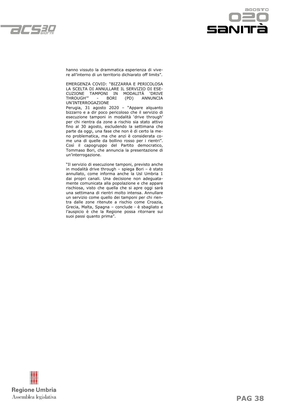



hanno vissuto la drammatica esperienza di vivere all'interno di un territorio dichiarato off limits".

EMERGENZA COVID: "BIZZARRA E PERICOLOSA LA SCELTA DI ANNULLARE IL SERVIZIO DI ESE-CUZIONE TAMPONI IN MODALITÀ 'DRIVE THROUGH'" - BORI (PD) ANNUNCIA UN'INTERROGAZIONE

Perugia, 31 agosto 2020 – "Appare alquanto bizzarro e a dir poco pericoloso che il servizio di esecuzione tamponi in modalità 'drive through' per chi rientra da zone a rischio sia stato attivo fino al 30 agosto, escludendo la settimana che parte da oggi, una fase che non è di certo la meno problematica, ma che anzi è considerata come una di quelle da bollino rosso per i rientri". Così il capogruppo del Partito democratico, Tommaso Bori, che annuncia la presentazione di un'interrogazione.

"Il servizio di esecuzione tamponi, previsto anche in modalità drive through – spiega Bori – è stato annullato, come informa anche la Usl Umbria 1 dai propri canali. Una decisione non adeguatamente comunicata alla popolazione e che appare rischiosa, visto che quella che si apre oggi sarà una settimana di rientri molto intensa. Annullare un servizio come quello dei tamponi per chi rientra dalle zone ritenute a rischio come Croazia, Grecia, Malta, Spagna – conclude - è sbagliato e l'auspicio è che la Regione possa ritornare sui suoi passi quanto prima".

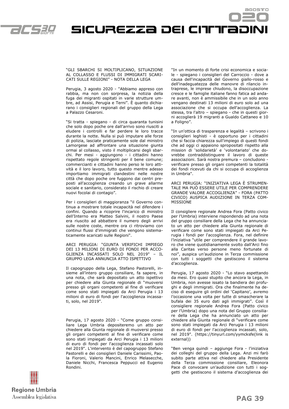

SICUREZZA DEI CITTITADINI

"GLI SBARCHI SI MOLTIPLICANO, SITUAZIONE AL COLLASSO E FLUSSI DI IMMIGRATI SCARI-CATI SULLE REGIONI" - NOTA DELLA LEGA

Perugia, 3 agosto 2020 - "Abbiamo appreso con rabbia, ma non con sorpresa, la notizia della fuga dei migranti ospitati in varie strutture umbre, ad Assisi, Perugia e Terni". È quanto dichiarano i consiglieri regionali del gruppo della Lega a Palazzo Cesaroni.

"Si tratta - spiegano - di circa quaranta tunisini che solo dopo poche ore dall'arrivo sono riusciti a eludere i controlli e far perdere le loro tracce durante la notte. Nulla si può imputare alle forze di polizia, lasciate praticamente sole dal ministro Lamorgese ad affrontare una situazione giunta ormai al collasso, visto il moltiplicarsi degli sbarchi. Per mesi - aggiungono - i cittadini hanno rispettato regole stringenti per il bene comune; commercianti e cittadini hanno perso le loro attività e il loro lavoro, tutto questo mentre adesso importiamo immigrati clandestini nelle nostre città che dopo poche ore fuggono dai centri preposti all'accoglienza creando un grave allarme sociale e sanitario, considerato il rischio di creare nuovi focolai di contagio".

Per i consiglieri di maggioranza "il Governo continua a mostrare totale incapacità nel difendere i confini. Quando a ricoprire l'incarico di ministro dell'Interno era Matteo Salvini, il nostro Paese era riuscito ad abbattere il numero degli arrivi sulle nostre coste, mentre ora ci ritroviamo con continui flussi d'immigrati che vengono sistematicamente scaricati sulle Regioni".

ARCI PERUGIA: "GIUNTA VERIFICHI IMPIEGO DEI 13 MILIONI DI EURO DI FONDI PER ACCO-GLIENZA INCASSATI SOLO NEL 2019" – IL GRUPPO LEGA ANNUNCIA ATTO ISPETTIVO

Il capogruppo della Lega, Stefano Pastorelli, insieme all'intero gruppo consiliare, fa sapere, in una nota, che sarà depositato un atto ispettivo per chiedere alla Giunta regionale di "muoversi presso gli organi competenti al fine di verificare come sono stati impiegati da Arci Perugia i 13 milioni di euro di fondi per l'accoglienza incassati, solo, nel 2019".

Perugia, 17 agosto 2020 - "Come gruppo consiliare Lega Umbria depositeremo un atto per chiedere alla Giunta regionale di muoversi presso gli organi competenti al fine di verificare come sono stati impiegati da Arci Perugia i 13 milioni di euro di fondi per l'accoglienza incassati solo nel 2019". L'intervento è del capogruppo Stefano Pastorelli e dei consiglieri Daniele Carissimi, Paola Fioroni, Valerio Mancini, Enrico Melasecche, Daniele Nicchi, Francesca Peppucci ed Eugenio Rondini.

"In un momento di forte crisi economica e sociale - spiegano i consiglieri del Carroccio - dove a causa dell'incapacità del Governo giallo-rosso e dell'inadeguatezza delle manovre di rilancio intraprese, le imprese chiudono, la disoccupazione cresce e le famiglie italiane fanno fatica ad andare avanti, non è ammissibile che in un solo anno vengano destinati 13 milioni di euro solo ad una associazione che si occupa dell'accoglienza. La stessa, tra l'altro – spiegano - che in questi giorni accoglierà 19 migranti a Gualdo Cattaneo e 10 a Foligno".

"In un'ottica di trasparenza e legalità – scrivono i consiglieri leghisti - è opportuno per i cittadini che si faccia chiarezza sull'impiego di questi fondi che ad oggi ci appaiono spropositati rispetto alla mission di 'solidarietà' e 'volontariato' che dovrebbe contraddistinguere il lavoro di queste associazioni. Sarà nostra premura – concludono verificare presso gli organi competenti la totalità dei fondi ricevuti da chi si occupa di accoglienza in Umbria".

ARCI PERUGIA: "INIZIATIVA LEGA È STRUMEN-TALE MA PUÒ ESSERE UTILE PER COMPRENDERE GRANDE VALORE ACCOGLIENZA" - FORA (PATTO CIVICO) AUSPICA AUDIZIONE IN TERZA COM-MISSIONE

Il consigliere regionale Andrea Fora (Patto civico per l'Umbria) interviene rispondendo ad una nota del gruppo consiliare della Lega che ha annunciato un atto per chiedere alla Giunta regionale di verificare come sono stati impiegati da Arci Perugia i fondi per l'accoglienza. Fora, nel definire l'iniziativa "utile per comprendere il grande lavoro che viene quotidianamente svolto dall'Arci fino alla Caritas verso persone meno fortunate di noi", auspica un'audizione in Terza commissione con tutti i soggetti che gestiscono il sistema d'accoglienza.

Perugia, 17 agosto 2020 - "Lo stavo aspettando da mesi. Ero quasi stupito che ancora la Lega, in Umbria, non avesse issato la bandiera dei profughi e degli immigrati. Ora che finalmente ha deciso di eseguire gli ordini del 'Capitano', avremo l'occasione una volta per tutte di smascherare la bufala dei 35 euro dati agli immigrati". Così il consigliere regionale Andrea Fora (Patto civico per l'Umbria) dopo una nota del Gruppo consiliare della Lega che ha annunciato un atto per chiedere alla Giunta regionale di "verificare come sono stati impiegati da Arci Perugia i 13 milioni di euro di fondi per l'accoglienza incassati, solo, nel 2019". (https://tinyurl.com/yymcksfe(link is external))

"Ben venga quindi – aggiunge Fora - l'iniziativa dei colleghi del gruppo della Lega. Anzi mi farò subito parte attiva nel chiedere alla Presidente della Terza commissione consiliare, Eleonora Pace di convocare un'audizione con tutti i soggetti che gestiscono il sistema d'accoglienza dei

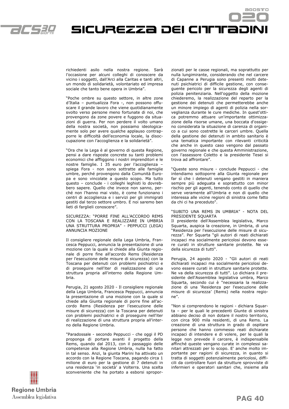



richiedenti asilo nella nostra regione. Sarà l'occasione per alcuni colleghi di conoscere da vicino i soggetti, dall'Arci alla Caritas e tanti altri, un mondo di solidarietà, volontariato ed impresa sociale che tanto bene opera in Umbria".

"Poche ombre su questo settore, in altre zone d'Italia – puntualizza Fora -, non possono offuscare il grande lavoro che viene quotidianamente svolto verso persone meno fortunate di noi, che provengono da zone povere e fuggono da situazioni di guerra. Per non perdere il volto umano della nostra società, non possiamo ideologicamente solo per avere qualche applauso contrapporre le difficoltà dell'economia locale, la disoccupazione con l'accoglienza e la solidarietà".

"Ora che la Lega è al governo di questa Regione, pensi a dare risposte concrete su tanti problemi economici che affliggono i nostri imprenditori e le nostre famiglie. I 35 euro per l'accoglienza – spiega Fora - non sono sottratte alle famiglie umbre, perché provengono dalla Comunità Europa e sono vincolate a questo scopo. Ma tutto questo – conclude - i colleghi leghisti lo dovrebbero sapere. Quello che invece non sanno, perché non l'hanno mai visto, è come funzionano i centri di accoglienza e i servizi per gli immigrati gestiti dal terzo settore umbro. E noi saremo ben lieti di farglieli conoscere".

SICUREZZA: "PORRE FINE ALL'ACCORDO REMS CON LA TOSCANA E REALIZZARE IN UMBRIA UNA STRUTTURA PROPRIA" - PEPPUCCI (LEGA) ANNUNCIA MOZIONE

Il consigliere regionale della Lega Umbria, Francesca Peppucci, annuncia la presentazione di una mozione con la quale si chiede alla Giunta regionale di porre fine all'accordo Rems (Residenza per l'esecuzione delle misure di sicurezza) con la Toscana per detenuti con problemi psichiatrici e di proseguire nell'iter di realizzazione di una struttura propria all'interno della Regione Umbria.

Perugia, 21 agosto 2020 - Il consigliere regionale della Lega Umbria, Francesca Peppucci, annuncia la presentazione di una mozione con la quale si chiede alla Giunta regionale di porre fine all'accordo Rems (Residenza per l'esecuzione delle misure di sicurezza) con la Toscana per detenuti con problemi psichiatrici e di proseguire nell'iter di realizzazione di una struttura propria all'interno della Regione Umbria.

"Paradossale - secondo Peppucci - che oggi il PD proponga di portare avanti il progetto della Rems, quando dal 2013, con il passaggio delle competenze alla Regione Umbria, nulla ha fatto in tal senso. Anzi, la giunta Marini ha attivato un accordo con la Regione Toscana, pagando circa 1 milione di euro per la gestione di 7 detenuti in una residenza 'in società' a Volterra. Una scelta sconveniente che ha portato a esborsi sproporzionati per le casse regionali, ma soprattutto per nulla lungimirante, considerando che nel carcere di Capanne a Perugia sono presenti molti detenuti psichiatrici di difficile gestione, con conseguente pericolo per la sicurezza degli agenti di polizia penitenziaria. Nell'oggetto della mozione chiederemo, la realizzazione del reparto per la gestione dei detenuti che permetterebbe anche un minore impiego di agenti di polizia nella sorveglianza durante le cure mediche. In quest'ottica potremmo attuare un'importante ottimizzazione della risorse umane, una boccata d'ossigeno considerata la situazione di carenza di organico a cui sono costrette le carceri umbre. Quella della gestione dei detenuti in ambito sanitario è una tematica importante con rilevanti criticità che anche in questo caso vengono dal passato governo regionale e che questa Amministrazione, con l'assessore Coletto e la presidente Tesei si trova ad affrontare".

"Queste sono misure - conclude Peppucci - che intendiamo sottoporre alla Giunta regionale per far sì che i detenuti vengano gestiti in maniera sempre più adeguata e soprattutto con minor rischio per gli agenti, tenendo conto di quello che serve veramente all'Umbria e non di quello che interessa alle vicine regioni di sinistra come fatto da chi ci ha preceduto".

#### "SUBITO UNA REMS IN UMBRIA" - NOTA DEL PRESIDENTE SQUARTA

Il presidente dell'Assemblea legislativa, Marco Squarta, auspica la creazione, in Umbria, di una "Residenza per l'esecuzione delle misure di sicurezza". Per Squarta "gli autori di reati dichiarati incapaci ma socialmente pericolosi devono essere curati in strutture sanitarie protette. Ne va della sicurezza di tutti".

Perugia, 24 agosto 2020 - "Gli autori di reati dichiarati incapaci ma socialmente pericolosi devono essere curati in strutture sanitarie protette. Ne va della sicurezza di tutti". Lo dichiara il presidente dell'Assemblea legislativa umbra, Marco Squarta, secondo cui è "necessaria la realizzazione di una 'Residenza per l'esecuzione delle misure di sicurezza' (Rems) nella nostra regione".

"Non si comprendono le ragioni - dichiara Squarta – per le quali le precedenti Giunte di sinistra abbiano deciso di non dotare il nostro territorio, con circa 900 mila residenti, di una Rems. La creazione di una struttura in grado di ospitare persone che hanno commesso reati dichiarate incapaci di intendere e di volere, per le quali la legge non prevede il carcere, è indispensabile affinché queste vengano curate in complessi sanitari attrezzati per lo scopo. E' anche molto importante per ragioni di sicurezza, in quanto si tratta di soggetti potenzialmente pericolosi, difficili da controllare fuori da strutture sprovviste di infermieri e operatori sanitari che, insieme alla

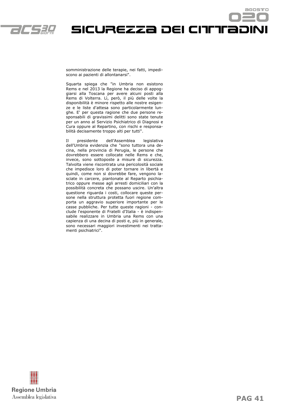

SICUREZZA DEI CITTEADINI

somministrazione delle terapie, nei fatti, impediscono ai pazienti di allontanarsi".

Squarta spiega che "in Umbria non esistono Rems e nel 2013 la Regione ha deciso di appoggiarsi alla Toscana per avere alcuni posti alla Rems di Volterra. Lì, però, il più delle volte la disponibilità è minore rispetto alle nostre esigenze e le liste d'attesa sono particolarmente lunghe. E' per questa ragione che due persone responsabili di gravissimi delitti sono state tenute per un anno al Servizio Psichiatrico di Diagnosi e Cura oppure al Repartino, con rischi e responsabilità decisamente troppo alti per tutti".

Il presidente dell'Assemblea legislativa dell'Umbria evidenzia che "sono tuttora una decina, nella provincia di Perugia, le persone che dovrebbero essere collocate nelle Rems e che, invece, sono sottoposte a misure di sicurezza. Talvolta viene riscontrata una pericolosità sociale che impedisce loro di poter tornare in libertà e quindi, come non si dovrebbe fare, vengono lasciate in carcere, piantonate al Reparto psichiatrico oppure messe agli arresti domiciliari con la possibilità concreta che possano uscire. Un'altra questione riguarda i costi, collocare queste persone nella struttura protetta fuori regione comporta un aggravio superiore importante per le casse pubbliche. Per tutte queste ragioni - conclude l'esponente di Fratelli d'Italia - è indispensabile realizzare in Umbria una Rems con una capienza di una decina di posti e, più in generale, sono necessari maggiori investimenti nei trattamenti psichiatrici".



agostro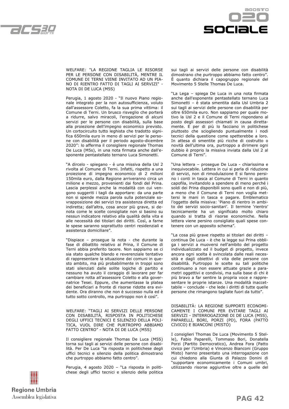



WELFARE: "LA REGIONE TAGLIA LE RISORSE PER LE PERSONE CON DISABILITÀ, MENTRE IL COMUNE DI TERNI VIENE INVITATO AD UN PIA-NO DI RIENTRO FATTO DI TAGLI AI SERVIZI" - NOTA DI DE LUCA (M5S)

Perugia, 1 agosto 2020 - "Il nuovo Piano regionale integrato per la non autosufficienza, voluto dall'assessore Coletto, fa la sua prima vittima: il Comune di Terni. Un brusco risveglio che porterà a ridurre, salvo miracoli, l'erogazione di alcuni servizi per le persone con disabilità, sulla base alla proiezione dell'impegno economico previsto. Un cortocircuito tutto leghista che tradotto significa 650mila euro in meno di servizi per le persone con disabilità per il periodo agosto-dicembre 2020": lo afferma il consigliere regionale Thomas De Luca (M5s), in una nota firmata anche dall'esponente pentastellato ternano Luca Simonetti.

"A dircelo - spiegano - è una missiva della Usl 2 rivolta al Comune di Terni. Infatti, rispetto a una proiezione di impegno economico di 2 milioni 150mila euro, dalla Regione arriveranno circa un milione e mezzo, provenienti dai fondi del Prina. Lascia perplessi anche la modalità con cui vengono suggeriti i tagli da apportare: da una parte non si spende mezza parola sulla potenziale sovrapposizione dei servizi tra assistenza diretta ed indiretta; dall'altra, cosa ancor più grave, si denota come le scelte consigliate non si basino su nessun indicatore relativo alla qualità della vita e alle necessità dei titolari dei diritti. Così, a farne le spese saranno soprattutto centri residenziali e assistenza domiciliare".

"Dispiace – prosegue la nota - che durante la fase di dibattito relativo ai Prina, il Comune di Terni abbia preferito tacere. Non sappiamo se ci sia stato qualche blando e reverenziale tentativo di rappresentare la situazione dei comuni in questo ambito, ma più probabilmente in troppi sono stati silenziati dalle solite logiche di partito e nessuno ha avuto il coraggio di lavorare per far cambiare rotta all'assessore Coletto e alla governatrice Tesei. Eppure, che aumentasse la platea dei beneficiari a fronte di risorse ridotte era evidente. Ora diranno che non è successo nulla ed è tutto sotto controllo, ma purtroppo non è così".

WELFARE: "TAGLI AI SERVIZI DELLE PERSONE CON DISABILITÀ, RISPOSTA IN POLITICHESE DEGLI UFFICI TECNICI E SILENZIO DELLA POLI-TICA, VUOL DIRE CHE PURTROPPO ABBIAMO FATTO CENTRO" - NOTA DI DE LUCA (M5S)

Il consigliere regionale Thomas De Luca (M5S) torna sui tagli ai servizi delle persone con disabilità. Per De Luca "la risposta in politichese degli uffici tecnici e silenzio della politica dimostrano che purtroppo abbiamo fatto centro".

Perugia, 4 agosto 2020 – "La risposta in politichese degli uffici tecnici e silenzio della politica sui tagli ai servizi delle persone con disabilità dimostrano che purtroppo abbiamo fatto centro". È quanto dichiara il capogruppo regionale del Movimento 5 Stelle Thomas De Luca.

"La Lega – spiega De Luca in una nota firmata anche dall'esponente pentastellato ternano Luca Simonetti – è stata smentita dalla Usl Umbria 2 sui tagli ai servizi delle persone con disabilità per oltre 650mila euro. Non sappiamo per quale motivo la Usl 2 e il Comune di Terni rispondano al posto degli assessori chiamati in causa direttamente. E per di più lo facciano in politichese piuttosto che sciogliendo puntualmente i nodi tecnici della questione come spetterebbe a loro. In attesa di smentite più ricche di costrutto o novità dell'ultima ora, purtroppo a dirimere ogni dubbio è proprio la missiva inviata dalla Usl 2 al Comune di Terni".

"Una lettera – prosegue De Luca - chiarissima e inequivocabile. Lettera in cui si parla di riduzione di servizi, non di rimodulazione E si fanno persino i conti in tasca al Comune di Terni in quanto capofila, invitandolo a spendere di meno perché i soldi dei Prina disponibili sono quelli e non di più, a meno che il Comune di Terni non voglia mettersi le mani in tasca e pagare. Emblematico l'oggetto della missiva: 'Piano di rientro in ambito dei servizi socio-sanitari'. Il termine 'rientro' tecnicamente ha un significato molto chiaro quando si tratta di risorse economiche. Nella lettera viene persino consigliato quali spese contenere con un apposito schema".

"La cosa più grave rispetto ai titolari dei diritti – continua De Luca - è che la legge sui Prina obbliga i servizi a muoversi nell'ambito del progetto individualizzato ed il budget di progetto, invece ancora ogni scelta è svincolata dalle reali necessità e dagli obiettivi di vita delle persone con disabilità. Purtroppo le scelte su tali politiche continuano a non essere attuate grazie a parametri oggettivi e condivisi, ma sulla base di chi è più bravo a far sentire la propria voce e rappresentare le proprie istanze. Una modalità inaccettabile – conclude - che lede i diritti di tutte quelle persone che rimangono tagliate fuori da tutto".

DISABILITÀ: LA REGIONE SUPPORTI ECONOMI-CAMENTE I COMUNI PER EVITARE TAGLI AI SERVIZI - INTERROGAZIONE DI DE LUCA (M5S), PAPARELLI, BORI, PORZI (PD), FORA (PATTO CIVICO) E BIANCONI (MISTO)

I consiglieri Thomas De Luca (Movimento 5 Stelle), Fabio Paparelli, Tommaso Bori, Donatella Porzi (Partito Democratico), Andrea Fora (Patto civico per l'Umbria) e Vincenzo Bianconi (Gruppo Misto) hanno presentato una interrogazione con cui chiedono alla Giunta di Palazzo Donini di "supportare economicamente i Comuni umbri, utilizzando risorse aggiuntive oltre a quelle del

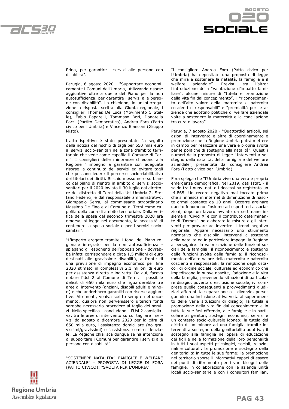



Prina, per garantire i servizi alle persone con disabilità".

Perugia, 6 agosto 2020 - "Supportare economicamente i Comuni dell'Umbria, utilizzando risorse aggiuntive oltre a quelle del Piano per la non autosufficienza, per garantire i servizi alle persone con disabilità". Lo chiedono, in un'interrogazione a risposta scritta alla Giunta regionale, i consiglieri Thomas De Luca (Movimento 5 Stelle), Fabio Paparelli, Tommaso Bori, Donatella Porzi (Partito Democratico), Andrea Fora (Patto civico per l'Umbria) e Vincenzo Bianconi (Gruppo Misto).

L'atto ispettivo è stato presentato "a seguito della notizia del rischio di tagli per 650 mila euro ai servizi socio-sanitari nella zona d'ambito territoriale che vede come capofila il Comune di Terni". I consiglieri delle minoranze chiedono alla Regione "l'impegno a garantire con adeguate risorse la continuità dei servizi ed evitare tagli che possano ledere il percorso socio-riabilitativo dei titolari dei diritti. Rischio messo nero su bianco dal piano di rientro in ambito di servizi sociosanitari per il 2020 inviato il 30 luglio dal direttore del distretto di Terni della Usl Umbria 2, Stefano Federici, e dal responsabile amministrativo, Giampaolo Serra, al commissario straordinario Massimo De Fino e al Comune di Terni come capofila della zona di ambito territoriale. Dalla verifica della spesa del secondo trimestre 2020 era emersa, si legge nel documento, la necessità di contenere la spesa sociale e per i servizi sociosanitari".

"L'importo erogato tramite i fondi del Piano regionale integrato per la non autosufficienza spiegano gli esponenti dell'opposizione - dovrebbe infatti corrispondere a circa 1,5 milioni di euro destinati alle gravissime disabilità, a fronte di una previsione di impegno economico per fine 2020 stimato in complessivi 2,1 milioni di euro per assistenza diretta e indiretta. Da qui, faceva notare l'Usl 2 al Comune di Terni, il possibile deficit di 650 mila euro che riguarderebbe tre aree di intervento (anziani, disabili adulti e minori) e che andrebbero garantiti con risorse aggiuntive. Altrimenti, veniva scritto sempre nel documento, qualora non pervenissero ulteriori fondi sarebbe necessario procedere al taglio dei servizi. Nello specifico - concludono - l'Usl 2 consigliava, tra le aree di intervento su cui tagliare i servizi da agosto a dicembre 2020 per la cifra di 650 mila euro, l'assistenza domiciliare (no gravissimi/gravissimi) e l'assistenza semiresidenziale. La Regione chiarisca dunque se ha intenzione di supportare i Comuni per garantire i servizi alle persone con disabilità".

"SOSTENERE NATALITA', FAMIGLIE E WELFARE AZIENDALE" - PROPOSTA DI LEGGE DI FORA (PATTO CIVICO): "SVOLTA PER L'UMBRIA"



Perugia, 7 agosto 2020 - "Quattordici articoli, sei azioni di intervento e altre di coordinamento e promozione che la Regione Umbria potrà mettere in campo per realizzare una vera e propria svolta per le politiche di sostegno alla natalitá". Questi i numeri della proposta di legge "Interventi a sostegno della natalità, della famiglia e del welfare aziendale", presentata dal consigliere Andrea Fora (Patto civico per l'Umbria).

Fora spiega che "l'Umbria vive una vera e propria emergenza demografica. Nel 2019, dati Istat, - il saldo tra i nuovi nati e i decessi ha registrato un -4.865. Un record negativo mai toccato prima che si innesca in internet di diminuzione di nascite ormai costante da 10 anni. Occorre arginare questo fenomeno. Insieme ad esperti ed associazioni, dopo un lavoro avviato da settimane insieme ai 'Civici X' e con il contributo determinante di 'Demos', ho elaborato le misure e gli interventi per provare ad invertire il trend negativo regionale. Appare necessario uno strumento normativo che disciplini interventi a sostegno della natalità ed in particolare impegni la Regione a perseguire: la valorizzazione delle funzioni sociali della famiglia; il riconoscimento e sostegno delle funzioni svolte dalla famiglia; il riconoscimento dell'alto valore della maternità e paternità coscienti e responsabili; la rimozione degli ostacoli di ordine sociale, culturale ed economico che impediscono le nuove nascite, l'adozione e la vita della famiglia, prevenendo situazioni di particolare disagio, povertà o esclusione sociale, ivi comprese quelle conseguenti a provvedimenti giudiziari afferenti la separazione o il divorzio, perseguendo una inclusione attiva volta al superamento delle varie situazioni di disagio; la tutela e promozione della vita fin dal concepimento e in tutte le sue fasi offrendo, alle famiglie e in particolare ai genitori, sostegni economici, servizi e un contesto socio-culturale idoneo; la tutela del diritto di un minore ad una famiglia tramite interventi a sostegno della genitorialità adottiva; il sostegno alla famiglia nell'opera di educazione dei figli e nella formazione della loro personalità in tutti i suoi aspetti psicologici, sociali, relazionali e culturali; la promozione e sostegno della genitorialità in tutte le sue forme; la promozione nel territorio sportelli informativi capaci di essere dei punti di riferimento per i vari bisogni delle famiglie, in collaborazione con le aziende unità locali socio-sanitarie e con i consultori familiari,

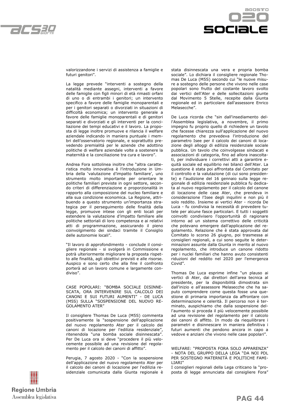



valorizzandone i servizi di assistenza a famiglie e futuri genitori".

La legge prevede "interventi a sostegno della natalità mediante assegni, interventi a favore delle famiglie con figli minori di età rimasti orfani di uno o di entrambi i genitori; un intervento specifico a favore delle famiglie monoparentali e per i genitori separati o divorziati in situazioni di difficoltà economica; un intervento generale a favore delle famiglie monoparentali e di genitori separati e divorziati e gli interventi per la conciliazione dei tempi educativi e il lavoro. La proposta di legge inoltre promuove e rilancia il welfare aziendale indicando in maniera puntuale i membri dell'osservatorio regionale, e soprattutto prevedendo premialitá per le aziende che adottino politiche di welfare aziendale volte a sostenere la maternità e la conciliazione tra cura e lavoro".

Andrea Fora sottolinea inoltre che "altra caratteristica molto innovativa è l'introduzione in Umbria della 'valutazione d'impatto familiare', uno strumento molto importante per orientare le politiche familiari previste in ogni settore, secondo criteri di differenziazione e proporzionalità in rapporto alla composizione del nucleo familiare e alla sua condizione economica. La Regione, attribuendo a questo strumento un'importanza strategica per il perseguimento delle finalità della legge, promuove intese con gli enti locali per estendere la valutazione d'impatto familiare alle politiche settoriali di loro competenza e ai relativi atti di programmazione, assicurando il pieno coinvolgimento dei sindaci tramite il Consiglio delle autonomie locali".

"Il lavoro di approfondimento - conclude il consigliere regionale - si svolgerà in Commissione e potrà ulteriormente migliorare la proposta rispetto alle finalità, agli obiettivi previsti e alle risorse. Auspico e sono certo che alla fine il confronto porterà ad un lavoro comune e largamente condiviso".

CASE POPOLARI: "BOMBA SOCIALE DISINNE-SCATA, ORA INTERVENIRE SUL CALCOLO DEI CANONI E SUI FUTURI AUMENTI" - DE LUCA (M5S) SULLA "SOSPENSIONE DEL NUOVO RE-GOLAMENTO ATER"

Il consigliere Thomas De Luca (M5S) commenta positivamente la "sospensione dell'applicazione del nuovo regolamento Ater per il calcolo dei canoni di locazione per l'edilizia residenziale", ritenendola "una bomba sociale disinnescata". Per De Luca ora si deve "procedere il più velocemente possibile ad una revisione del regolamento per il calcolo dei canoni di affitto".

Perugia, 7 agosto 2020 - "Con la sospensione dell'applicazione del nuovo regolamento Ater per il calcolo dei canoni di locazione per l'edilizia residenziale comunicata dalla Giunta regionale è



De Luca ricorda che "sin dall'insediamento dell'Assemblea legislativa, a novembre, il primo impegno fu proprio quello di richiedere un tavolo che facesse chiarezza sull'applicazione del nuovo regolamento che prevedeva l'introduzione del parametro Isee per il calcolo dei canoni di locazione degli alloggi di edilizia residenziale sociale pubblica. Un tavolo che coinvolgesse sindacati e associazioni di categoria, fino ad allora inascoltati, per individuare i correttivi atti a garantire equità sociale ed equilibrio nei bilanci dell'Ater. La questione è stata poi affrontata dal Comitato per il controllo e la valutazione (di cui sono presidente) e l'audizione del 16 gennaio sulla legge regionale di edilizia residenziale pubblica fu dedicata al nuovo regolamento per il calcolo del canone di locazione delle case Ater, che prendeva in considerazione l'Isee degli inquilini e non più il solo reddito. Insieme ai vertici Ater - ricorda De Luca - fu condivisa la necessità di prevedere tutele per alcune fasce particolari. E tutti i soggetti coinvolti condivisero l'opportunità di ragionare intorno ad un sistema correttivo delle criticità che potevano emergere dall'applicazione del regolamento. Relazione che è stata approvata dal Comitato lo scorso 26 giugno, poi trasmessa ai consiglieri regionali, a cui sono seguite le determinazioni assunte dalla Giunta in merito al nuovo regolamento, che introduce un canone ridotto per i nuclei familiari che hanno avuto consistenti riduzioni del reddito nel 2020 per l'emergenza Covid".

Thomas De Luca esprime infine "un plauso ai vertici di Ater, dai direttori dell'area tecnica al presidente, per la disponibilità dimostrata sin dall'inizio e all'assessore Melasecche che ha saputo comprendere come questa fosse una questione di primaria importanza da affrontare con determinazione e celerità. Il percorso non è terminato, auspichiamo che dalla sospensione dell'aumento si proceda il più velocemente possibile ad una revisione del regolamento per il calcolo dei canoni di affitto. In modo da riequilibrare i parametri e disinnescare in maniera definitiva i futuri aumenti che pendono ancora in capo a vedove e anziani che vivono nelle case popolari".

I consiglieri regionali della Lega criticano la "proposta di legge annunciata dal consigliere Fora"



WELFARE: "PROPOSTA FORA SOLO APPARENZA" - NOTA DEL GRUPPO DELLA LEGA "DA NOI PDL PER SOSTEGNO MATERNITÀ E POLITICHE FAMI-LIARI"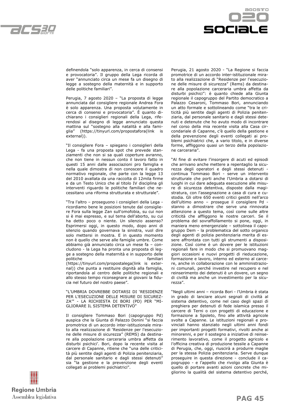



definendola "solo apparenza, in cerca di consensi e provocatoria". Il gruppo della Lega ricorda di aver "annunciato circa un mese fa un disegno di legge a sostegno della maternità e in supporto delle politiche familiari".

Perugia, 7 agosto 2020 – "La proposta di legge annunciata dal consigliere regionale Andrea Fora è solo apparenza. Una proposta volutamente in cerca di consensi e provocatoria". È quanto dichiarano i consiglieri regionali della Lega, riferendosi al disegno di legge annunciato questa mattina sul "sostegno alla natalità e alla famiglia" (https://tinyurl.com/propostafora(link is external)).

"Il consigliere Fora – spiegano i consiglieri della Lega - fa una proposta spot che prevede stanziamenti che non si sa quali coperture avranno, che non tiene in nessun conto il lavoro fatto in questi 15 anni dalle associazioni pro famiglia e nella quale dimostra di non conoscere il quadro normativo regionale, che parte con la legge 13 del 2010 avallata da una raccolta di 12mila firme e da un Testo Unico che al titolo IV disciplina gli interventi riguardo le politiche familiari che necessitano una riforma strutturata e strutturale".

"Tra l'altro – proseguono i consiglieri della Lega ricordiamo bene le posizioni tenute dal consigliere Fora sulla legge Zan sull'omofobia, su cui non si è mai espresso, e sul tema dell'aborto, su cui ha detto poco o niente. Un silenzio assenso? Esprimersi oggi, in questo modo, dopo anni di silenzio quando governava la sinistra, vuol dire solo mettersi in mostra. E in questo momento non è quello che serve alle famiglie umbre. Come abbiamo già annunciato circa un mese fa – concludono - la Lega ha pronta una proposta di legge a sostegno della maternità e in supporto delle politiche familiari (https://tinyurl.com/propostalega(link is external)) che punta a restituire dignità alla famiglia, riportandola al centro delle politiche regionali e allo stesso tempo riconsegnare ai giovani la fiducia nel futuro del nostro paese".

"L'UMBRIA DOVREBBE DOTARSI DI 'RESIDENZE PER L'ESECUZIONE DELLE MISURE DI SICUREZ-ZA'" - LA RICHIESTA DI BORI (PD) PER "MI-GLIORARE IL SISTEMA DETENTIVO"

Il consigliere Tommaso Bori (capogruppo Pd) auspica che la Giunta di Palazzo Donini "si faccia promotrice di un accordo inter-istituzionale mirato alla realizzazione di 'Residenze per l'esecuzione delle misure di sicurezza" (REMS) da destinare alla popolazione carceraria umbra affetta da disturbi psichici'. Bori, dopo la recente visita al carcere di Capanne, ritiene che "una delle criticità più sentite dagli agenti di Polizia penitenziaria, dal personale sanitario e dagli stessi detenuti" sia "la gestione e la prevenzione degli eventi collegati ai problemi psichiatrici".

Perugia, 21 agosto 2020 - "La Regione si faccia promotrice di un accordo inter-istituzionale mirato alla realizzazione di "Residenze per l'esecuzione delle misure di sicurezza" (Rems) da destinare alla popolazione carceraria umbra affetta da disturbi psichici": è quanto chiede alla Giunta regionale il capogruppo del Partito democratico a Palazzo Cesaroni, Tommaso Bori, annunciando un atto formale e sottolineando come "tra le criticità più sentite dagli agenti di Polizia penitenziaria, dal personale sanitario e dagli stessi detenuti e detenute che ho avuto modo di incontrare nel corso della mia recente visita alla Casa circondariale di Capanne, c'è quello della gestione e della prevenzione degli eventi collegati ai problemi psichiatrici che, a vario titolo, e in diverse forme, affliggono quasi un terzo della popolazione carceraria".

"Al fine di evitare l'insorgere di acuti ed episodi che arrivano anche mettere a repentaglio la sicurezza degli operatori e degli stessi detenuti continua Tommaso Bori - serve un intervento strutturale che porti anche l'Umbria a dotarsi di luoghi in cui dare adeguata esecuzione alle misure di sicurezza detentiva, disposte dalla magistratura, con l'assegnazione a casa di cura e custodia. Gli oltre 650 eventi critici gestiti nell'arco dell'ultimo anno – prosegue il consigliere Pd stanno a dimostrare che serve una rinnovata attenzione a questo tema, così come sulle altre criticità che affliggono le nostre carceri. Se il problema del sovraffollamento si pone, oggi, in maniera meno emergenziale – sottolinea il capogruppo Dem - la problematica del sotto organico degli agenti di polizia penitenziaria merita di essere affrontata con tutti gli strumenti a disposizione. Così come è un dovere per le istituzioni regionali fare in modo che si promuovano maggiori occasioni e nuovi progetti di rieducazione, formazione e lavoro, interno ed esterno al carcere, anche in collaborazione con le amministrazioni comunali, perché investire nel recupero e nel reinserimento dei detenuti è un dovere, un segno di civiltà ma anche un investimento per la sicurezza".

"Negli ultimi anni – ricorda Bori - l'Umbria è stata in grado di lanciare alcuni segnali di civiltà al sistema detentivo, come nel caso degli spazi di preghiera per detenuti di fede islamica presso il carcere di Terni o con progetti di educazione e formazione a Spoleto, fino alle attività agricole svolte a Capanne. Le istituzioni regionali e provinciali hanno stanziato negli ultimi anni fondi per importanti progetti formativi, rivolti anche ai minorenni, e per il sostegno a iniziative di reinserimento lavorativo, come il progetto agricolo e l'officina creativa di produzione tessile a Capanne di Perugia, che, oggi, riuscirà a produrre maglie per la stessa Polizia penitenziaria. Serve dunque proseguire in questa direzione - conclude il capogruppo - e l'appello che rivolgo alla Giunta è quello di portare avanti azioni concrete che migliorino la qualità del sistema detentivo perché,

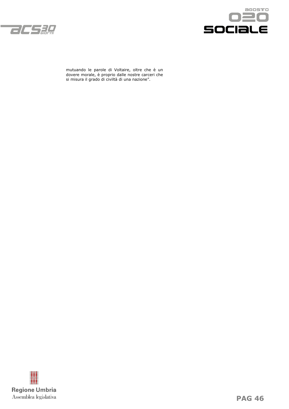



mutuando le parole di Voltaire, oltre che è un dovere morale, è proprio dalle nostre carceri che si misura il grado di civiltà di una nazione".

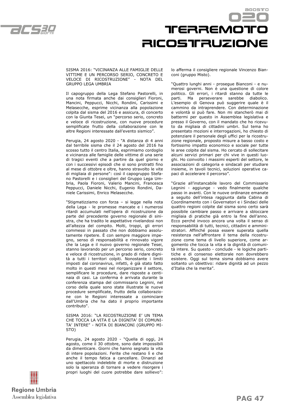

## Trerremotro **RICOSTFRUZIONE**

SISMA 2016: "VICINANZA ALLE FAMIGLIE DELLE VITTIME E UN PERCORSO SERIO, CONCRETO E VELOCE DI RICOSTRUZIONE" - NOTA DEL GRUPPO LEGA UMBRIA

Il capogruppo della Lega Stefano Pastorelli, in una nota firmata anche dai consiglieri Fioroni, Mancini, Peppucci, Nicchi, Rondini, Carissimi e Melasecche, esprime vicinanza alla popolazione colpita dal sisma del 2016 e assicura, di concerto con la Giunta Tesei, un "percorso serio, concreto e veloce di ricostruzione, con nuove procedure semplificate frutto della collaborazione con le altre Regioni interessate dall'evento sismico".

Perugia, 24 agosto 2020 - "A distanza di 4 anni dal terribile sisma che il 24 agosto del 2016 ha scosso tutto il centro Italia, esprimiamo cordoglio e vicinanza alle famiglie delle vittime di una serie di tragici eventi che a partire da quel giorno e con i successivi episodi che si sono protratti fino al mese di ottobre e oltre, hanno stravolto le vite di migliaia di persone": così il capogruppo Stefano Pastorelli e i consiglieri del Gruppo Lega Umbria, Paola Fioroni, Valerio Mancini, Francesca Peppucci, Daniele Nicchi, Eugenio Rondini, Daniele Carissimi, Enrico Melasecche.

"Stigmatizziamo con forza – si legge nella nota della Lega - le promesse mancate e i numerosi ritardi accumulati nell'opera di ricostruzione da parte del precedente governo regionale di sinistra, che ha tradito le aspettative rivelandosi non all'altezza del compito. Molti, troppi, gli errori commessi in passato che non dobbiamo assolutamente ripetere. È con sempre maggiore impegno, senso di responsabilità e rinnovato vigore che la Lega e il nuovo governo regionale Tesei, stanno lavorando per un percorso serio, concreto e veloce di ricostruzione, in grado di ridare dignità a tutti i territori colpiti. Nonostante i limiti imposti dal coronavirus, infatti, è già stato fatto molto in questi mesi nel riorganizzare il settore, semplificare le procedure, dare risposte a centinaia di casi. La conferma è arrivata durante la conferenza stampa del commissario Legnini, nel corso della quale sono state illustrate le nuove procedure semplificate, frutto della collaborazione con le Regioni interessate a cominciare dall'Umbria che ha dato il proprio importante contributo".

SISMA 2016: "LA RICOSTRUZIONE E' UN TEMA CHE TOCCA LA VITA E LA DIGNITA' DI COMUNI-TA' INTERE" - NOTA DI BIANCONI (GRUPPO MI-STO)

Perugia, 24 agosto 2020 - "Quella di oggi, 24 agosto, come il 30 ottobre, sono date impossibili da dimenticare. Giorni che hanno segnato la vita di intere popolazioni. Ferite che restano lì e che anche il tempo fatica a cancellare. Dinanzi ad uno spettacolo indelebile di morte e distruzione solo la speranza di tornare a vedere risorgere i propri luoghi del cuore potrebbe dare sollievo": lo afferma il consigliere regionale Vincenzo Bianconi (gruppo Misto).

"Quattro lunghi anni - prosegue Bianconi - e numerosi governi. Non è una questione di colore politico. Gli errori, i ritardi stanno da tutte le parti. Ma perseverare sarebbe diabolico. L'esempio di Genova può suggerire quale è il cammino da intraprendere. Con determinazione e volontà si può fare. Non mi stancherò mai di battermi per questo in Assemblea legislativa e presso il Governo, con il mandato che ho ricevuto da migliaia di cittadini umbri. Sul tema ho presentato mozioni e interrogazioni, ho chiesto di potenziare il personale degli uffici per la ricostruzione regionale, proposto misure a basso costo e fortissimo impatto economico e sociale per tutte le aree colpite dal sisma. Ho cercato di sollecitare alcuni servizi primari per chi vive in questi luoghi. Ho coinvolto i massimi esperti del settore, le associazioni di categoria e sindacali per studiare insieme, in tavoli tecnici, soluzioni operative capaci di accelerare il percorso".

"Grazie all'instancabile lavoro del Commissario Legnini - aggiunge - vedo finalmente qualche passo in avanti. Con le nuove ordinanze emanate a seguito dell'intesa raggiunta dalla Cabina di Coordinamento con i Governatori e i Sindaci delle quattro regioni colpite dal sisma sono certo sarà possibile cambiare passo e arrivare a sbloccare migliaia di pratiche già entro la fine dell'anno. Ecco perché invoco ancora una volta il senso di responsabilità di tutti, tecnici, cittadini e amministratori. Affinché possa essere superata quella resistenza nell'affrontare il tema della ricostruzione come tema di livello superiore, come argomento che tocca la vita e la dignità di comunità intere. Su questo - conclude - le logiche partitiche e di consenso elettorale non dovrebbero esistere. Oggi sul tema sisma dobbiamo avere soltanto un obiettivo: ridare dignità ad un pezzo d'Italia che la merita".

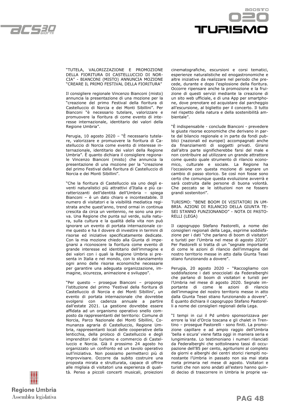



"TUTELA, VALORIZZAZIONE E PROMOZIONE DELLA FIORITURA DI CASTELLUCCIO DI NOR-CIA" - BIANCONI (MISTO) ANNUNCIA MOZIONE "CREARE IL PRIMO FESTIVAL DELLA FIORITURA"

Il consigliere regionale Vincenzo Bianconi (misto) annuncia la presentazione di una mozione per la "creazione del primo Festival della fioritura di Castelluccio di Norcia e dei Monti Sibillini". Per Bianconi "è necessario tutelare, valorizzare e promuovere la fioritura di come evento di interesse internazionale, identitario dei valori della Regione Umbria".

Perugia, 10 agosto 2020 – "È necessario tutelare, valorizzare e promuovere la fioritura di Castelluccio di Norcia come evento di interesse internazionale, identitario dei valori della Regione Umbria". È quanto dichiara il consigliere regionale Vincenzo Bianconi (misto) che annuncia la presentazione di una mozione per la "creazione del primo Festival della fioritura di Castelluccio di Norcia e dei Monti Sibillini".

"Che la fioritura di Castelluccio sia uno degli eventi naturalistici più attrattivi d'Italia e più caratterizzanti dell'identità dell'Umbria – spiega Bianconi – è un dato chiaro e incontestabile. Il numero di visitatori e la visibilità mediatica registrata anche quest'anno, trend ormai in continua crescita da circa un ventennio, ne sono una prova. Una Regione che punta sul verde, sulla natura, sulla cultura e la qualità della vita non può ignorare un evento di portata internazionale come questo e ha il dovere di investire in termini di risorse ed iniziative specificatamente dedicate. Con la mia mozione chiedo alla Giunta di impegnarsi a riconoscere la fioritura come evento di grande interesse ed identitario dell'immagine e dei valori con i quali la Regione Umbria si presenta in Italia e nel mondo, con lo stanziamento ogni anno delle risorse economiche necessarie per garantire una adeguata organizzazione, immagine, sicurezza, animazione e sviluppo".

"Per questo – prosegue Bianconi – propongo l'istituzione del primo 'Festival della fioritura di Castelluccio di Norcia e dei Monti Sibillini', un evento di portata internazionale che dovrebbe svolgersi con cadenza annuale a partire dall'estate 2021. La gestione dovrebbe essere affidata ad un organismo operativo snello composto da rappresentanti del territorio: Comune di Norcia, Parco Nazionale dei Monti Sibillini, Comunanza agraria di Castelluccio, Regione Umbria, rappresentanti locali delle cooperative della lenticchia, della proloco di Castelluccio e degli imprenditori del turismo e commercio di Castelluccio e Norcia. Già il prossimo 24 agosto ho organizzato un confronto ed un tavolo operativo sull'iniziativa. Non possiamo permetterci più di improvvisare. Occorre da subito costruire una proposta mirata e strutturata, capace di offrire alle migliaia di visitatori una esperienza di qualità. Penso a piccoli concerti musicali, proiezioni

cinematografiche, escursioni e corsi tematici, esperienze naturalistiche ed enogastronomiche e altre iniziative da realizzare nel periodo che precede, durante e dopo l'esplosione della fioritura. Occorre ripensare anche la promozione e la fruizione di questi servizi mediante la creazione di un sito web ufficiale, e di una App per smartphone, dove prenotare ed acquistare dal parcheggio all'escursione, al biglietto per il concerto. Il tutto nel rispetto della natura e della sostenibilità ambientale".

"È indispensabile - conclude Bianconi - prevedere le giuste risorse economiche che derivano in parte dal bilancio regionale e in parte da fondi pubblici (nazionali ed europei) accompagnati anche da finanziamenti di soggetti privati. Girarsi dall'altra parte significherebbe farsi del male e non contribuire ad utilizzare un grande attrattore come questo quale strumento di rilancio economico, culturale e sociale. La Regione ha l'occasione con questa mozione di segnare un cambio di passo storico. Se così non fosse sono certo che comunque questa evoluzione avverrà e sarà costruita dalle persone di buona volontà. Che peccato se le istituzioni non ne fossero grandi sostenitori".

TURISMO: "BENE BOOM DI VISITATORI IN UM-BRIA. AZIONI DI RILANCIO DELLA GIUNTA TE-SEI STANNO FUNZIONANDO" - NOTA DI PASTO-RELLI (LEGA)

Il capogruppo Stefano Pastorelli, a nome dei consiglieri regionali della Lega, esprime soddisfazione per i dati "che parlano di boom di visitatori e turisti per l'Umbria nel mese di agosto 2020". Per Pastorelli si tratta di un "segnale importante di come le azioni di rilancio dell'immagine del nostro territorio messe in atto dalla Giunta Tesei stiano funzionando a dovere".

Perugia, 20 agosto 2020 – "Raccogliamo con soddisfazione i dati snocciolati da Federalberghi che parlano di boom di visitatori e turisti per l'Umbria nel mese di agosto 2020. Segnale importante di come le azioni di rilancio dell'immagine del nostro territorio messe in atto dalla Giunta Tesei stiano funzionando a dovere". È quanto dichiara il capogruppo Stefano Pastorelli a nome dei consiglieri regionali della Lega.

"I tempi in cui il Pd umbro sponsorizzava per errore la Val d'Orcia toscana e gli chalet in Trentino – prosegue Pastorelli - sono finiti. La promozione capillare e ad ampio raggio dell'Umbria 'bella e sicura' viene fatta oggi in maniera seria e lungimirante. Lo testimoniano i numeri rilanciati da Federalberghi che sottolineano tassi di occupazione dell'85 per cento, agriturismi al completo da giorni e alberghi dei centri storici riempiti nonostante l'Umbria in passato non sia mai stata meta primaria nel mese di agosto. Visitatori e turisti che non sono andati all'estero hanno quindi deciso di trascorrere in Umbria le proprie va-

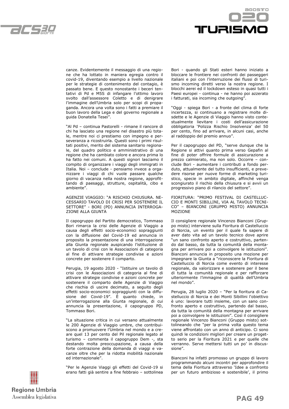



canze. Evidentemente il messaggio di una regione che ha lottato in maniera egregia contro il covid-19, diventando esempio a livello nazionale per le strategie di contenimento del contagio, è passato bene. E questo nonostante i beceri tentativi di Pd e M5S di infangare l'ottimo lavoro svolto dall'assessore Coletto e di denigrare l'immagine dell'Umbria solo per scopi di propaganda. Ancora una volta sono i fatti a premiare il buon lavoro della Lega e del governo regionale a guida Donatella Tesei".

"Al Pd – continua Pastorelli - rimane il rancore di chi ha lasciato una regione nel disastro più totale, mentre noi ci prestiamo con impegno e perseveranza a ricostruirla. Questi sono i primi risultati positivi, merito del sistema sanitario regionale, del quadro politico e amministrativo di una regione che ha cambiato colore e ancora prima lo ha fatto nei comuni. A questi signori lasciamo il compito di organizzare i viaggi degli immigrati in Italia. Noi – conclude - pensiamo invece a organizzare i viaggi di chi vuole passare qualche giorno di vacanza nella nostra regione, approfittando di paesaggi, strutture, ospitalità, cibo e ambiente".

AGENZIE VIAGGIO: "A RISCHIO CHIUSURA. NE-CESSARIO TAVOLO DI CRISI PER SOSTENERE IL SETTORE" - BORI (PD) ANNUNCIA INTERROGA-ZIONE ALLA GIUNTA

Il capogruppo del Partito democratico, Tommaso Bori rimarca la crisi delle Agenzie di Viaggio a causa degli effetti socio-economici sopraggiunti con la diffusione del Covid-19 ed annuncia in proposito la presentazione di una interrogazione alla Giunta regionale auspicando l'istituzione di un tavolo di crisi con le Associazioni di categoria al fine di attivare strategie condivise e azioni concrete per sostenere il comparto.

Perugia, 19 agosto 2020 - "Istituire un tavolo di crisi con le Associazioni di categoria al fine di attivare strategie condivise e azioni concrete per sostenere il comparto delle Agenzie di Viaggio che rischia di uscire decimato, a seguito degli effetti socio-economici sopraggiunti con la diffusione del Covid-19". È quanto chiede, in un'interrogazione alla Giunta regionale, di cui annuncia la presentazione, il capogruppo PD, Tommaso Bori.

"La situazione critica in cui versano attualmente le 200 Agenzie di Viaggio umbre, che contribuiscono a promuovere l'Umbria nel mondo e a creare quel 13 per cento del Pil regionale legato al turismo – commenta il capogruppo Dem -, sta destando molta preoccupazione, a causa della forte contrazione della domanda di viaggi e vacanze oltre che per la ridotta mobilità nazionale ed internazionale".

"Per le Agenzie Viaggi gli effetti del Covid-19 si erano fatti già sentire a fine febbraio – sottolinea Bori - quando gli Stati esteri hanno iniziato a bloccare le frontiere nei confronti dei passeggeri italiani e poi con l'interruzione dei flussi di turismo incoming diretti verso la nostra regione. I blocchi aerei ed il lockdown esteso in quasi tutti i Paesi europei - continua - ne hanno poi azzerato i fatturati, sia incoming che outgoing".

"Oggi - spiega Bori - a fronte del clima di forte incertezza, si continuano a registrare molte disdette e le Agenzie di Viaggio hanno visto contestualmente lievitare i costi dell'assicurazione obbligatoria 'Polizza Rischio Insolvenza' del 50 per cento, fino ad arrivare, in alcuni casi, anche al raddoppio del premio annuo".

Per il capogruppo del PD, "serve dunque che la Regione si attivi quanto prima verso Gepafin al fine di poter offrire formule di assicurazione a prezzo calmierato, ma non solo. Occorre – conclude Bori - aumentare i contributi a fondo perduto, attualmente del tutto insufficienti, e prevedere risorse per nuove forme di marketing turistico, specie in ambito digitale, affinché venga scongiurato il rischio della chiusura e si avvii un progressivo piano di rilancio del settore".

FIORITURA: "PRIMO FESTIVAL DI CASTELLUC-CIO E MONTI SIBILLINI, VIA AL TAVOLO TECNI-CO" – BIANCONI (GRUPPO MISTO) ANNUNCIA MOZIONE

Il consigliere regionale Vincenzo Bianconi (Gruppo misto) interviene sulla Fioritura di Castelluccio di Norcia, un evento per il quale fa sapere di aver dato vita ad un tavolo tecnico dove aprire "un sano confronto aperto e costruttivo, partendo dal basso, da tutta la comunità della montagna per arrivare poi a coinvolgere le istituzioni". Bianconi annuncia in proposito una mozione per impegnare la Giunta a "riconoscere la Fioritura di Castelluccio di Norcia come evento di interesse regionale, da valorizzare e sostenere per il bene di tutta la comunità regionale e per rafforzare ulteriormente l'immagine di qualità dell'Umbria nel mondo".

Perugia, 28 luglio 2020 – "Per la fioritura di Castelluccio di Norcia e dei Monti Sibillini l'obiettivo è uno: lavorare tutti insieme, con un sano confronto aperto e costruttivo, partendo dal basso, da tutta la comunità della montagna per arrivare poi a coinvolgere le istituzioni". Così il consigliere regionale Vincenzo Bianconi (Gruppo misto) sottolineando che "per la prima volta questo tema viene affrontato con un anno di anticipo. Ci sono quindi le condizioni migliori per creare un progetto serio per la Fioritura 2021 e per quelle che verranno. Serve mettersi tutti un po' in discussione".

Bianconi ha infatti promosso un gruppo di lavoro programmando alcuni incontri per approfondire il tema della Fioritura attraverso 'Idee a confronto per un futuro ambizioso e sostenibile', il primo